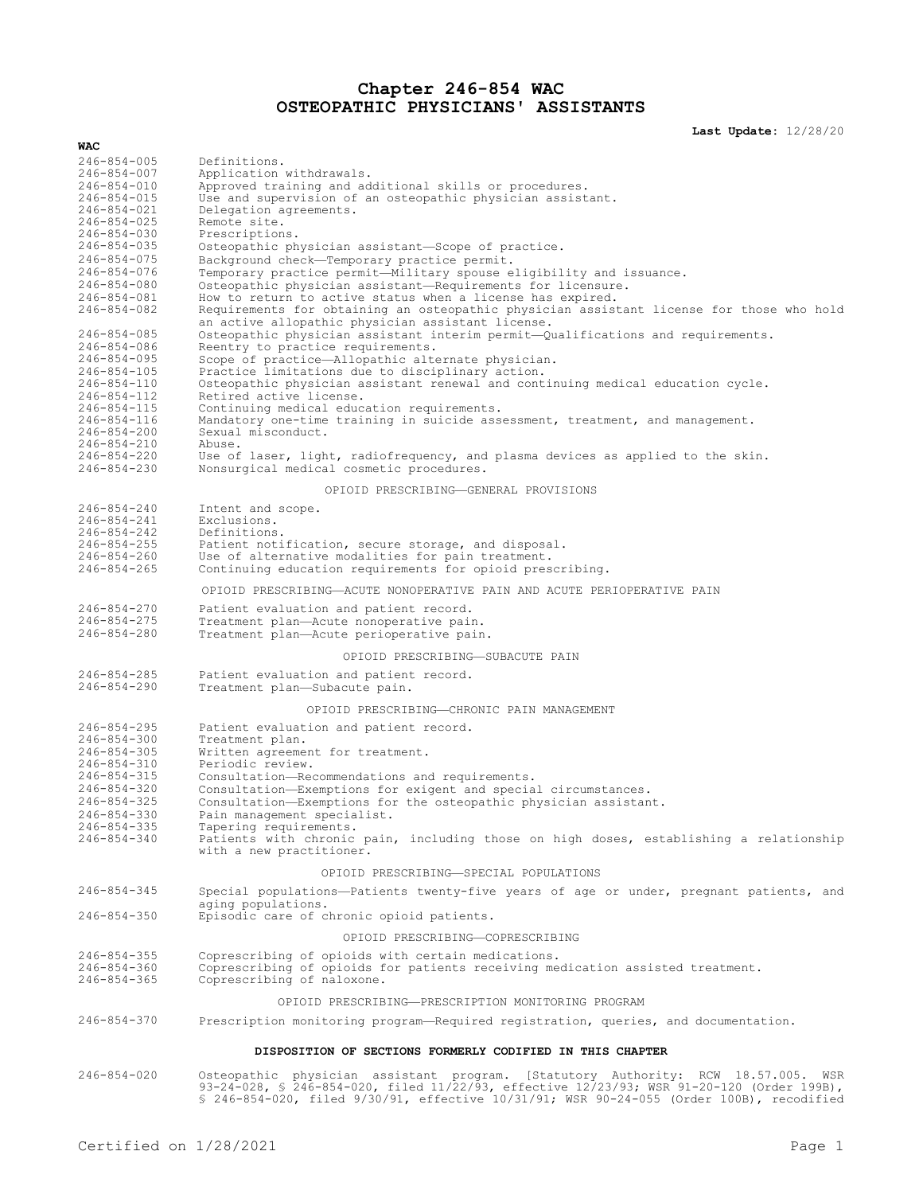# **Chapter 246-854 WAC OSTEOPATHIC PHYSICIANS' ASSISTANTS**

**Last Update:** 12/28/20

| 246-854-005                                               | Definitions.                                                                                                       |  |
|-----------------------------------------------------------|--------------------------------------------------------------------------------------------------------------------|--|
| $246 - 854 - 007$                                         | Application withdrawals.                                                                                           |  |
| $246 - 854 - 010$                                         | Approved training and additional skills or procedures.                                                             |  |
| $246 - 854 - 015$                                         | Use and supervision of an osteopathic physician assistant.                                                         |  |
| $246 - 854 - 021$                                         | Delegation agreements.                                                                                             |  |
| $246 - 854 - 025$<br>$246 - 854 - 030$                    | Remote site.<br>Prescriptions.                                                                                     |  |
| $246 - 854 - 035$                                         | Osteopathic physician assistant-Scope of practice.                                                                 |  |
| $246 - 854 - 075$                                         | Background check-Temporary practice permit.                                                                        |  |
| $246 - 854 - 076$                                         | Temporary practice permit-Military spouse eligibility and issuance.                                                |  |
| $246 - 854 - 080$                                         | Osteopathic physician assistant-Requirements for licensure.                                                        |  |
| $246 - 854 - 081$                                         | How to return to active status when a license has expired.                                                         |  |
| $246 - 854 - 082$                                         | Requirements for obtaining an osteopathic physician assistant license for those who hold                           |  |
|                                                           | an active allopathic physician assistant license.                                                                  |  |
| $246 - 854 - 085$                                         | Osteopathic physician assistant interim permit—Qualifications and requirements.                                    |  |
| $246 - 854 - 086$                                         | Reentry to practice requirements.                                                                                  |  |
| $246 - 854 - 095$                                         | Scope of practice-Allopathic alternate physician.                                                                  |  |
| $246 - 854 - 105$                                         | Practice limitations due to disciplinary action.                                                                   |  |
| $246 - 854 - 110$                                         | Osteopathic physician assistant renewal and continuing medical education cycle.                                    |  |
| $246 - 854 - 112$                                         | Retired active license.                                                                                            |  |
| 246-854-115                                               | Continuing medical education requirements.                                                                         |  |
| 246-854-116<br>$246 - 854 - 200$                          | Mandatory one-time training in suicide assessment, treatment, and management.<br>Sexual misconduct.                |  |
| $246 - 854 - 210$                                         | Abuse.                                                                                                             |  |
| $246 - 854 - 220$                                         | Use of laser, light, radiofrequency, and plasma devices as applied to the skin.                                    |  |
| $246 - 854 - 230$                                         | Nonsurgical medical cosmetic procedures.                                                                           |  |
|                                                           | OPIOID PRESCRIBING-GENERAL PROVISIONS                                                                              |  |
|                                                           |                                                                                                                    |  |
| $246 - 854 - 240$<br>$246 - 854 - 241$                    | Intent and scope.<br>Exclusions.                                                                                   |  |
| $246 - 854 - 242$                                         | Definitions.                                                                                                       |  |
| $246 - 854 - 255$                                         | Patient notification, secure storage, and disposal.                                                                |  |
| $246 - 854 - 260$                                         | Use of alternative modalities for pain treatment.                                                                  |  |
| $246 - 854 - 265$                                         | Continuing education requirements for opioid prescribing.                                                          |  |
|                                                           | OPIOID PRESCRIBING—ACUTE NONOPERATIVE PAIN AND ACUTE PERIOPERATIVE PAIN                                            |  |
| $246 - 854 - 270$                                         | Patient evaluation and patient record.                                                                             |  |
| 246-854-275                                               | Treatment plan-Acute nonoperative pain.                                                                            |  |
| $246 - 854 - 280$                                         | Treatment plan-Acute perioperative pain.                                                                           |  |
|                                                           | OPIOID PRESCRIBING-SUBACUTE PAIN                                                                                   |  |
| $246 - 854 - 285$                                         | Patient evaluation and patient record.                                                                             |  |
| $246 - 854 - 290$                                         | Treatment plan-Subacute pain.                                                                                      |  |
| OPIOID PRESCRIBING-CHRONIC PAIN MANAGEMENT                |                                                                                                                    |  |
| $246 - 854 - 295$                                         | Patient evaluation and patient record.                                                                             |  |
| $246 - 854 - 300$                                         | Treatment plan.                                                                                                    |  |
| $246 - 854 - 305$                                         | Written agreement for treatment.                                                                                   |  |
| $246 - 854 - 310$                                         | Periodic review.                                                                                                   |  |
| $246 - 854 - 315$                                         | Consultation-Recommendations and requirements.                                                                     |  |
| 246-854-320                                               | Consultation-Exemptions for exigent and special circumstances.                                                     |  |
| $246 - 854 - 325$                                         | Consultation-Exemptions for the osteopathic physician assistant.                                                   |  |
| $246 - 854 - 330$                                         | Pain management specialist.                                                                                        |  |
| 246-854-335<br>246-854-340                                | Tapering requirements.                                                                                             |  |
|                                                           | Patients with chronic pain, including those on high doses, establishing a relationship<br>with a new practitioner. |  |
|                                                           | OPIOID PRESCRIBING-SPECIAL POPULATIONS                                                                             |  |
|                                                           |                                                                                                                    |  |
| $246 - 854 - 345$                                         | Special populations-Patients twenty-five years of age or under, pregnant patients, and                             |  |
| $246 - 854 - 350$                                         | aging populations.<br>Episodic care of chronic opioid patients.                                                    |  |
|                                                           |                                                                                                                    |  |
|                                                           | OPIOID PRESCRIBING-COPRESCRIBING                                                                                   |  |
| $246 - 854 - 355$                                         | Coprescribing of opioids with certain medications.                                                                 |  |
| 246-854-360<br>$246 - 854 - 365$                          | Coprescribing of opioids for patients receiving medication assisted treatment.<br>Coprescribing of naloxone.       |  |
|                                                           |                                                                                                                    |  |
|                                                           | OPIOID PRESCRIBING-PRESCRIPTION MONITORING PROGRAM                                                                 |  |
| 246-854-370                                               | Prescription monitoring program—Required registration, queries, and documentation.                                 |  |
| DISPOSITION OF SECTIONS FORMERLY CODIFIED IN THIS CHAPTER |                                                                                                                    |  |
|                                                           |                                                                                                                    |  |
| $716 - 951 - 070$                                         | Ostoopathic physician assistant program (Ctatutory Authority: DCM 19.57.005, MCD                                   |  |

246-854-020 Osteopathic physician assistant program. [Statutory Authority: RCW 18.57.005. WSR 93-24-028, § 246-854-020, filed 11/22/93, effective 12/23/93; WSR 91-20-120 (Order 199B), § 246-854-020, filed 9/30/91, effective 10/31/91; WSR 90-24-055 (Order 100B), recodified

**WAC**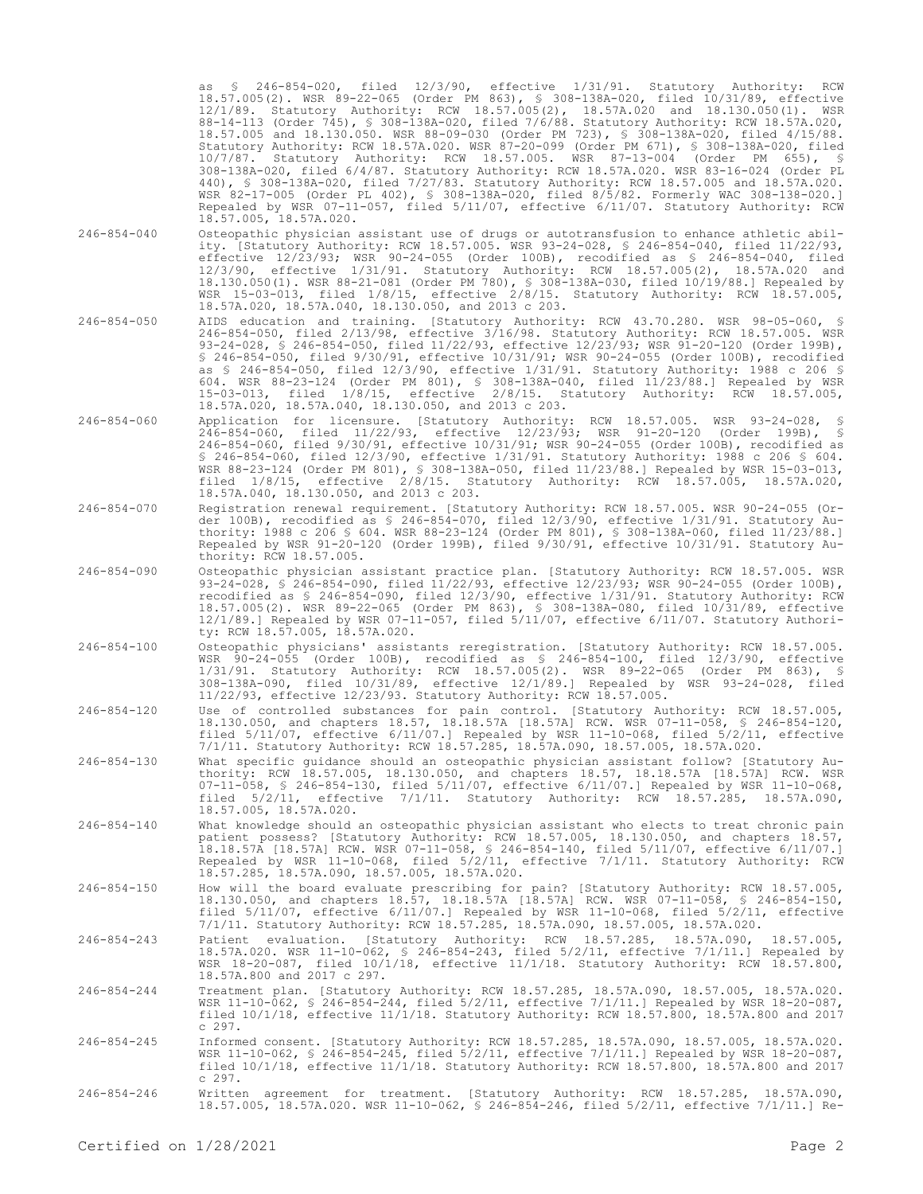|                   | as \$ 246-854-020, filed 12/3/90, effective 1/31/91. Statutory Authority: RCW<br>18.57.005(2). WSR 89-22-065 (Order PM 863), § 308-138A-020, filed 10/31/89, effective                                                                                                                                                                                                                                                                                                                                                                                                                                                                                                                                         |
|-------------------|----------------------------------------------------------------------------------------------------------------------------------------------------------------------------------------------------------------------------------------------------------------------------------------------------------------------------------------------------------------------------------------------------------------------------------------------------------------------------------------------------------------------------------------------------------------------------------------------------------------------------------------------------------------------------------------------------------------|
|                   | 12/1/89. Statutory Authority: RCW 18.57.005(2), 18.57A.020 and 18.130.050(1). WSR<br>88-14-113 (Order 745), § 308-138A-020, filed 7/6/88. Statutory Authority: RCW 18.57A.020,<br>18.57.005 and 18.130.050. WSR 88-09-030 (Order PM 723), § 308-138A-020, filed 4/15/88.<br>Statutory Authority: RCW 18.57A.020. WSR 87-20-099 (Order PM 671), § 308-138A-020, filed<br>10/7/87. Statutory Authority: RCW 18.57.005. WSR 87-13-004 (Order PM 655), §<br>308-138A-020, filed 6/4/87. Statutory Authority: RCW 18.57A.020. WSR 83-16-024 (Order PL                                                                                                                                                               |
|                   | 440), § 308-138A-020, filed 7/27/83. Statutory Authority: RCW 18.57.005 and 18.57A.020.<br>WSR 82-17-005 (Order PL 402), § 308-138A-020, filed 8/5/82. Formerly WAC 308-138-020.]<br>Repealed by WSR 07-11-057, filed 5/11/07, effective 6/11/07. Statutory Authority: RCW<br>18.57.005, 18.57A.020.                                                                                                                                                                                                                                                                                                                                                                                                           |
| $246 - 854 - 040$ | Osteopathic physician assistant use of drugs or autotransfusion to enhance athletic abil-<br>ity. [Statutory Authority: RCW 18.57.005. WSR 93-24-028, § 246-854-040, filed 11/22/93,<br>effective $12/23/93$ ; WSR 90-24-055 (Order 100B), recodified as $$246-854-040$ , filed<br>12/3/90, effective 1/31/91. Statutory Authority: RCW 18.57.005(2), 18.57A.020 and<br>18.130.050(1). WSR 88-21-081 (Order PM 780), § 308-138A-030, filed 10/19/88.] Repealed by<br>WSR $15-03-013$ , filed $1/8/15$ , effective $2/8/15$ . Statutory Authority: RCW 18.57.005,<br>18.57A.020, 18.57A.040, 18.130.050, and 2013 c 203.                                                                                        |
| $246 - 854 - 050$ | AIDS education and training. [Statutory Authority: RCW 43.70.280. WSR 98-05-060, §<br>246-854-050, filed 2/13/98, effective 3/16/98. Statutory Authority: RCW 18.57.005. WSR<br>93-24-028, § 246-854-050, filed 11/22/93, effective 12/23/93; WSR 91-20-120 (Order 199B),<br>$$246-854-050$ , filed $9/30/91$ , effective $10/31/91$ ; WSR $90-24-055$ (Order 100B), recodified<br>as § 246-854-050, filed $12/3/90$ , effective $1/31/91$ . Statutory Authority: 1988 c 206 §<br>604. WSR 88-23-124 (Order PM 801), § 308-138A-040, filed 11/23/88.] Repealed by WSR<br>15-03-013, filed 1/8/15, effective 2/8/15. Statutory Authority: RCW 18.57.005,<br>18.57A.020, 18.57A.040, 18.130.050, and 2013 c 203. |
| $246 - 854 - 060$ | Application for licensure. [Statutory Authority: RCW 18.57.005. WSR 93-24-028, §<br>246-854-060, filed 11/22/93, effective 12/23/93; WSR 91-20-120 (Order 199B),<br>- 8<br>246-854-060, filed 9/30/91, effective 10/31/91; WSR 90-24-055 (Order 100B), recodified as<br>$$246-854-060$ , filed $12/3/90$ , effective $1/31/91$ . Statutory Authority: 1988 c 206 \$ 604.<br>WSR 88-23-124 (Order PM 801), § 308-138A-050, filed 11/23/88.] Repealed by WSR 15-03-013,<br>filed $1/8/15$ , effective $2/8/15$ . Statutory Authority: RCW 18.57.005, 18.57A.020,<br>18.57A.040, 18.130.050, and 2013 c 203.                                                                                                      |
| $246 - 854 - 070$ | Registration renewal requirement. [Statutory Authority: RCW 18.57.005. WSR 90-24-055 (Or-<br>der 100B), recodified as $\frac{1}{2}$ 246-854-070, filed 12/3/90, effective 1/31/91. Statutory Au-<br>thority: 1988 c 206 \$ 604. WSR 88-23-124 (Order PM 801), \$ 308-138A-060, filed 11/23/88.]<br>Repealed by WSR 91-20-120 (Order 199B), filed 9/30/91, effective 10/31/91. Statutory Au-<br>thority: RCW 18.57.005.                                                                                                                                                                                                                                                                                         |
| $246 - 854 - 090$ | Osteopathic physician assistant practice plan. [Statutory Authority: RCW 18.57.005. WSR<br>93-24-028, § 246-854-090, filed 11/22/93, effective 12/23/93; WSR 90-24-055 (Order 100B),<br>recodified as $\frac{1}{2}$ 246-854-090, filed 12/3/90, effective 1/31/91. Statutory Authority: RCW<br>18.57.005(2). WSR 89-22-065 (Order PM 863), § 308-138A-080, filed 10/31/89, effective<br>$12/1/89$ .] Repealed by WSR 07-11-057, filed 5/11/07, effective 6/11/07. Statutory Authori-<br>ty: RCW 18.57.005, 18.57A.020.                                                                                                                                                                                         |
| $246 - 854 - 100$ | Osteopathic physicians' assistants reregistration. [Statutory Authority: RCW 18.57.005.<br>WSR 90-24-055 (Order 100B), recodified as \$ 246-854-100, filed 12/3/90, effective<br>1/31/91. Statutory Authority: RCW 18.57.005(2). WSR 89-22-065 (Order PM 863), §<br>308-138A-090, filed 10/31/89, effective 12/1/89.] Repealed by WSR 93-24-028, filed<br>$11/22/93$ , effective $12/23/93$ . Statutory Authority: RCW 18.57.005.                                                                                                                                                                                                                                                                              |
| $246 - 854 - 120$ | Use of controlled substances for pain control. [Statutory Authority: RCW 18.57.005,<br>18.130.050, and chapters 18.57, 18.18.57A [18.57A] RCW. WSR 07-11-058, § 246-854-120,<br>filed $5/11/07$ , effective $6/11/07$ . Repealed by WSR 11-10-068, filed $5/2/11$ , effective<br>7/1/11. Statutory Authority: RCW 18.57.285, 18.57A.090, 18.57.005, 18.57A.020.                                                                                                                                                                                                                                                                                                                                                |
| $246 - 854 - 130$ | What specific quidance should an osteopathic physician assistant follow? [Statutory Au-<br>thority: RCW 18.57.005, 18.130.050, and chapters 18.57, 18.18.57A [18.57A] RCW. WSR<br>07-11-058, \$ 246-854-130, filed 5/11/07, effective 6/11/07.] Repealed by WSR 11-10-068,<br>filed $5/2/11$ , effective $7/1/11$ . Statutory Authority: RCW 18.57.285, 18.57A.090,<br>18.57.005, 18.57A.020.                                                                                                                                                                                                                                                                                                                  |
| $246 - 854 - 140$ | What knowledge should an osteopathic physician assistant who elects to treat chronic pain<br>patient possess? [Statutory Authority: RCW 18.57.005, 18.130.050, and chapters 18.57,<br>18.18.57A [18.57A] RCW. WSR 07-11-058, § 246-854-140, filed 5/11/07, effective 6/11/07.]<br>Repealed by WSR 11-10-068, filed 5/2/11, effective 7/1/11. Statutory Authority: RCW<br>18.57.285, 18.57A.090, 18.57.005, 18.57A.020.                                                                                                                                                                                                                                                                                         |
| $246 - 854 - 150$ | How will the board evaluate prescribing for pain? [Statutory Authority: RCW 18.57.005,<br>18.130.050, and chapters 18.57, 18.18.57A [18.57A] RCW. WSR 07-11-058, § 246-854-150,<br>filed $5/11/07$ , effective $6/11/07$ . Repealed by WSR 11-10-068, filed $5/2/11$ , effective<br>7/1/11. Statutory Authority: RCW 18.57.285, 18.57A.090, 18.57.005, 18.57A.020.                                                                                                                                                                                                                                                                                                                                             |
| $246 - 854 - 243$ | Patient evaluation. [Statutory Authority: RCW 18.57.285, 18.57A.090, 18.57.005,<br>18.57A.020. WSR 11-10-062, § 246-854-243, filed $5/2/11$ , effective $7/1/11$ . Repealed by<br>WSR $18-20-087$ , filed $10/1/18$ , effective $11/1/18$ . Statutory Authority: RCW 18.57.800,<br>18.57A.800 and 2017 c 297.                                                                                                                                                                                                                                                                                                                                                                                                  |
| $246 - 854 - 244$ | Treatment plan. [Statutory Authority: RCW 18.57.285, 18.57A.090, 18.57.005, 18.57A.020.<br>WSR 11-10-062, § 246-854-244, filed $5/2/11$ , effective $7/1/11$ .] Repealed by WSR 18-20-087,<br>filed $10/1/18$ , effective $11/1/18$ . Statutory Authority: RCW 18.57.800, 18.57A.800 and 2017<br>$c$ 297.                                                                                                                                                                                                                                                                                                                                                                                                      |
| $246 - 854 - 245$ | Informed consent. [Statutory Authority: RCW 18.57.285, 18.57A.090, 18.57.005, 18.57A.020.<br>WSR 11-10-062, § 246-854-245, filed $5/2/11$ , effective $7/1/11$ .] Repealed by WSR 18-20-087,<br>filed $10/1/18$ , effective $11/1/18$ . Statutory Authority: RCW 18.57.800, 18.57A.800 and 2017<br>$c$ 297.                                                                                                                                                                                                                                                                                                                                                                                                    |
| 246-854-246       | Written agreement for treatment. [Statutory Authority: RCW 18.57.285, 18.57A.090,<br>18.57.005, 18.57A.020. WSR 11-10-062, § 246-854-246, filed 5/2/11, effective 7/1/11.] Re-                                                                                                                                                                                                                                                                                                                                                                                                                                                                                                                                 |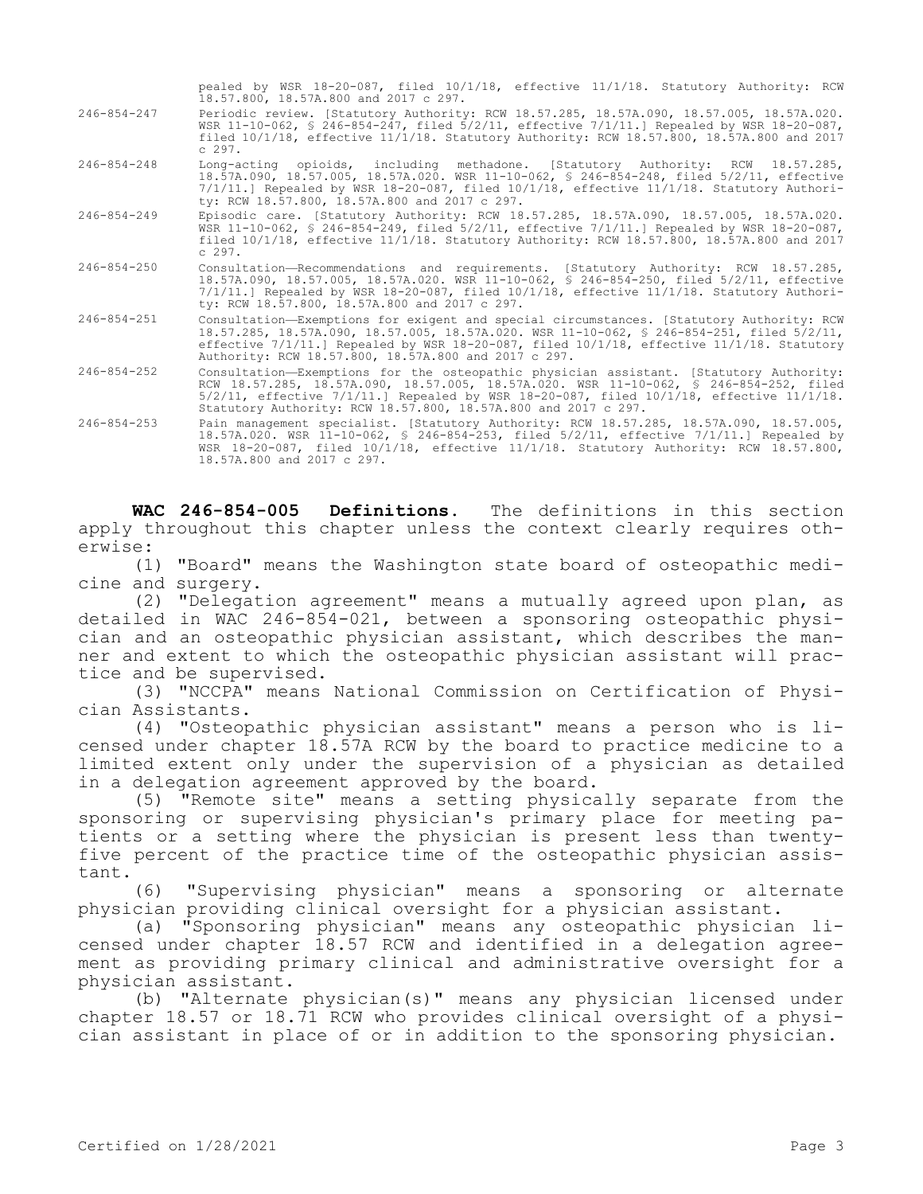pealed by WSR 18-20-087, filed 10/1/18, effective 11/1/18. Statutory Authority: RCW 18.57.800, 18.57A.800 and 2017 c 297.

- 246-854-247 Periodic review. [Statutory Authority: RCW 18.57.285, 18.57A.090, 18.57.005, 18.57A.020. WSR 11-10-062, § 246-854-247, filed 5/2/11, effective 7/1/11.] Repealed by WSR 18-20-087, filed 10/1/18, effective 11/1/18. Statutory Authority: RCW 18.57.800, 18.57A.800 and 2017 c 297.
- 246-854-248 Long-acting opioids, including methadone. [Statutory Authority: RCW 18.57.285, 18.57A.090, 18.57.005, 18.57A.020. WSR 11-10-062, § 246-854-248, filed 5/2/11, effective 7/1/11.] Repealed by WSR 18-20-087, filed 10/1/18, effective 11/1/18. Statutory Authority: RCW 18.57.800, 18.57A.800 and 2017 c 297.
- 246-854-249 Episodic care. [Statutory Authority: RCW 18.57.285, 18.57A.090, 18.57.005, 18.57A.020. WSR 11-10-062, § 246-854-249, filed 5/2/11, effective 7/1/11.] Repealed by WSR 18-20-087, filed 10/1/18, effective 11/1/18. Statutory Authority: RCW 18.57.800, 18.57A.800 and 2017 c 297.
- 246-854-250 Consultation—Recommendations and requirements. [Statutory Authority: RCW 18.57.285, 18.57A.090, 18.57.005, 18.57A.020. WSR 11-10-062, § 246-854-250, filed 5/2/11, effective 7/1/11.] Repealed by WSR 18-20-087, filed 10/1/18, effective 11/1/18. Statutory Authority: RCW 18.57.800, 18.57A.800 and 2017 c 297.
- 246-854-251 Consultation—Exemptions for exigent and special circumstances. [Statutory Authority: RCW 18.57.285, 18.57A.090, 18.57.005, 18.57A.020. WSR 11-10-062, § 246-854-251, filed 5/2/11, effective 7/1/11.] Repealed by WSR 18-20-087, filed 10/1/18, effective 11/1/18. Statutory Authority: RCW 18.57.800, 18.57A.800 and 2017 c 297.
- 246-854-252 Consultation—Exemptions for the osteopathic physician assistant. [Statutory Authority: RCW 18.57.285, 18.57A.090, 18.57.005, 18.57A.020. WSR 11-10-062, § 246-854-252, filed 5/2/11, effective 7/1/11.] Repealed by WSR 18-20-087, filed 10/1/18, effective 11/1/18. Statutory Authority: RCW 18.57.800, 18.57A.800 and 2017 c 297.
- 246-854-253 Pain management specialist. [Statutory Authority: RCW 18.57.285, 18.57A.090, 18.57.005, 18.57A.020. WSR 11-10-062, § 246-854-253, filed 5/2/11, effective 7/1/11.] Repealed by WSR 18-20-087, filed 10/1/18, effective 11/1/18. Statutory Authority: RCW 18.57.800, 18.57A.800 and 2017 c 297.

**WAC 246-854-005 Definitions.** The definitions in this section apply throughout this chapter unless the context clearly requires otherwise:

(1) "Board" means the Washington state board of osteopathic medicine and surgery.

(2) "Delegation agreement" means a mutually agreed upon plan, as detailed in WAC 246-854-021, between a sponsoring osteopathic physician and an osteopathic physician assistant, which describes the manner and extent to which the osteopathic physician assistant will practice and be supervised.

(3) "NCCPA" means National Commission on Certification of Physician Assistants.

(4) "Osteopathic physician assistant" means a person who is licensed under chapter 18.57A RCW by the board to practice medicine to a limited extent only under the supervision of a physician as detailed in a delegation agreement approved by the board.

(5) "Remote site" means a setting physically separate from the sponsoring or supervising physician's primary place for meeting patients or a setting where the physician is present less than twentyfive percent of the practice time of the osteopathic physician assistant.

(6) "Supervising physician" means a sponsoring or alternate physician providing clinical oversight for a physician assistant.

(a) "Sponsoring physician" means any osteopathic physician licensed under chapter 18.57 RCW and identified in a delegation agreement as providing primary clinical and administrative oversight for a physician assistant.

(b) "Alternate physician(s)" means any physician licensed under chapter 18.57 or 18.71 RCW who provides clinical oversight of a physician assistant in place of or in addition to the sponsoring physician.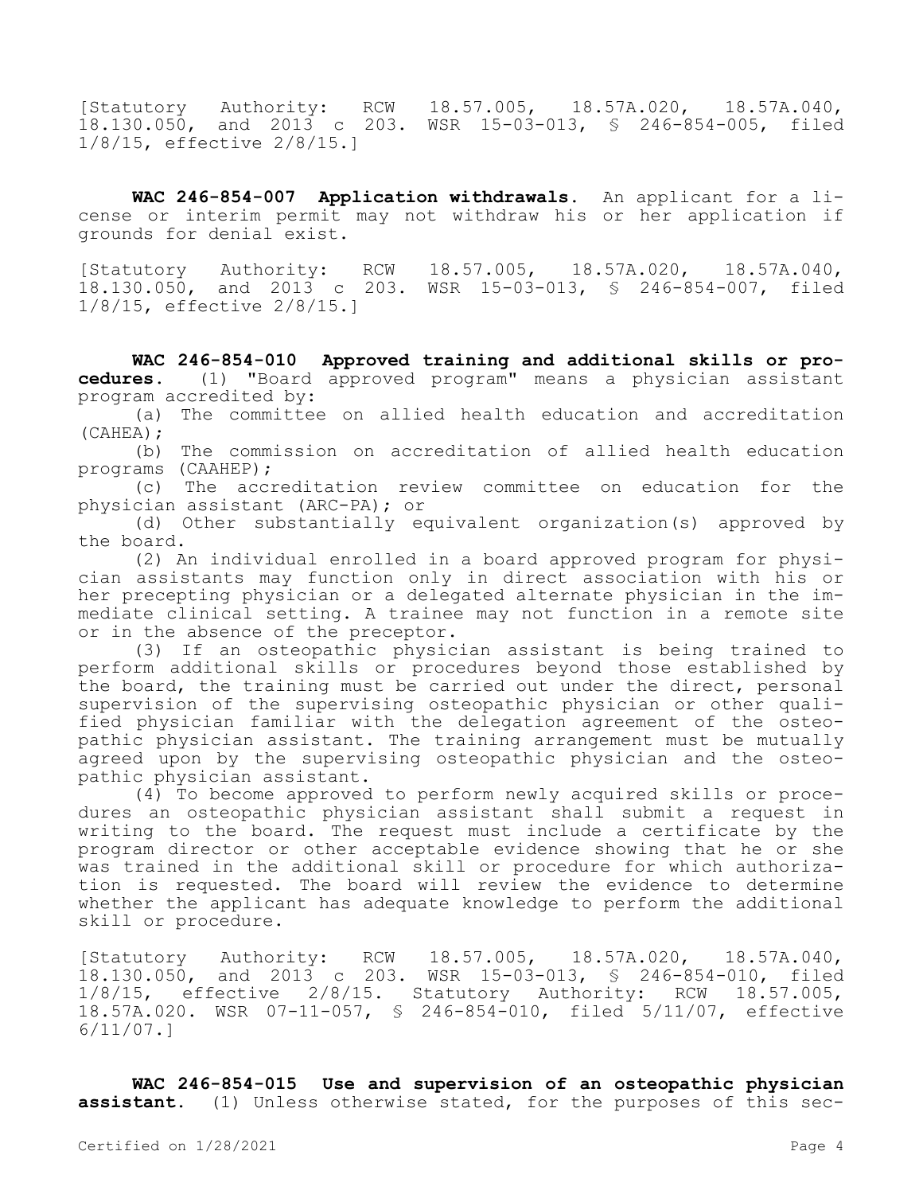[Statutory Authority: RCW 18.57.005, 18.57A.020, 18.57A.040, 18.130.050, and 2013 c 203. WSR 15-03-013, § 246-854-005, filed 1/8/15, effective 2/8/15.]

**WAC 246-854-007 Application withdrawals.** An applicant for a license or interim permit may not withdraw his or her application if grounds for denial exist.

[Statutory Authority: RCW 18.57.005, 18.57A.020, 18.57A.040, 18.130.050, and 2013 c 203. WSR 15-03-013, § 246-854-007, filed 1/8/15, effective 2/8/15.]

**WAC 246-854-010 Approved training and additional skills or procedures.** (1) "Board approved program" means a physician assistant program accredited by:

(a) The committee on allied health education and accreditation (CAHEA);

(b) The commission on accreditation of allied health education programs (CAAHEP);

(c) The accreditation review committee on education for the physician assistant (ARC-PA); or

(d) Other substantially equivalent organization(s) approved by the board.

(2) An individual enrolled in a board approved program for physician assistants may function only in direct association with his or her precepting physician or a delegated alternate physician in the immediate clinical setting. A trainee may not function in a remote site or in the absence of the preceptor.

(3) If an osteopathic physician assistant is being trained to perform additional skills or procedures beyond those established by the board, the training must be carried out under the direct, personal supervision of the supervising osteopathic physician or other qualified physician familiar with the delegation agreement of the osteopathic physician assistant. The training arrangement must be mutually agreed upon by the supervising osteopathic physician and the osteopathic physician assistant.

(4) To become approved to perform newly acquired skills or procedures an osteopathic physician assistant shall submit a request in writing to the board. The request must include a certificate by the program director or other acceptable evidence showing that he or she was trained in the additional skill or procedure for which authorization is requested. The board will review the evidence to determine whether the applicant has adequate knowledge to perform the additional skill or procedure.

[Statutory Authority: RCW 18.57.005, 18.57A.020, 18.57A.040, 18.130.050, and 2013 c 203. WSR 15-03-013, § 246-854-010, filed 1/8/15, effective 2/8/15. Statutory Authority: RCW 18.57.005, 18.57A.020. WSR 07-11-057, § 246-854-010, filed 5/11/07, effective 6/11/07.]

**WAC 246-854-015 Use and supervision of an osteopathic physician assistant.** (1) Unless otherwise stated, for the purposes of this sec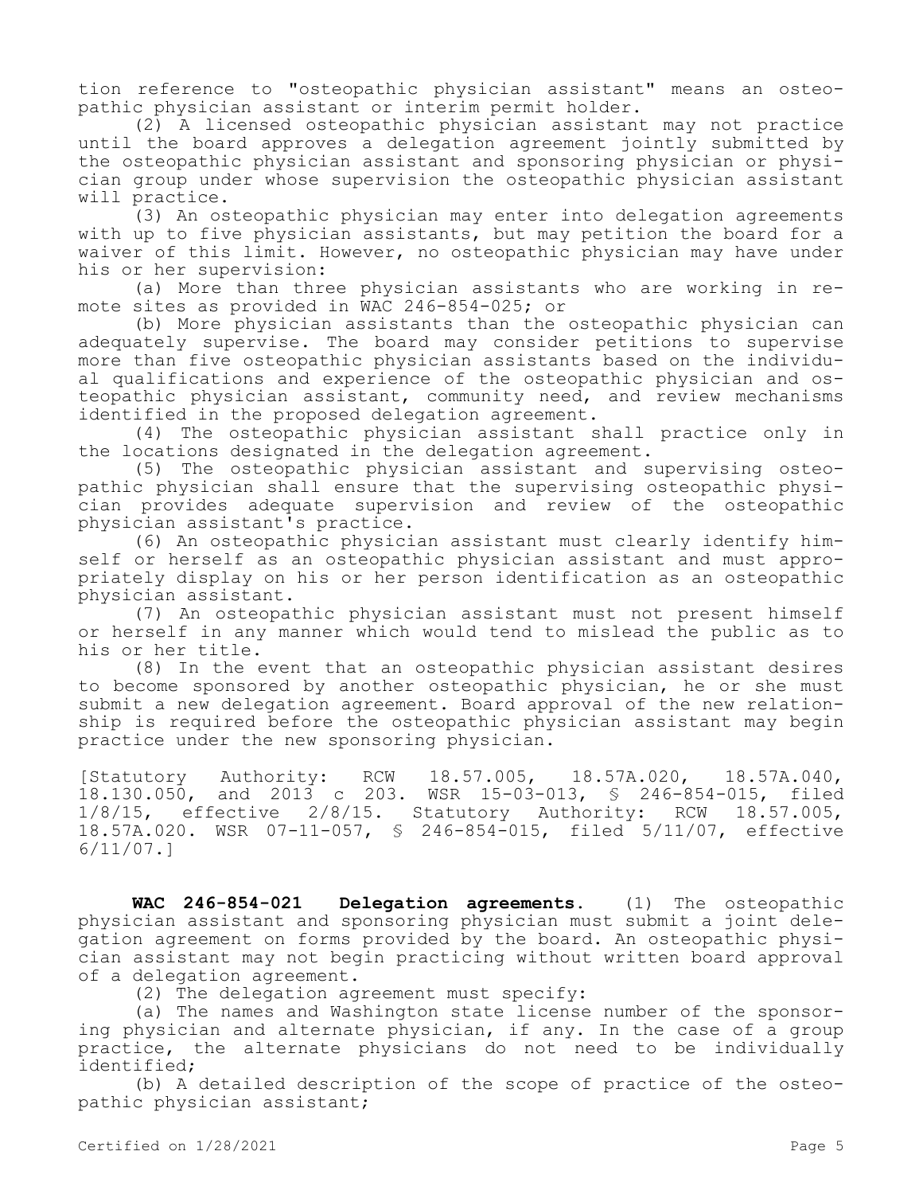tion reference to "osteopathic physician assistant" means an osteopathic physician assistant or interim permit holder.

(2) A licensed osteopathic physician assistant may not practice until the board approves a delegation agreement jointly submitted by the osteopathic physician assistant and sponsoring physician or physician group under whose supervision the osteopathic physician assistant will practice.

(3) An osteopathic physician may enter into delegation agreements with up to five physician assistants, but may petition the board for a waiver of this limit. However, no osteopathic physician may have under his or her supervision:

(a) More than three physician assistants who are working in remote sites as provided in WAC 246-854-025; or

(b) More physician assistants than the osteopathic physician can adequately supervise. The board may consider petitions to supervise more than five osteopathic physician assistants based on the individual qualifications and experience of the osteopathic physician and osteopathic physician assistant, community need, and review mechanisms identified in the proposed delegation agreement.

(4) The osteopathic physician assistant shall practice only in the locations designated in the delegation agreement.

(5) The osteopathic physician assistant and supervising osteopathic physician shall ensure that the supervising osteopathic physician provides adequate supervision and review of the osteopathic physician assistant's practice.

(6) An osteopathic physician assistant must clearly identify himself or herself as an osteopathic physician assistant and must appropriately display on his or her person identification as an osteopathic physician assistant.

(7) An osteopathic physician assistant must not present himself or herself in any manner which would tend to mislead the public as to his or her title.

(8) In the event that an osteopathic physician assistant desires to become sponsored by another osteopathic physician, he or she must submit a new delegation agreement. Board approval of the new relationship is required before the osteopathic physician assistant may begin practice under the new sponsoring physician.

[Statutory Authority: RCW 18.57.005, 18.57A.020, 18.57A.040, 18.130.050, and 2013 c 203. WSR 15-03-013, § 246-854-015, filed 1/8/15, effective 2/8/15. Statutory Authority: RCW 18.57.005, 18.57A.020. WSR 07-11-057, § 246-854-015, filed 5/11/07, effective 6/11/07.]

**WAC 246-854-021 Delegation agreements.** (1) The osteopathic physician assistant and sponsoring physician must submit a joint delegation agreement on forms provided by the board. An osteopathic physician assistant may not begin practicing without written board approval of a delegation agreement.

(2) The delegation agreement must specify:

(a) The names and Washington state license number of the sponsoring physician and alternate physician, if any. In the case of a group practice, the alternate physicians do not need to be individually identified;

(b) A detailed description of the scope of practice of the osteopathic physician assistant;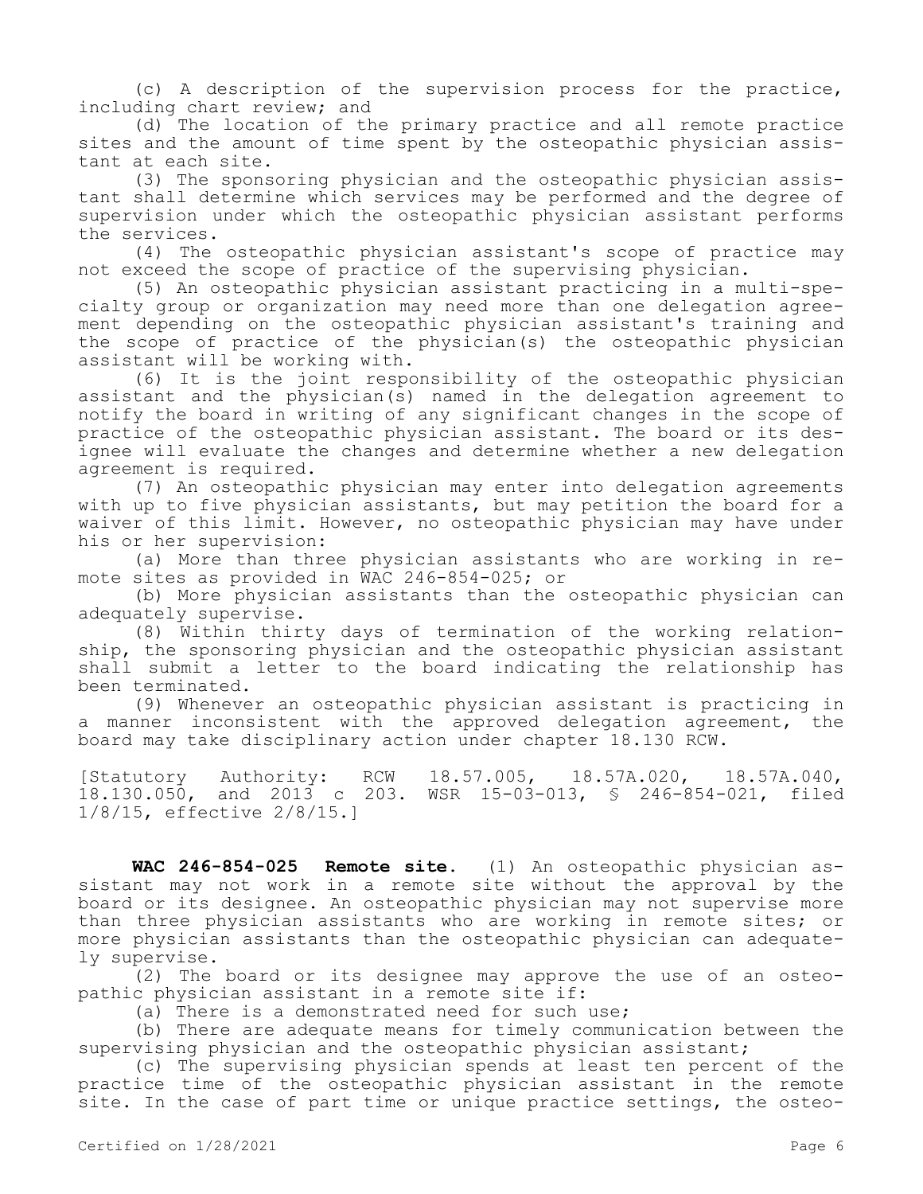(c) A description of the supervision process for the practice, including chart review; and

(d) The location of the primary practice and all remote practice sites and the amount of time spent by the osteopathic physician assistant at each site.

(3) The sponsoring physician and the osteopathic physician assistant shall determine which services may be performed and the degree of supervision under which the osteopathic physician assistant performs the services.

(4) The osteopathic physician assistant's scope of practice may not exceed the scope of practice of the supervising physician.

(5) An osteopathic physician assistant practicing in a multi-specialty group or organization may need more than one delegation agreement depending on the osteopathic physician assistant's training and the scope of practice of the physician(s) the osteopathic physician assistant will be working with.

(6) It is the joint responsibility of the osteopathic physician assistant and the physician(s) named in the delegation agreement to notify the board in writing of any significant changes in the scope of practice of the osteopathic physician assistant. The board or its designee will evaluate the changes and determine whether a new delegation agreement is required.

(7) An osteopathic physician may enter into delegation agreements with up to five physician assistants, but may petition the board for a waiver of this limit. However, no osteopathic physician may have under his or her supervision:

(a) More than three physician assistants who are working in remote sites as provided in WAC 246-854-025; or

(b) More physician assistants than the osteopathic physician can adequately supervise.

(8) Within thirty days of termination of the working relationship, the sponsoring physician and the osteopathic physician assistant shall submit a letter to the board indicating the relationship has been terminated.

(9) Whenever an osteopathic physician assistant is practicing in a manner inconsistent with the approved delegation agreement, the board may take disciplinary action under chapter 18.130 RCW.

[Statutory Authority: RCW 18.57.005, 18.57A.020, 18.57A.040, 18.130.050, and 2013 c 203. WSR 15-03-013, § 246-854-021, filed 1/8/15, effective 2/8/15.]

**WAC 246-854-025 Remote site.** (1) An osteopathic physician assistant may not work in a remote site without the approval by the board or its designee. An osteopathic physician may not supervise more than three physician assistants who are working in remote sites; or more physician assistants than the osteopathic physician can adequately supervise.

(2) The board or its designee may approve the use of an osteopathic physician assistant in a remote site if:

(a) There is a demonstrated need for such use;

(b) There are adequate means for timely communication between the supervising physician and the osteopathic physician assistant;

(c) The supervising physician spends at least ten percent of the practice time of the osteopathic physician assistant in the remote site. In the case of part time or unique practice settings, the osteo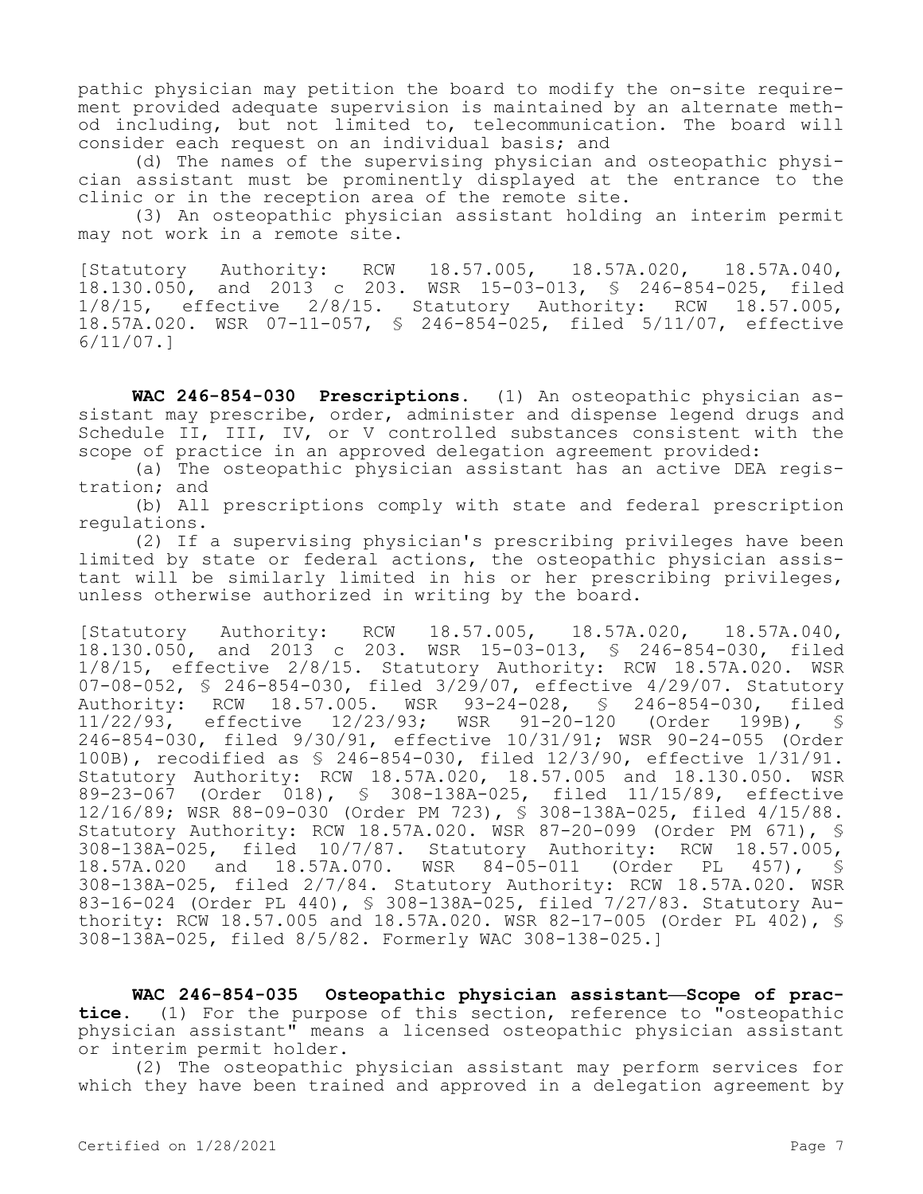pathic physician may petition the board to modify the on-site requirement provided adequate supervision is maintained by an alternate method including, but not limited to, telecommunication. The board will consider each request on an individual basis; and

(d) The names of the supervising physician and osteopathic physician assistant must be prominently displayed at the entrance to the clinic or in the reception area of the remote site.

(3) An osteopathic physician assistant holding an interim permit may not work in a remote site.

[Statutory Authority: RCW 18.57.005, 18.57A.020, 18.57A.040, 18.130.050, and 2013 c 203. WSR 15-03-013, § 246-854-025, filed 1/8/15, effective 2/8/15. Statutory Authority: RCW 18.57.005, 18.57A.020. WSR 07-11-057, § 246-854-025, filed 5/11/07, effective 6/11/07.]

**WAC 246-854-030 Prescriptions.** (1) An osteopathic physician assistant may prescribe, order, administer and dispense legend drugs and Schedule II, III, IV, or V controlled substances consistent with the scope of practice in an approved delegation agreement provided:

(a) The osteopathic physician assistant has an active DEA registration; and

(b) All prescriptions comply with state and federal prescription regulations.

(2) If a supervising physician's prescribing privileges have been limited by state or federal actions, the osteopathic physician assistant will be similarly limited in his or her prescribing privileges, unless otherwise authorized in writing by the board.

[Statutory Authority: RCW 18.57.005, 18.57A.020, 18.57A.040, 18.130.050, and 2013 c 203. WSR 15-03-013, § 246-854-030, filed 1/8/15, effective 2/8/15. Statutory Authority: RCW 18.57A.020. WSR 07-08-052, § 246-854-030, filed 3/29/07, effective 4/29/07. Statutory Authority: RCW 18.57.005. WSR 93-24-028, § 246-854-030, filed<br>11/22/93, effective 12/23/93; WSR 91-20-120 (Order 199B), § 11/22/93, effective 12/23/93; WSR 91-20-120 (Order 199B), § 246-854-030, filed 9/30/91, effective 10/31/91; WSR 90-24-055 (Order 100B), recodified as § 246-854-030, filed 12/3/90, effective 1/31/91. Statutory Authority: RCW 18.57A.020, 18.57.005 and 18.130.050. WSR 89-23-067 (Order 018), § 308-138A-025, filed 11/15/89, effective 12/16/89; WSR 88-09-030 (Order PM 723), § 308-138A-025, filed 4/15/88. Statutory Authority: RCW 18.57A.020. WSR 87-20-099 (Order PM 671), § 308-138A-025, filed 10/7/87. Statutory Authority: RCW 18.57.005, 18.57A.020 and 18.57A.070. WSR 84-05-011 (Order PL 457), § 308-138A-025, filed 2/7/84. Statutory Authority: RCW 18.57A.020. WSR 83-16-024 (Order PL 440), § 308-138A-025, filed 7/27/83. Statutory Authority: RCW 18.57.005 and 18.57A.020. WSR 82-17-005 (Order PL 402), § 308-138A-025, filed 8/5/82. Formerly WAC 308-138-025.]

**WAC 246-854-035 Osteopathic physician assistant—Scope of practice.** (1) For the purpose of this section, reference to "osteopathic physician assistant" means a licensed osteopathic physician assistant or interim permit holder.

(2) The osteopathic physician assistant may perform services for which they have been trained and approved in a delegation agreement by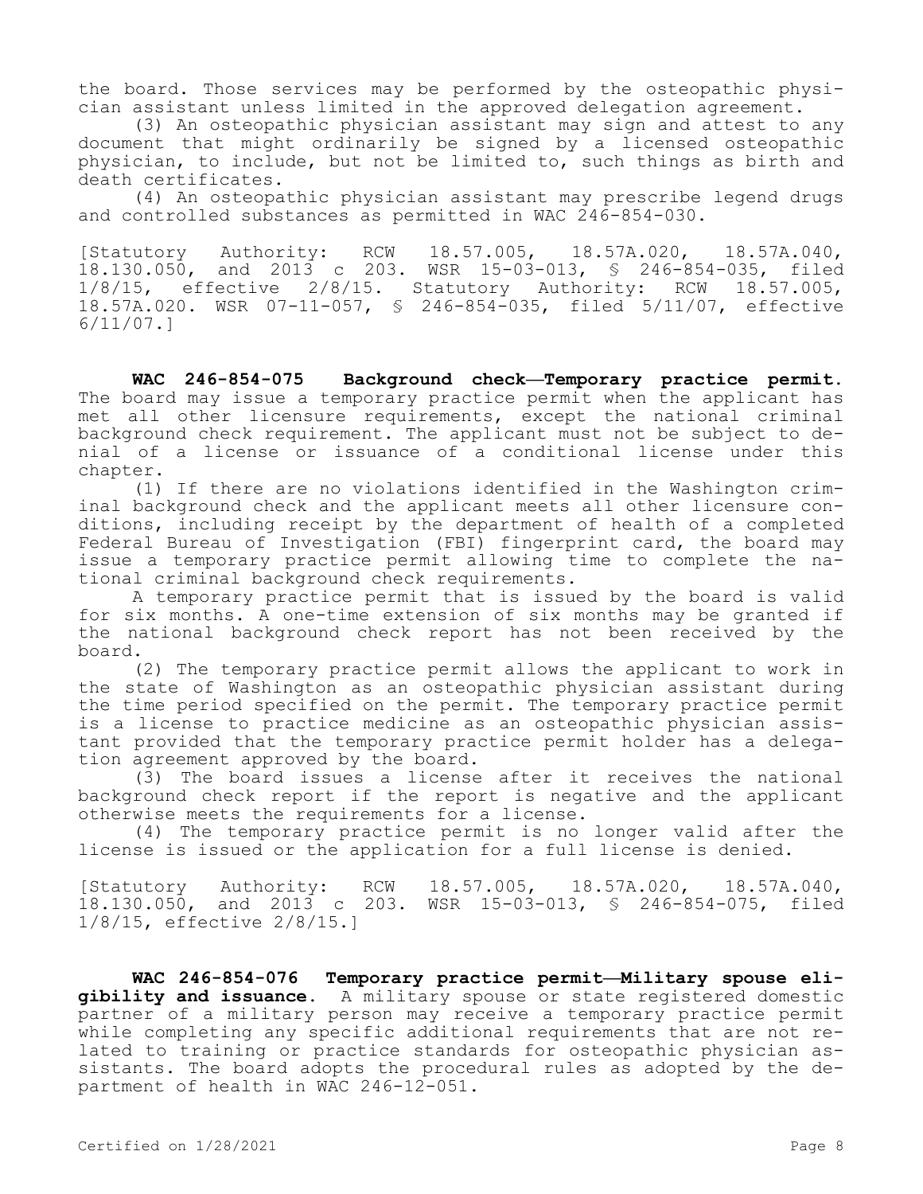the board. Those services may be performed by the osteopathic physician assistant unless limited in the approved delegation agreement.

(3) An osteopathic physician assistant may sign and attest to any document that might ordinarily be signed by a licensed osteopathic physician, to include, but not be limited to, such things as birth and death certificates.

(4) An osteopathic physician assistant may prescribe legend drugs and controlled substances as permitted in WAC 246-854-030.

[Statutory Authority: RCW 18.57.005, 18.57A.020, 18.57A.040, 18.130.050, and 2013 c 203. WSR 15-03-013, § 246-854-035, filed 1/8/15, effective 2/8/15. Statutory Authority: RCW 18.57.005, 18.57A.020. WSR 07-11-057, § 246-854-035, filed 5/11/07, effective 6/11/07.]

**WAC 246-854-075 Background check—Temporary practice permit.**  The board may issue a temporary practice permit when the applicant has met all other licensure requirements, except the national criminal background check requirement. The applicant must not be subject to denial of a license or issuance of a conditional license under this chapter.

(1) If there are no violations identified in the Washington criminal background check and the applicant meets all other licensure conditions, including receipt by the department of health of a completed Federal Bureau of Investigation (FBI) fingerprint card, the board may issue a temporary practice permit allowing time to complete the national criminal background check requirements.

A temporary practice permit that is issued by the board is valid for six months. A one-time extension of six months may be granted if the national background check report has not been received by the board.

(2) The temporary practice permit allows the applicant to work in the state of Washington as an osteopathic physician assistant during the time period specified on the permit. The temporary practice permit is a license to practice medicine as an osteopathic physician assistant provided that the temporary practice permit holder has a delegation agreement approved by the board.

(3) The board issues a license after it receives the national background check report if the report is negative and the applicant otherwise meets the requirements for a license.

(4) The temporary practice permit is no longer valid after the license is issued or the application for a full license is denied.

[Statutory Authority: RCW 18.57.005, 18.57A.020, 18.57A.040, 18.130.050, and 2013 c 203. WSR 15-03-013, § 246-854-075, filed 1/8/15, effective 2/8/15.]

**WAC 246-854-076 Temporary practice permit—Military spouse eligibility and issuance.** A military spouse or state registered domestic partner of a military person may receive a temporary practice permit while completing any specific additional requirements that are not related to training or practice standards for osteopathic physician assistants. The board adopts the procedural rules as adopted by the department of health in WAC 246-12-051.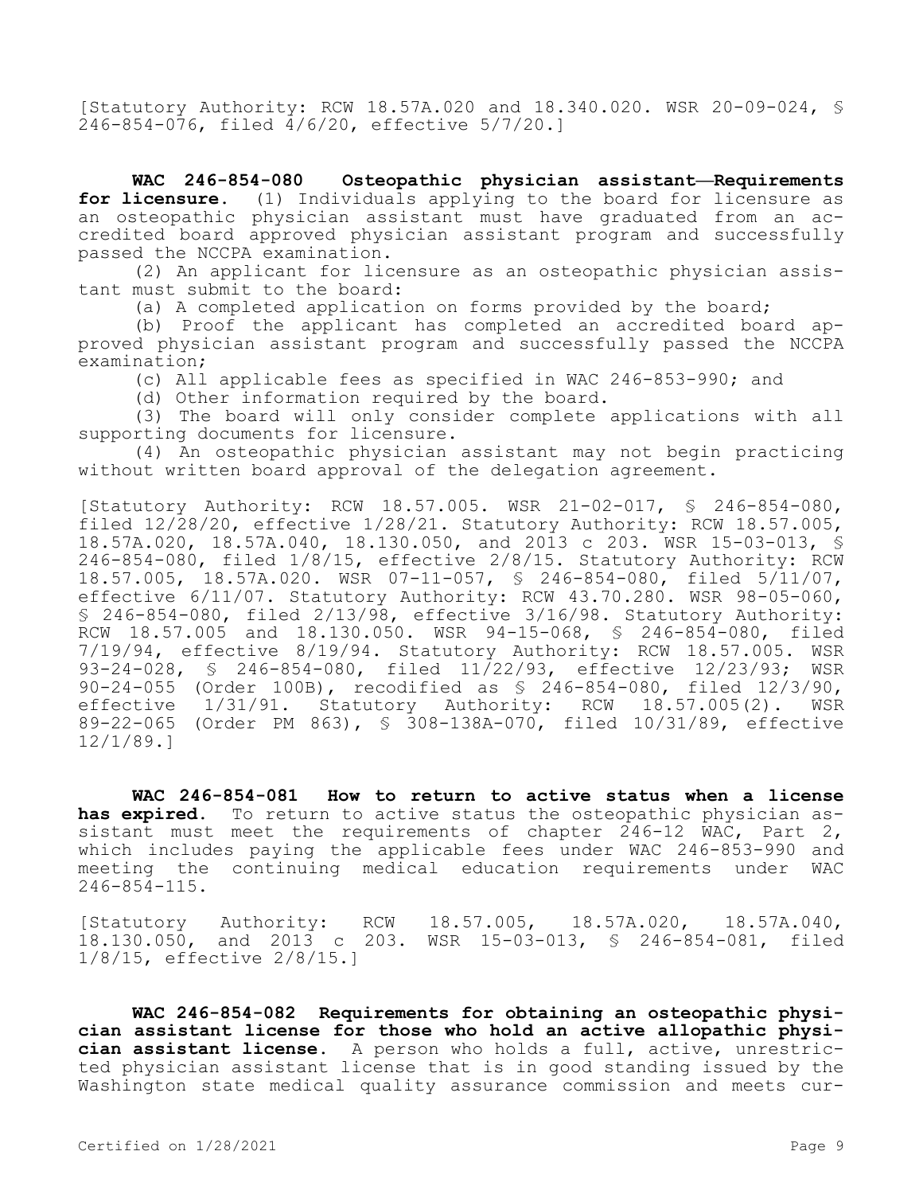[Statutory Authority: RCW 18.57A.020 and 18.340.020. WSR 20-09-024, § 246-854-076, filed 4/6/20, effective 5/7/20.]

**WAC 246-854-080 Osteopathic physician assistant—Requirements for licensure.** (1) Individuals applying to the board for licensure as an osteopathic physician assistant must have graduated from an accredited board approved physician assistant program and successfully passed the NCCPA examination.

(2) An applicant for licensure as an osteopathic physician assistant must submit to the board:

(a) A completed application on forms provided by the board;

(b) Proof the applicant has completed an accredited board approved physician assistant program and successfully passed the NCCPA examination;

(c) All applicable fees as specified in WAC 246-853-990; and

(d) Other information required by the board.

(3) The board will only consider complete applications with all supporting documents for licensure.

(4) An osteopathic physician assistant may not begin practicing without written board approval of the delegation agreement.

[Statutory Authority: RCW 18.57.005. WSR 21-02-017, § 246-854-080, filed 12/28/20, effective 1/28/21. Statutory Authority: RCW 18.57.005, 18.57A.020, 18.57A.040, 18.130.050, and 2013 c 203. WSR 15-03-013, § 246-854-080, filed 1/8/15, effective 2/8/15. Statutory Authority: RCW 18.57.005, 18.57A.020. WSR 07-11-057, § 246-854-080, filed 5/11/07, effective 6/11/07. Statutory Authority: RCW 43.70.280. WSR 98-05-060, § 246-854-080, filed 2/13/98, effective 3/16/98. Statutory Authority: RCW 18.57.005 and 18.130.050. WSR 94-15-068, § 246-854-080, filed 7/19/94, effective 8/19/94. Statutory Authority: RCW 18.57.005. WSR 93-24-028, § 246-854-080, filed 11/22/93, effective 12/23/93; WSR 90-24-055 (Order 100B), recodified as § 246-854-080, filed 12/3/90, effective 1/31/91. Statutory Authority: RCW 18.57.005(2). WSR 89-22-065 (Order PM 863), § 308-138A-070, filed 10/31/89, effective 12/1/89.]

**WAC 246-854-081 How to return to active status when a license has expired.** To return to active status the osteopathic physician assistant must meet the requirements of chapter 246-12 WAC, Part 2, which includes paying the applicable fees under WAC 246-853-990 and meeting the continuing medical education requirements under WAC 246-854-115.

[Statutory Authority: RCW 18.57.005, 18.57A.020, 18.57A.040, 18.130.050, and 2013 c 203. WSR 15-03-013, § 246-854-081, filed 1/8/15, effective 2/8/15.]

**WAC 246-854-082 Requirements for obtaining an osteopathic physician assistant license for those who hold an active allopathic physician assistant license.** A person who holds a full, active, unrestricted physician assistant license that is in good standing issued by the Washington state medical quality assurance commission and meets cur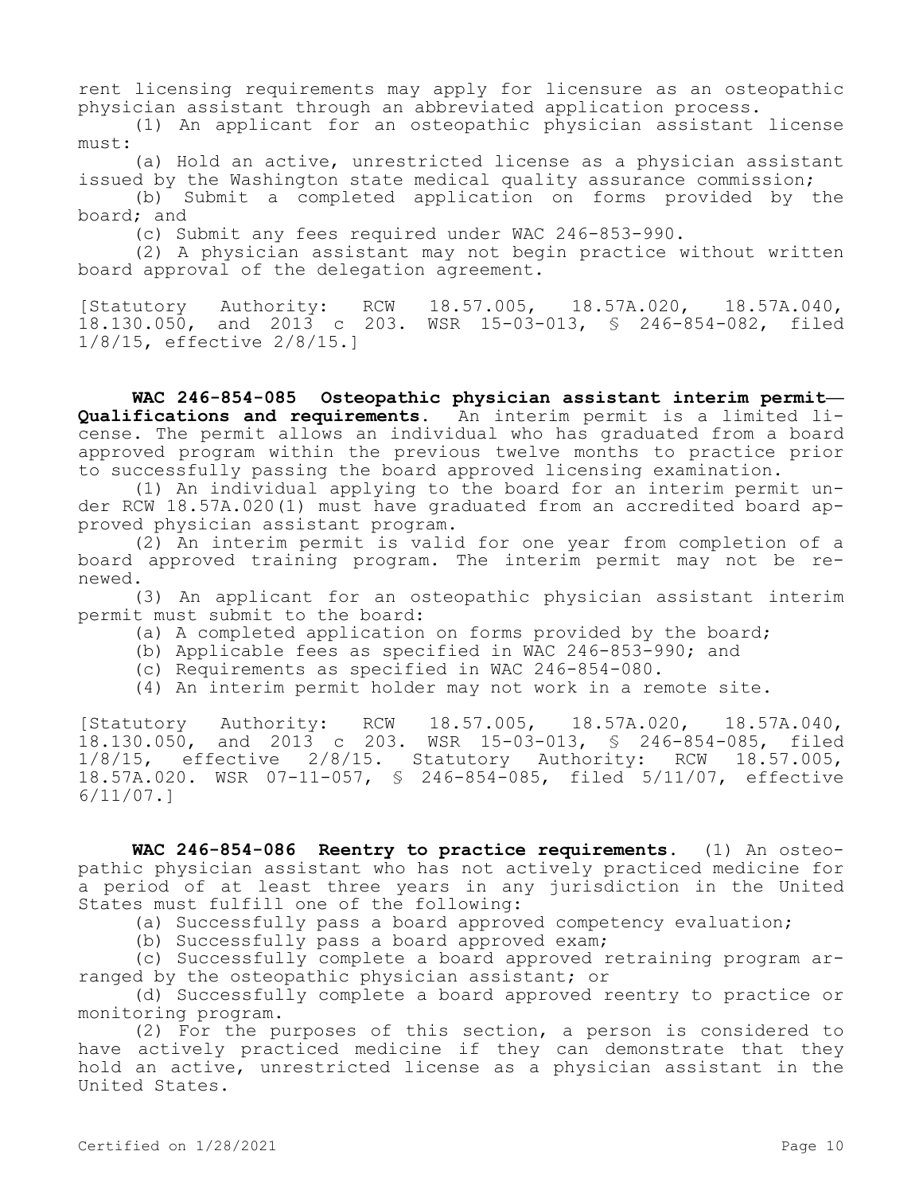rent licensing requirements may apply for licensure as an osteopathic physician assistant through an abbreviated application process.

(1) An applicant for an osteopathic physician assistant license must:

(a) Hold an active, unrestricted license as a physician assistant issued by the Washington state medical quality assurance commission;

(b) Submit a completed application on forms provided by the board; and

(c) Submit any fees required under WAC 246-853-990.

(2) A physician assistant may not begin practice without written board approval of the delegation agreement.

[Statutory Authority: RCW 18.57.005, 18.57A.020, 18.57A.040, 18.130.050, and 2013 c 203. WSR 15-03-013, § 246-854-082, filed 1/8/15, effective 2/8/15.]

**WAC 246-854-085 Osteopathic physician assistant interim permit— Qualifications and requirements.** An interim permit is a limited license. The permit allows an individual who has graduated from a board approved program within the previous twelve months to practice prior to successfully passing the board approved licensing examination.

(1) An individual applying to the board for an interim permit under RCW 18.57A.020(1) must have graduated from an accredited board approved physician assistant program.

(2) An interim permit is valid for one year from completion of a board approved training program. The interim permit may not be renewed.

(3) An applicant for an osteopathic physician assistant interim permit must submit to the board:

- (a) A completed application on forms provided by the board;
- (b) Applicable fees as specified in WAC 246-853-990; and
- (c) Requirements as specified in WAC 246-854-080.
- (4) An interim permit holder may not work in a remote site.

[Statutory Authority: RCW 18.57.005, 18.57A.020, 18.57A.040, 18.130.050, and 2013 c 203. WSR 15-03-013, § 246-854-085, filed 1/8/15, effective 2/8/15. Statutory Authority: RCW 18.57.005, 18.57A.020. WSR 07-11-057, § 246-854-085, filed 5/11/07, effective 6/11/07.]

**WAC 246-854-086 Reentry to practice requirements.** (1) An osteopathic physician assistant who has not actively practiced medicine for a period of at least three years in any jurisdiction in the United States must fulfill one of the following:

(a) Successfully pass a board approved competency evaluation;

(b) Successfully pass a board approved exam;

(c) Successfully complete a board approved retraining program arranged by the osteopathic physician assistant; or

(d) Successfully complete a board approved reentry to practice or monitoring program.

(2) For the purposes of this section, a person is considered to have actively practiced medicine if they can demonstrate that they hold an active, unrestricted license as a physician assistant in the United States.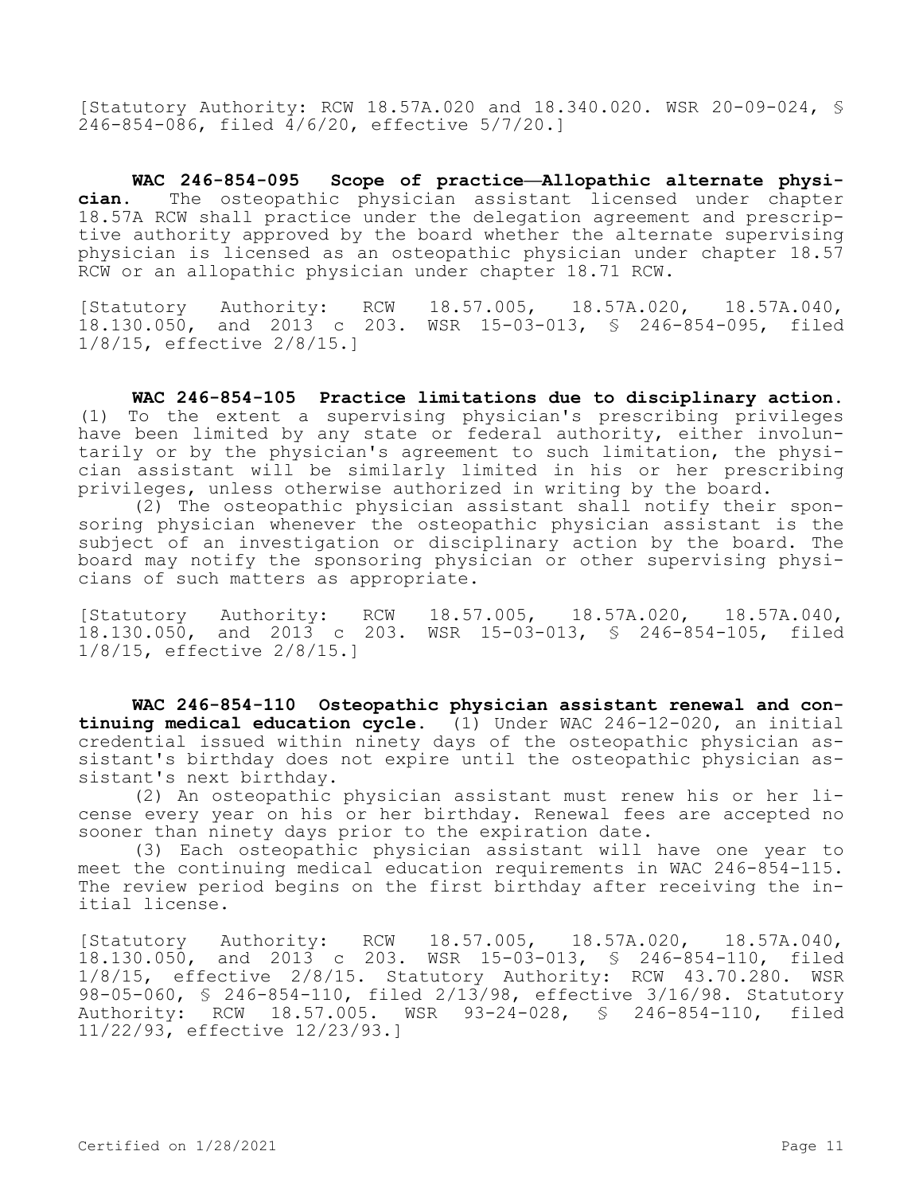[Statutory Authority: RCW 18.57A.020 and 18.340.020. WSR 20-09-024, § 246-854-086, filed 4/6/20, effective 5/7/20.]

**WAC 246-854-095 Scope of practice—Allopathic alternate physician.** The osteopathic physician assistant licensed under chapter 18.57A RCW shall practice under the delegation agreement and prescriptive authority approved by the board whether the alternate supervising physician is licensed as an osteopathic physician under chapter 18.57 RCW or an allopathic physician under chapter 18.71 RCW.

[Statutory Authority: RCW 18.57.005, 18.57A.020, 18.57A.040, 18.130.050, and 2013 c 203. WSR 15-03-013, § 246-854-095, filed 1/8/15, effective 2/8/15.]

**WAC 246-854-105 Practice limitations due to disciplinary action.**  (1) To the extent a supervising physician's prescribing privileges have been limited by any state or federal authority, either involuntarily or by the physician's agreement to such limitation, the physician assistant will be similarly limited in his or her prescribing privileges, unless otherwise authorized in writing by the board.

(2) The osteopathic physician assistant shall notify their sponsoring physician whenever the osteopathic physician assistant is the subject of an investigation or disciplinary action by the board. The board may notify the sponsoring physician or other supervising physicians of such matters as appropriate.

[Statutory Authority: RCW 18.57.005, 18.57A.020, 18.57A.040, 18.130.050, and 2013 c 203. WSR 15-03-013, § 246-854-105, filed 1/8/15, effective 2/8/15.]

**WAC 246-854-110 Osteopathic physician assistant renewal and continuing medical education cycle.** (1) Under WAC 246-12-020, an initial credential issued within ninety days of the osteopathic physician assistant's birthday does not expire until the osteopathic physician assistant's next birthday.

(2) An osteopathic physician assistant must renew his or her license every year on his or her birthday. Renewal fees are accepted no sooner than ninety days prior to the expiration date.

(3) Each osteopathic physician assistant will have one year to meet the continuing medical education requirements in WAC 246-854-115. The review period begins on the first birthday after receiving the initial license.

[Statutory Authority: RCW 18.57.005, 18.57A.020, 18.57A.040, 18.130.050, and 2013 c 203. WSR 15-03-013, § 246-854-110, filed 1/8/15, effective 2/8/15. Statutory Authority: RCW 43.70.280. WSR 98-05-060, § 246-854-110, filed 2/13/98, effective 3/16/98. Statutory Authority: RCW 18.57.005. WSR 93-24-028, § 246-854-110, filed 11/22/93, effective 12/23/93.]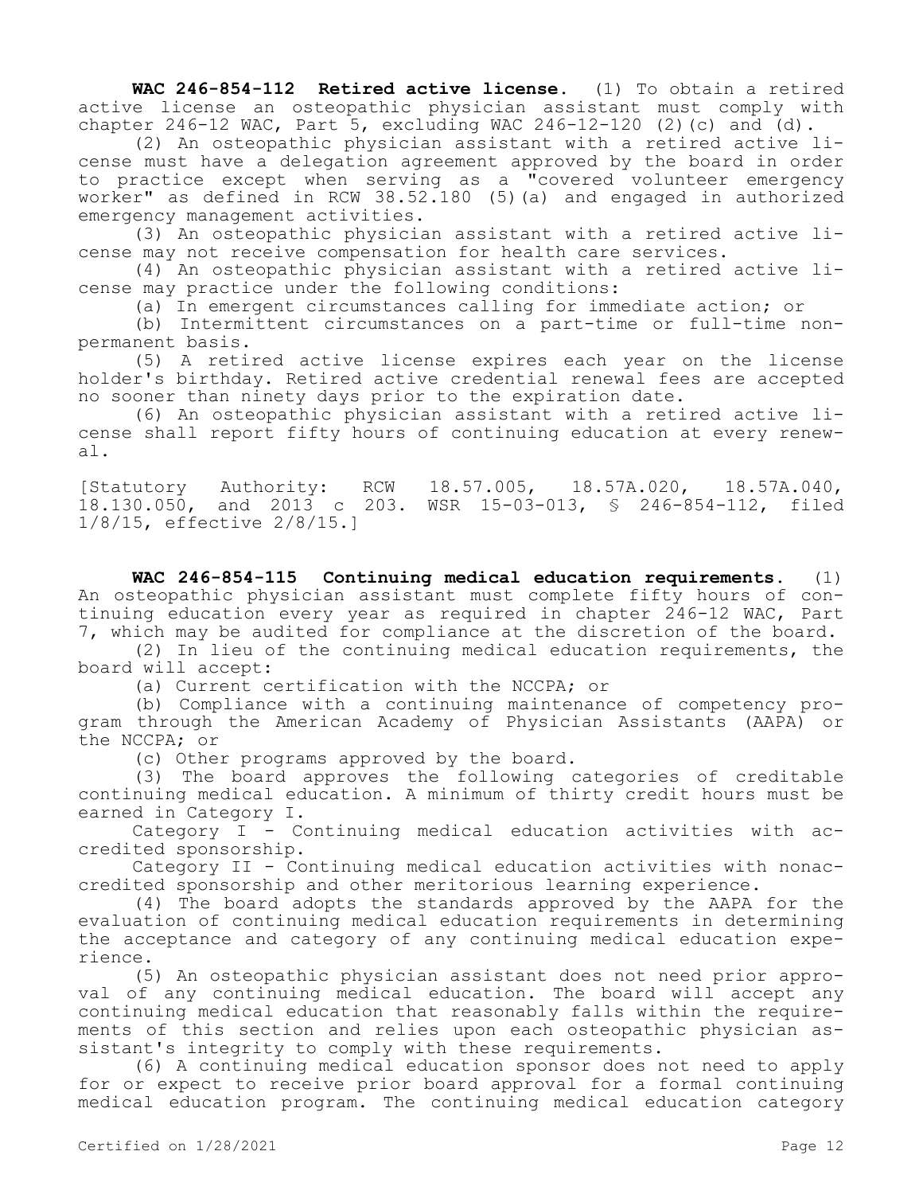**WAC 246-854-112 Retired active license.** (1) To obtain a retired active license an osteopathic physician assistant must comply with chapter 246-12 WAC, Part  $5$ , excluding WAC 246-12-120 (2)(c) and (d).

(2) An osteopathic physician assistant with a retired active license must have a delegation agreement approved by the board in order to practice except when serving as a "covered volunteer emergency worker" as defined in RCW 38.52.180 (5)(a) and engaged in authorized emergency management activities.

(3) An osteopathic physician assistant with a retired active license may not receive compensation for health care services.

(4) An osteopathic physician assistant with a retired active license may practice under the following conditions:

(a) In emergent circumstances calling for immediate action; or

(b) Intermittent circumstances on a part-time or full-time nonpermanent basis.

(5) A retired active license expires each year on the license holder's birthday. Retired active credential renewal fees are accepted no sooner than ninety days prior to the expiration date.

(6) An osteopathic physician assistant with a retired active license shall report fifty hours of continuing education at every renewal.

[Statutory Authority: RCW 18.57.005, 18.57A.020, 18.57A.040, 18.130.050, and 2013 c 203. WSR 15-03-013, § 246-854-112, filed 1/8/15, effective 2/8/15.]

**WAC 246-854-115 Continuing medical education requirements.** (1) An osteopathic physician assistant must complete fifty hours of continuing education every year as required in chapter 246-12 WAC, Part 7, which may be audited for compliance at the discretion of the board.

(2) In lieu of the continuing medical education requirements, the board will accept:

(a) Current certification with the NCCPA; or

(b) Compliance with a continuing maintenance of competency program through the American Academy of Physician Assistants (AAPA) or the NCCPA; or

(c) Other programs approved by the board.

(3) The board approves the following categories of creditable continuing medical education. A minimum of thirty credit hours must be earned in Category I.

Category I - Continuing medical education activities with accredited sponsorship.

Category II - Continuing medical education activities with nonaccredited sponsorship and other meritorious learning experience.

(4) The board adopts the standards approved by the AAPA for the evaluation of continuing medical education requirements in determining the acceptance and category of any continuing medical education experience.

(5) An osteopathic physician assistant does not need prior approval of any continuing medical education. The board will accept any continuing medical education that reasonably falls within the requirements of this section and relies upon each osteopathic physician assistant's integrity to comply with these requirements.

(6) A continuing medical education sponsor does not need to apply for or expect to receive prior board approval for a formal continuing medical education program. The continuing medical education category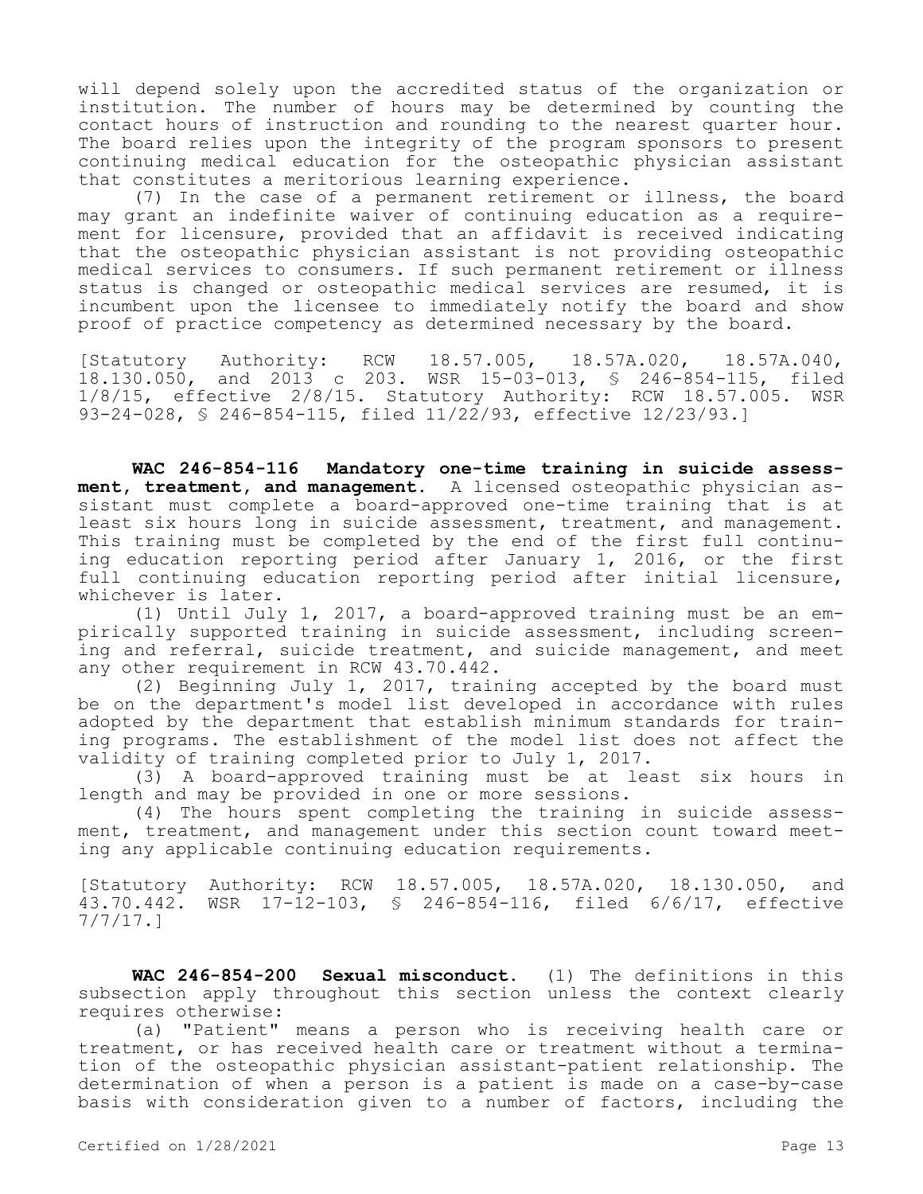will depend solely upon the accredited status of the organization or institution. The number of hours may be determined by counting the contact hours of instruction and rounding to the nearest quarter hour. The board relies upon the integrity of the program sponsors to present continuing medical education for the osteopathic physician assistant that constitutes a meritorious learning experience.

(7) In the case of a permanent retirement or illness, the board may grant an indefinite waiver of continuing education as a requirement for licensure, provided that an affidavit is received indicating that the osteopathic physician assistant is not providing osteopathic medical services to consumers. If such permanent retirement or illness status is changed or osteopathic medical services are resumed, it is incumbent upon the licensee to immediately notify the board and show proof of practice competency as determined necessary by the board.

[Statutory Authority: RCW 18.57.005, 18.57A.020, 18.57A.040, 18.130.050, and 2013 c 203. WSR 15-03-013, § 246-854-115, filed 1/8/15, effective 2/8/15. Statutory Authority: RCW 18.57.005. WSR 93-24-028, § 246-854-115, filed 11/22/93, effective 12/23/93.]

**WAC 246-854-116 Mandatory one-time training in suicide assessment, treatment, and management.** A licensed osteopathic physician assistant must complete a board-approved one-time training that is at least six hours long in suicide assessment, treatment, and management. This training must be completed by the end of the first full continuing education reporting period after January 1, 2016, or the first full continuing education reporting period after initial licensure, whichever is later.

(1) Until July 1, 2017, a board-approved training must be an empirically supported training in suicide assessment, including screening and referral, suicide treatment, and suicide management, and meet any other requirement in RCW 43.70.442.

(2) Beginning July 1, 2017, training accepted by the board must be on the department's model list developed in accordance with rules adopted by the department that establish minimum standards for training programs. The establishment of the model list does not affect the validity of training completed prior to July 1, 2017.

(3) A board-approved training must be at least six hours in length and may be provided in one or more sessions.

(4) The hours spent completing the training in suicide assessment, treatment, and management under this section count toward meeting any applicable continuing education requirements.

[Statutory Authority: RCW 18.57.005, 18.57A.020, 18.130.050, and 43.70.442. WSR 17-12-103, § 246-854-116, filed 6/6/17, effective 7/7/17.]

**WAC 246-854-200 Sexual misconduct.** (1) The definitions in this subsection apply throughout this section unless the context clearly requires otherwise:

(a) "Patient" means a person who is receiving health care or treatment, or has received health care or treatment without a termination of the osteopathic physician assistant-patient relationship. The determination of when a person is a patient is made on a case-by-case basis with consideration given to a number of factors, including the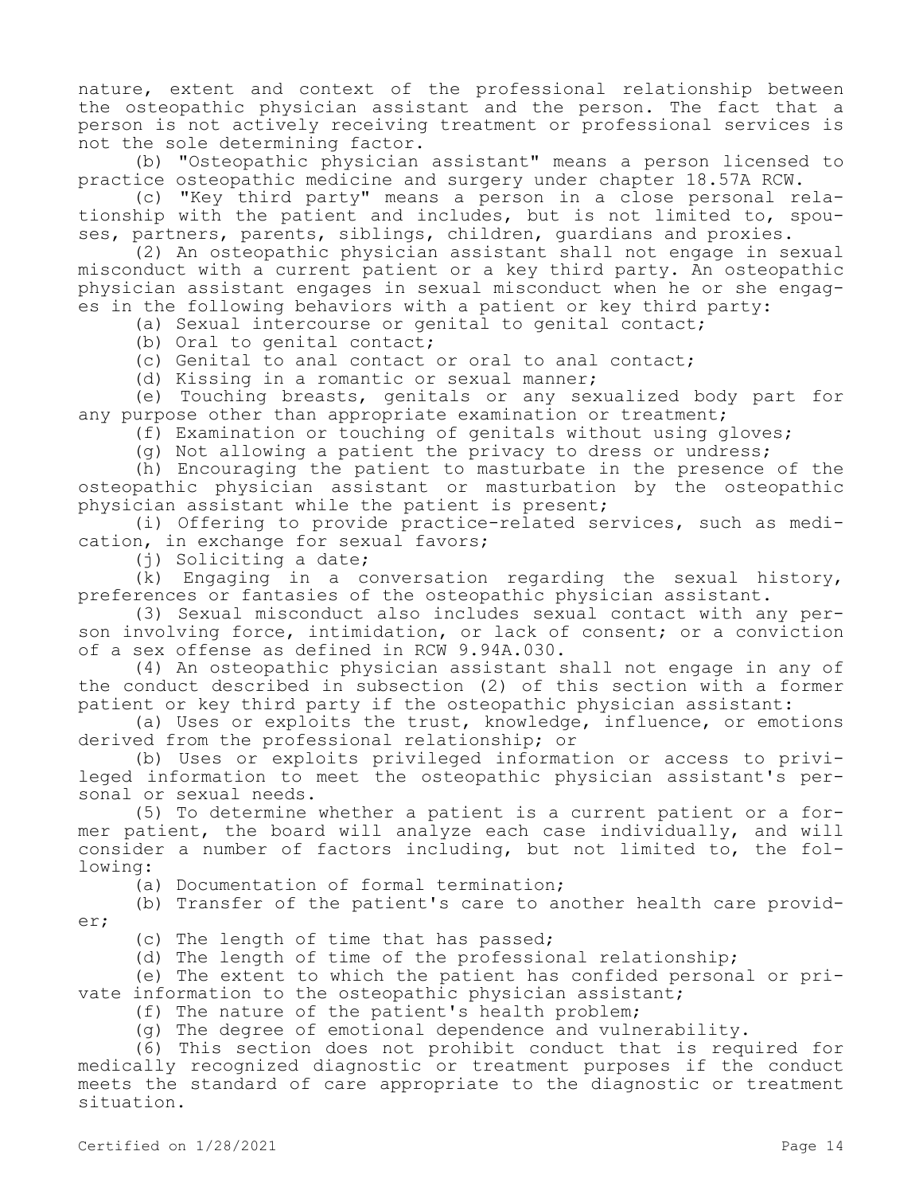nature, extent and context of the professional relationship between the osteopathic physician assistant and the person. The fact that a person is not actively receiving treatment or professional services is not the sole determining factor.

(b) "Osteopathic physician assistant" means a person licensed to practice osteopathic medicine and surgery under chapter 18.57A RCW.

(c) "Key third party" means a person in a close personal relationship with the patient and includes, but is not limited to, spouses, partners, parents, siblings, children, guardians and proxies.

(2) An osteopathic physician assistant shall not engage in sexual misconduct with a current patient or a key third party. An osteopathic physician assistant engages in sexual misconduct when he or she engages in the following behaviors with a patient or key third party:

(a) Sexual intercourse or genital to genital contact;

(b) Oral to genital contact;

(c) Genital to anal contact or oral to anal contact;

(d) Kissing in a romantic or sexual manner;

(e) Touching breasts, genitals or any sexualized body part for any purpose other than appropriate examination or treatment;

(f) Examination or touching of genitals without using gloves;

(g) Not allowing a patient the privacy to dress or undress;

(h) Encouraging the patient to masturbate in the presence of the osteopathic physician assistant or masturbation by the osteopathic physician assistant while the patient is present;

(i) Offering to provide practice-related services, such as medication, in exchange for sexual favors;

(j) Soliciting a date;

(k) Engaging in a conversation regarding the sexual history, preferences or fantasies of the osteopathic physician assistant.

(3) Sexual misconduct also includes sexual contact with any person involving force, intimidation, or lack of consent; or a conviction of a sex offense as defined in RCW 9.94A.030.

(4) An osteopathic physician assistant shall not engage in any of the conduct described in subsection (2) of this section with a former patient or key third party if the osteopathic physician assistant:

(a) Uses or exploits the trust, knowledge, influence, or emotions derived from the professional relationship; or

(b) Uses or exploits privileged information or access to privileged information to meet the osteopathic physician assistant's personal or sexual needs.

(5) To determine whether a patient is a current patient or a former patient, the board will analyze each case individually, and will consider a number of factors including, but not limited to, the following:

(a) Documentation of formal termination;

(b) Transfer of the patient's care to another health care provider;

(c) The length of time that has passed;

(d) The length of time of the professional relationship;

(e) The extent to which the patient has confided personal or private information to the osteopathic physician assistant;

(f) The nature of the patient's health problem;

(g) The degree of emotional dependence and vulnerability.

(6) This section does not prohibit conduct that is required for medically recognized diagnostic or treatment purposes if the conduct meets the standard of care appropriate to the diagnostic or treatment situation.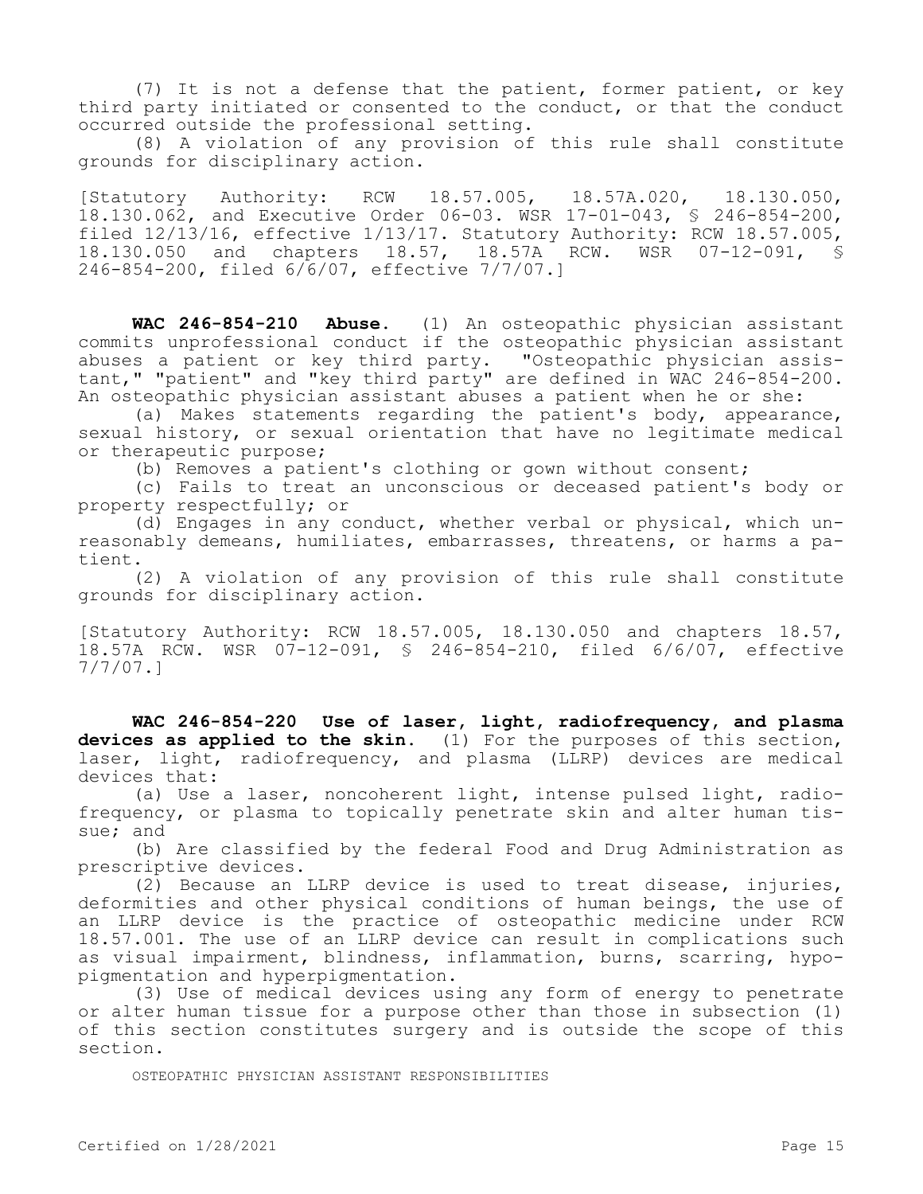(7) It is not a defense that the patient, former patient, or key third party initiated or consented to the conduct, or that the conduct occurred outside the professional setting.

(8) A violation of any provision of this rule shall constitute grounds for disciplinary action.

[Statutory Authority: RCW 18.57.005, 18.57A.020, 18.130.050, 18.130.062, and Executive Order 06-03. WSR 17-01-043, § 246-854-200, filed 12/13/16, effective 1/13/17. Statutory Authority: RCW 18.57.005, 18.130.050 and chapters 18.57, 18.57A RCW. WSR 07-12-091, § 246-854-200, filed 6/6/07, effective 7/7/07.]

**WAC 246-854-210 Abuse.** (1) An osteopathic physician assistant commits unprofessional conduct if the osteopathic physician assistant abuses a patient or key third party. "Osteopathic physician assistant," "patient" and "key third party" are defined in WAC 246-854-200. An osteopathic physician assistant abuses a patient when he or she:

(a) Makes statements regarding the patient's body, appearance, sexual history, or sexual orientation that have no legitimate medical or therapeutic purpose;

(b) Removes a patient's clothing or gown without consent;

(c) Fails to treat an unconscious or deceased patient's body or property respectfully; or

(d) Engages in any conduct, whether verbal or physical, which unreasonably demeans, humiliates, embarrasses, threatens, or harms a patient.

(2) A violation of any provision of this rule shall constitute grounds for disciplinary action.

[Statutory Authority: RCW 18.57.005, 18.130.050 and chapters 18.57, 18.57A RCW. WSR 07-12-091, § 246-854-210, filed 6/6/07, effective 7/7/07.]

**WAC 246-854-220 Use of laser, light, radiofrequency, and plasma devices as applied to the skin.** (1) For the purposes of this section, laser, light, radiofrequency, and plasma (LLRP) devices are medical devices that:

(a) Use a laser, noncoherent light, intense pulsed light, radiofrequency, or plasma to topically penetrate skin and alter human tissue; and

(b) Are classified by the federal Food and Drug Administration as prescriptive devices.

(2) Because an LLRP device is used to treat disease, injuries, deformities and other physical conditions of human beings, the use of an LLRP device is the practice of osteopathic medicine under RCW 18.57.001. The use of an LLRP device can result in complications such as visual impairment, blindness, inflammation, burns, scarring, hypopigmentation and hyperpigmentation.

(3) Use of medical devices using any form of energy to penetrate or alter human tissue for a purpose other than those in subsection (1) of this section constitutes surgery and is outside the scope of this section.

OSTEOPATHIC PHYSICIAN ASSISTANT RESPONSIBILITIES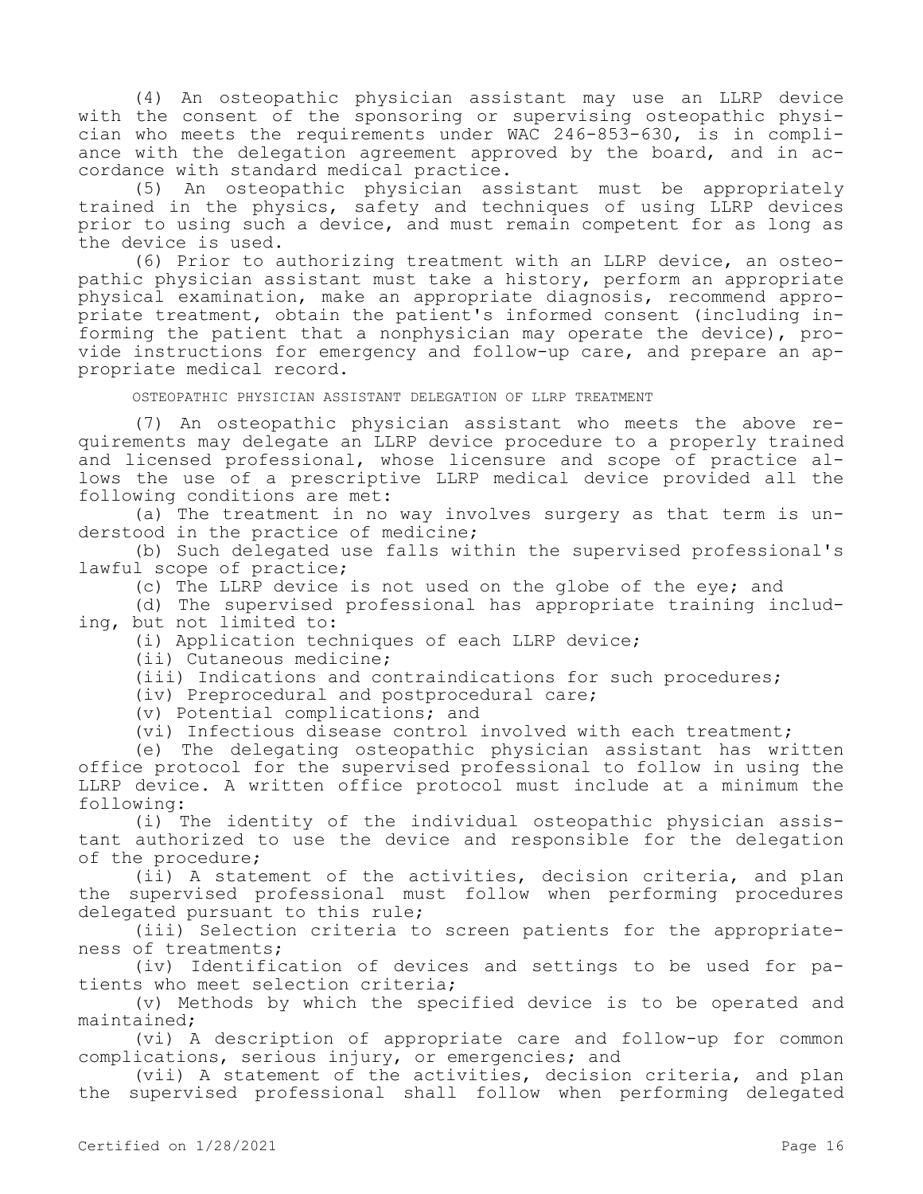(4) An osteopathic physician assistant may use an LLRP device with the consent of the sponsoring or supervising osteopathic physician who meets the requirements under WAC 246-853-630, is in compliance with the delegation agreement approved by the board, and in accordance with standard medical practice.

(5) An osteopathic physician assistant must be appropriately trained in the physics, safety and techniques of using LLRP devices prior to using such a device, and must remain competent for as long as the device is used.

(6) Prior to authorizing treatment with an LLRP device, an osteopathic physician assistant must take a history, perform an appropriate physical examination, make an appropriate diagnosis, recommend appropriate treatment, obtain the patient's informed consent (including informing the patient that a nonphysician may operate the device), provide instructions for emergency and follow-up care, and prepare an appropriate medical record.

### OSTEOPATHIC PHYSICIAN ASSISTANT DELEGATION OF LLRP TREATMENT

(7) An osteopathic physician assistant who meets the above requirements may delegate an LLRP device procedure to a properly trained and licensed professional, whose licensure and scope of practice allows the use of a prescriptive LLRP medical device provided all the following conditions are met:

(a) The treatment in no way involves surgery as that term is understood in the practice of medicine;

(b) Such delegated use falls within the supervised professional's lawful scope of practice;

(c) The LLRP device is not used on the globe of the eye; and

(d) The supervised professional has appropriate training including, but not limited to:

(i) Application techniques of each LLRP device;

(ii) Cutaneous medicine;

(iii) Indications and contraindications for such procedures;

(iv) Preprocedural and postprocedural care;

(v) Potential complications; and

(vi) Infectious disease control involved with each treatment;

(e) The delegating osteopathic physician assistant has written office protocol for the supervised professional to follow in using the LLRP device. A written office protocol must include at a minimum the following:

(i) The identity of the individual osteopathic physician assistant authorized to use the device and responsible for the delegation of the procedure;

(ii) A statement of the activities, decision criteria, and plan the supervised professional must follow when performing procedures delegated pursuant to this rule;

(iii) Selection criteria to screen patients for the appropriateness of treatments;

(iv) Identification of devices and settings to be used for patients who meet selection criteria;

(v) Methods by which the specified device is to be operated and maintained;

(vi) A description of appropriate care and follow-up for common complications, serious injury, or emergencies; and

(vii) A statement of the activities, decision criteria, and plan the supervised professional shall follow when performing delegated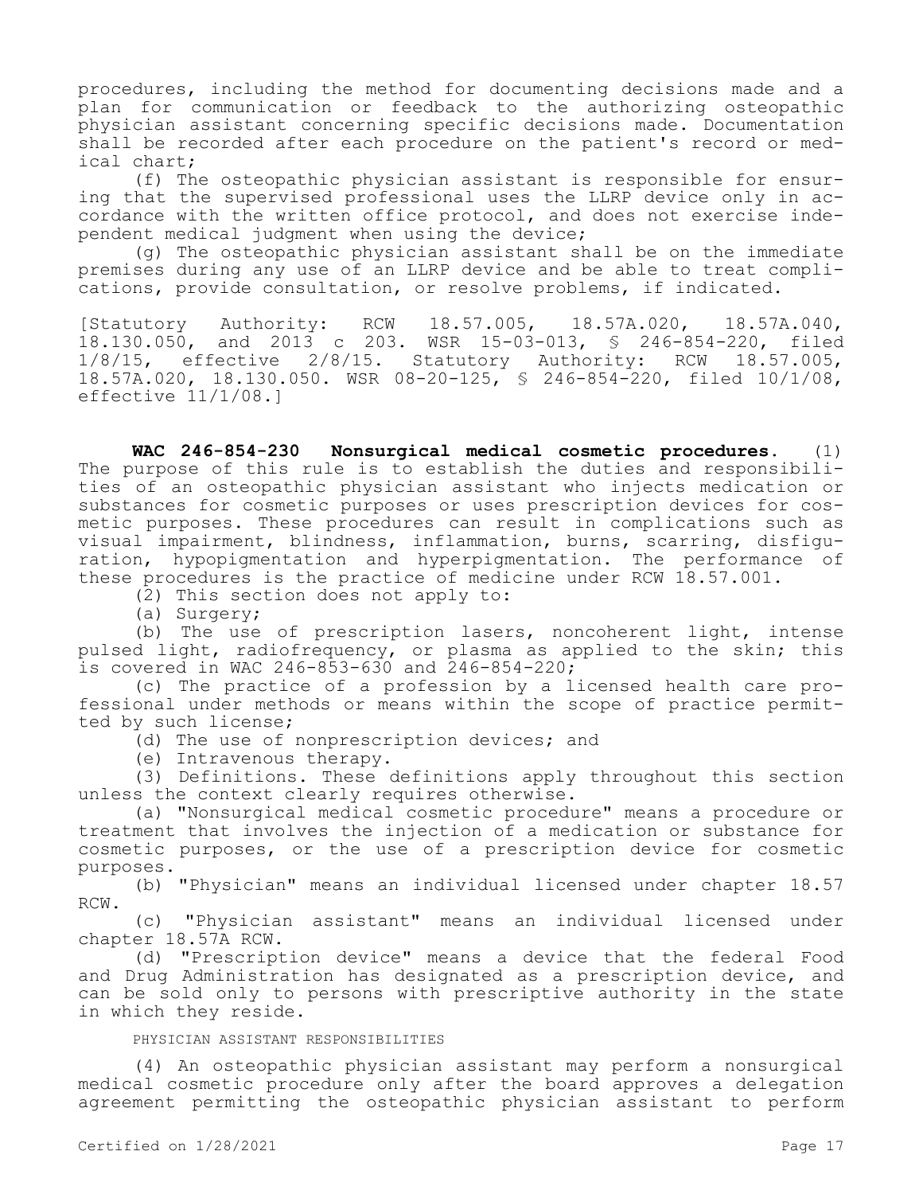procedures, including the method for documenting decisions made and a plan for communication or feedback to the authorizing osteopathic physician assistant concerning specific decisions made. Documentation shall be recorded after each procedure on the patient's record or medical chart;

(f) The osteopathic physician assistant is responsible for ensuring that the supervised professional uses the LLRP device only in accordance with the written office protocol, and does not exercise independent medical judgment when using the device;

(g) The osteopathic physician assistant shall be on the immediate premises during any use of an LLRP device and be able to treat complications, provide consultation, or resolve problems, if indicated.

[Statutory Authority: RCW 18.57.005, 18.57A.020, 18.57A.040, 18.130.050, and 2013 c 203. WSR 15-03-013, § 246-854-220, filed 1/8/15, effective 2/8/15. Statutory Authority: RCW 18.57.005, 18.57A.020, 18.130.050. WSR 08-20-125, § 246-854-220, filed 10/1/08, effective 11/1/08.]

**WAC 246-854-230 Nonsurgical medical cosmetic procedures.** (1) The purpose of this rule is to establish the duties and responsibilities of an osteopathic physician assistant who injects medication or substances for cosmetic purposes or uses prescription devices for cosmetic purposes. These procedures can result in complications such as visual impairment, blindness, inflammation, burns, scarring, disfiguration, hypopigmentation and hyperpigmentation. The performance of these procedures is the practice of medicine under RCW 18.57.001.

(2) This section does not apply to:

(a) Surgery;

(b) The use of prescription lasers, noncoherent light, intense pulsed light, radiofrequency, or plasma as applied to the skin; this is covered in WAC 246-853-630 and  $246-854-220$ ;

(c) The practice of a profession by a licensed health care professional under methods or means within the scope of practice permitted by such license;

(d) The use of nonprescription devices; and

(e) Intravenous therapy.

(3) Definitions. These definitions apply throughout this section unless the context clearly requires otherwise.

(a) "Nonsurgical medical cosmetic procedure" means a procedure or treatment that involves the injection of a medication or substance for cosmetic purposes, or the use of a prescription device for cosmetic purposes.

(b) "Physician" means an individual licensed under chapter 18.57 RCW.

(c) "Physician assistant" means an individual licensed under chapter 18.57A RCW.

(d) "Prescription device" means a device that the federal Food and Drug Administration has designated as a prescription device, and can be sold only to persons with prescriptive authority in the state in which they reside.

### PHYSICIAN ASSISTANT RESPONSIBILITIES

(4) An osteopathic physician assistant may perform a nonsurgical medical cosmetic procedure only after the board approves a delegation agreement permitting the osteopathic physician assistant to perform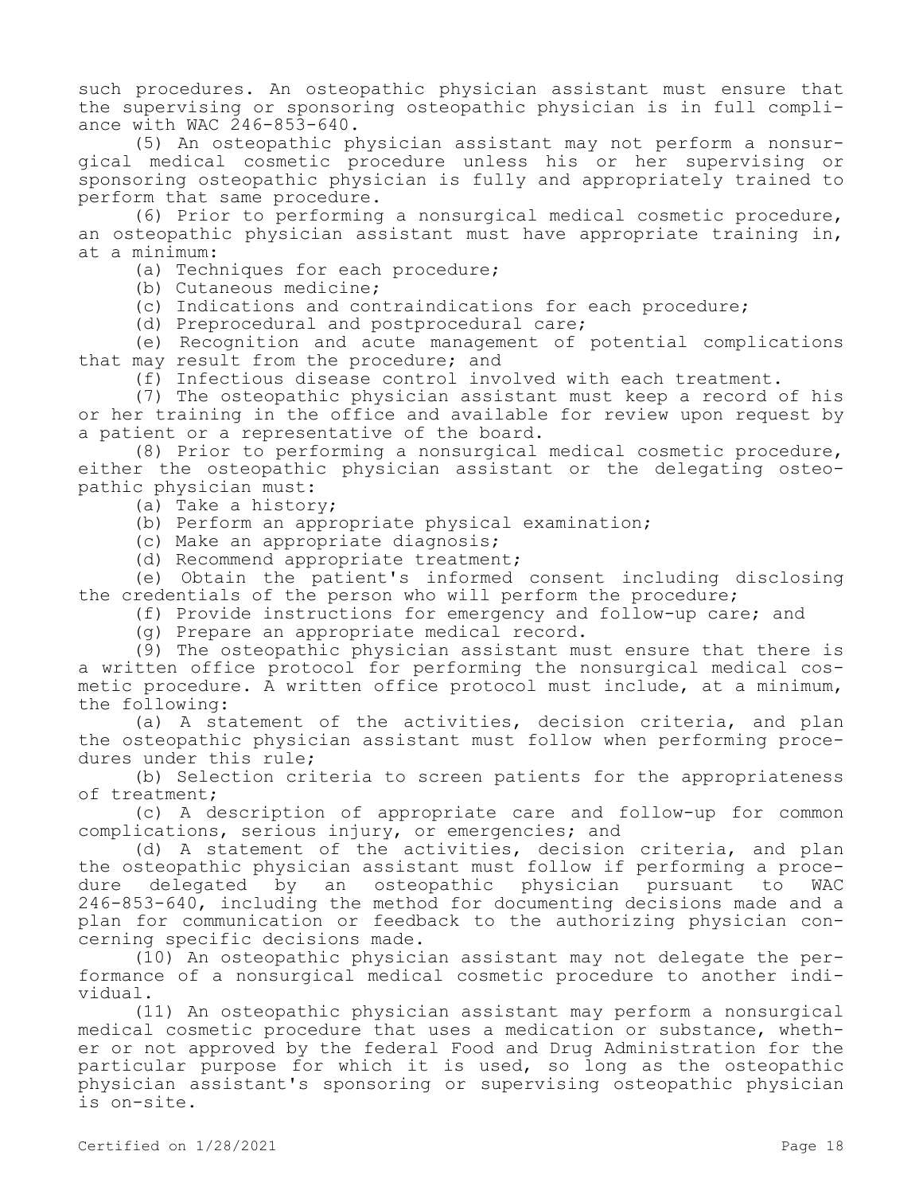such procedures. An osteopathic physician assistant must ensure that the supervising or sponsoring osteopathic physician is in full compliance with WAC 246-853-640.

(5) An osteopathic physician assistant may not perform a nonsurgical medical cosmetic procedure unless his or her supervising or sponsoring osteopathic physician is fully and appropriately trained to perform that same procedure.

(6) Prior to performing a nonsurgical medical cosmetic procedure, an osteopathic physician assistant must have appropriate training in, at a minimum:

(a) Techniques for each procedure;

(b) Cutaneous medicine;

(c) Indications and contraindications for each procedure;

(d) Preprocedural and postprocedural care;

(e) Recognition and acute management of potential complications that may result from the procedure; and

(f) Infectious disease control involved with each treatment.

(7) The osteopathic physician assistant must keep a record of his or her training in the office and available for review upon request by a patient or a representative of the board.

(8) Prior to performing a nonsurgical medical cosmetic procedure, either the osteopathic physician assistant or the delegating osteopathic physician must:

(a) Take a history;

(b) Perform an appropriate physical examination;

(c) Make an appropriate diagnosis;

(d) Recommend appropriate treatment;

(e) Obtain the patient's informed consent including disclosing the credentials of the person who will perform the procedure;

(f) Provide instructions for emergency and follow-up care; and

(g) Prepare an appropriate medical record.

(9) The osteopathic physician assistant must ensure that there is a written office protocol for performing the nonsurgical medical cosmetic procedure. A written office protocol must include, at a minimum, the following:

(a) A statement of the activities, decision criteria, and plan the osteopathic physician assistant must follow when performing procedures under this rule;

(b) Selection criteria to screen patients for the appropriateness of treatment;

(c) A description of appropriate care and follow-up for common complications, serious injury, or emergencies; and

(d) A statement of the activities, decision criteria, and plan the osteopathic physician assistant must follow if performing a procedure delegated by an osteopathic physician pursuant to WAC 246-853-640, including the method for documenting decisions made and a plan for communication or feedback to the authorizing physician concerning specific decisions made.

(10) An osteopathic physician assistant may not delegate the performance of a nonsurgical medical cosmetic procedure to another individual.

(11) An osteopathic physician assistant may perform a nonsurgical medical cosmetic procedure that uses a medication or substance, whether or not approved by the federal Food and Drug Administration for the particular purpose for which it is used, so long as the osteopathic physician assistant's sponsoring or supervising osteopathic physician is on-site.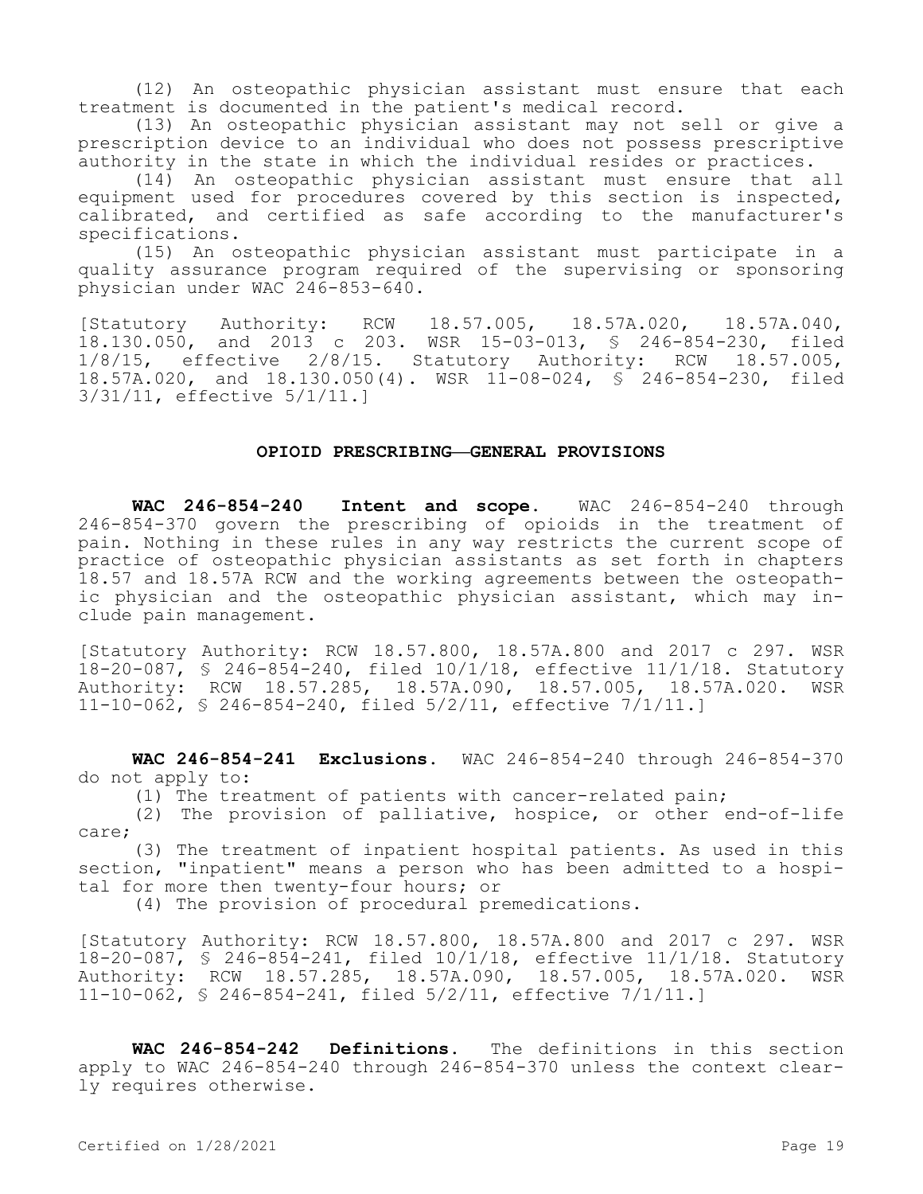(12) An osteopathic physician assistant must ensure that each treatment is documented in the patient's medical record.

(13) An osteopathic physician assistant may not sell or give a prescription device to an individual who does not possess prescriptive authority in the state in which the individual resides or practices.

(14) An osteopathic physician assistant must ensure that all equipment used for procedures covered by this section is inspected, calibrated, and certified as safe according to the manufacturer's specifications.

(15) An osteopathic physician assistant must participate in a quality assurance program required of the supervising or sponsoring physician under WAC 246-853-640.

[Statutory Authority: RCW 18.57.005, 18.57A.020, 18.57A.040, 18.130.050, and 2013 c 203. WSR 15-03-013, § 246-854-230, filed 1/8/15, effective 2/8/15. Statutory Authority: RCW 18.57.005, 18.57A.020, and 18.130.050(4). WSR 11-08-024, § 246-854-230, filed 3/31/11, effective 5/1/11.]

### **OPIOID PRESCRIBING—GENERAL PROVISIONS**

**WAC 246-854-240 Intent and scope.** WAC 246-854-240 through 246-854-370 govern the prescribing of opioids in the treatment of pain. Nothing in these rules in any way restricts the current scope of practice of osteopathic physician assistants as set forth in chapters 18.57 and 18.57A RCW and the working agreements between the osteopathic physician and the osteopathic physician assistant, which may include pain management.

[Statutory Authority: RCW 18.57.800, 18.57A.800 and 2017 c 297. WSR 18-20-087, § 246-854-240, filed 10/1/18, effective 11/1/18. Statutory Authority: RCW 18.57.285, 18.57A.090, 18.57.005, 18.57A.020. WSR 11-10-062, § 246-854-240, filed 5/2/11, effective 7/1/11.]

**WAC 246-854-241 Exclusions.** WAC 246-854-240 through 246-854-370 do not apply to:

(1) The treatment of patients with cancer-related pain;

(2) The provision of palliative, hospice, or other end-of-life care;

(3) The treatment of inpatient hospital patients. As used in this section, "inpatient" means a person who has been admitted to a hospital for more then twenty-four hours; or

(4) The provision of procedural premedications.

[Statutory Authority: RCW 18.57.800, 18.57A.800 and 2017 c 297. WSR 18-20-087, § 246-854-241, filed 10/1/18, effective 11/1/18. Statutory Authority: RCW 18.57.285, 18.57A.090, 18.57.005, 18.57A.020. WSR 11-10-062, § 246-854-241, filed 5/2/11, effective 7/1/11.]

**WAC 246-854-242 Definitions.** The definitions in this section apply to WAC 246-854-240 through 246-854-370 unless the context clearly requires otherwise.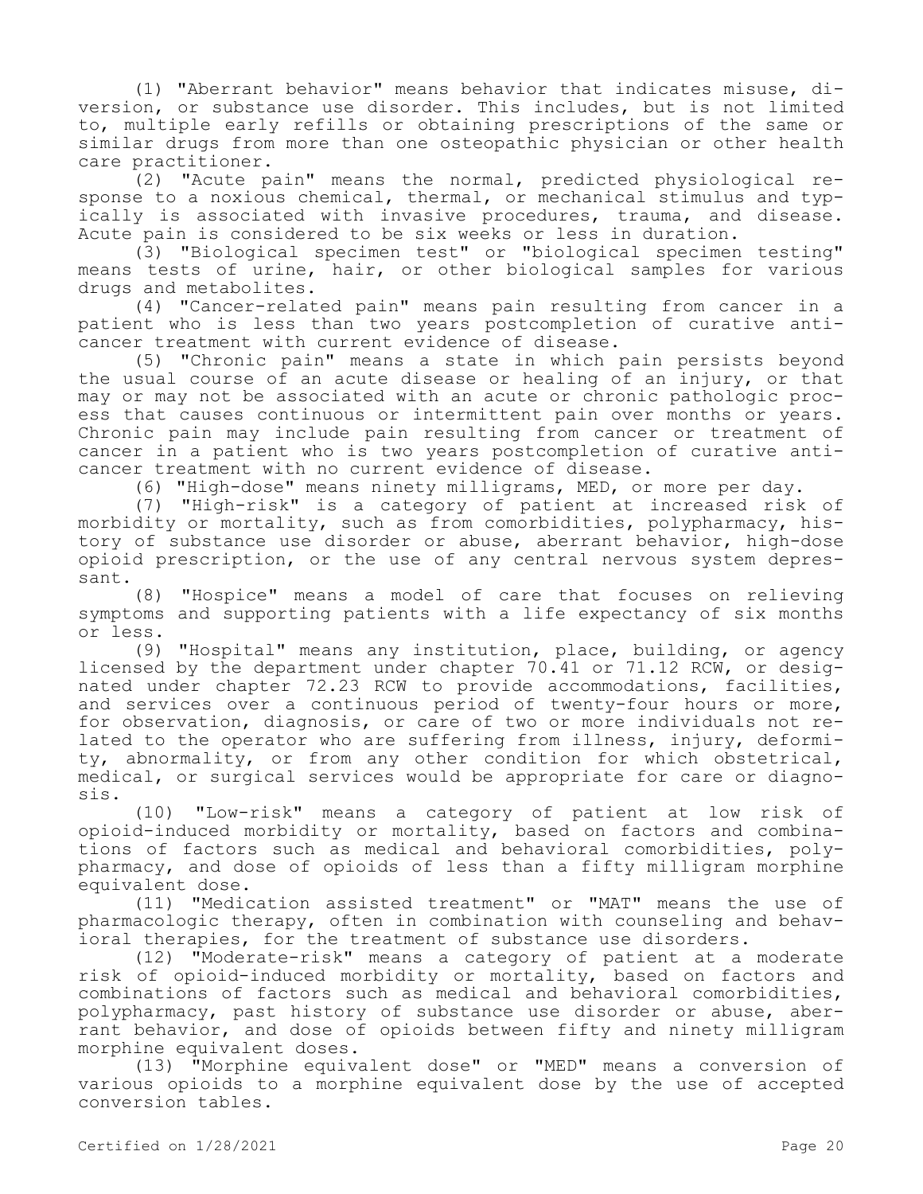(1) "Aberrant behavior" means behavior that indicates misuse, diversion, or substance use disorder. This includes, but is not limited to, multiple early refills or obtaining prescriptions of the same or similar drugs from more than one osteopathic physician or other health care practitioner.

(2) "Acute pain" means the normal, predicted physiological response to a noxious chemical, thermal, or mechanical stimulus and typically is associated with invasive procedures, trauma, and disease. Acute pain is considered to be six weeks or less in duration.

(3) "Biological specimen test" or "biological specimen testing" means tests of urine, hair, or other biological samples for various drugs and metabolites.

(4) "Cancer-related pain" means pain resulting from cancer in a patient who is less than two years postcompletion of curative anticancer treatment with current evidence of disease.

(5) "Chronic pain" means a state in which pain persists beyond the usual course of an acute disease or healing of an injury, or that may or may not be associated with an acute or chronic pathologic process that causes continuous or intermittent pain over months or years. Chronic pain may include pain resulting from cancer or treatment of cancer in a patient who is two years postcompletion of curative anticancer treatment with no current evidence of disease.

(6) "High-dose" means ninety milligrams, MED, or more per day.

(7) "High-risk" is a category of patient at increased risk of morbidity or mortality, such as from comorbidities, polypharmacy, history of substance use disorder or abuse, aberrant behavior, high-dose opioid prescription, or the use of any central nervous system depressant.

(8) "Hospice" means a model of care that focuses on relieving symptoms and supporting patients with a life expectancy of six months or less.

(9) "Hospital" means any institution, place, building, or agency licensed by the department under chapter 70.41 or 71.12 RCW, or designated under chapter 72.23 RCW to provide accommodations, facilities, and services over a continuous period of twenty-four hours or more, for observation, diagnosis, or care of two or more individuals not related to the operator who are suffering from illness, injury, deformity, abnormality, or from any other condition for which obstetrical, medical, or surgical services would be appropriate for care or diagnosis.

(10) "Low-risk" means a category of patient at low risk of opioid-induced morbidity or mortality, based on factors and combinations of factors such as medical and behavioral comorbidities, polypharmacy, and dose of opioids of less than a fifty milligram morphine equivalent dose.

(11) "Medication assisted treatment" or "MAT" means the use of pharmacologic therapy, often in combination with counseling and behavioral therapies, for the treatment of substance use disorders.

(12) "Moderate-risk" means a category of patient at a moderate risk of opioid-induced morbidity or mortality, based on factors and combinations of factors such as medical and behavioral comorbidities, polypharmacy, past history of substance use disorder or abuse, aberrant behavior, and dose of opioids between fifty and ninety milligram morphine equivalent doses.

(13) "Morphine equivalent dose" or "MED" means a conversion of various opioids to a morphine equivalent dose by the use of accepted conversion tables.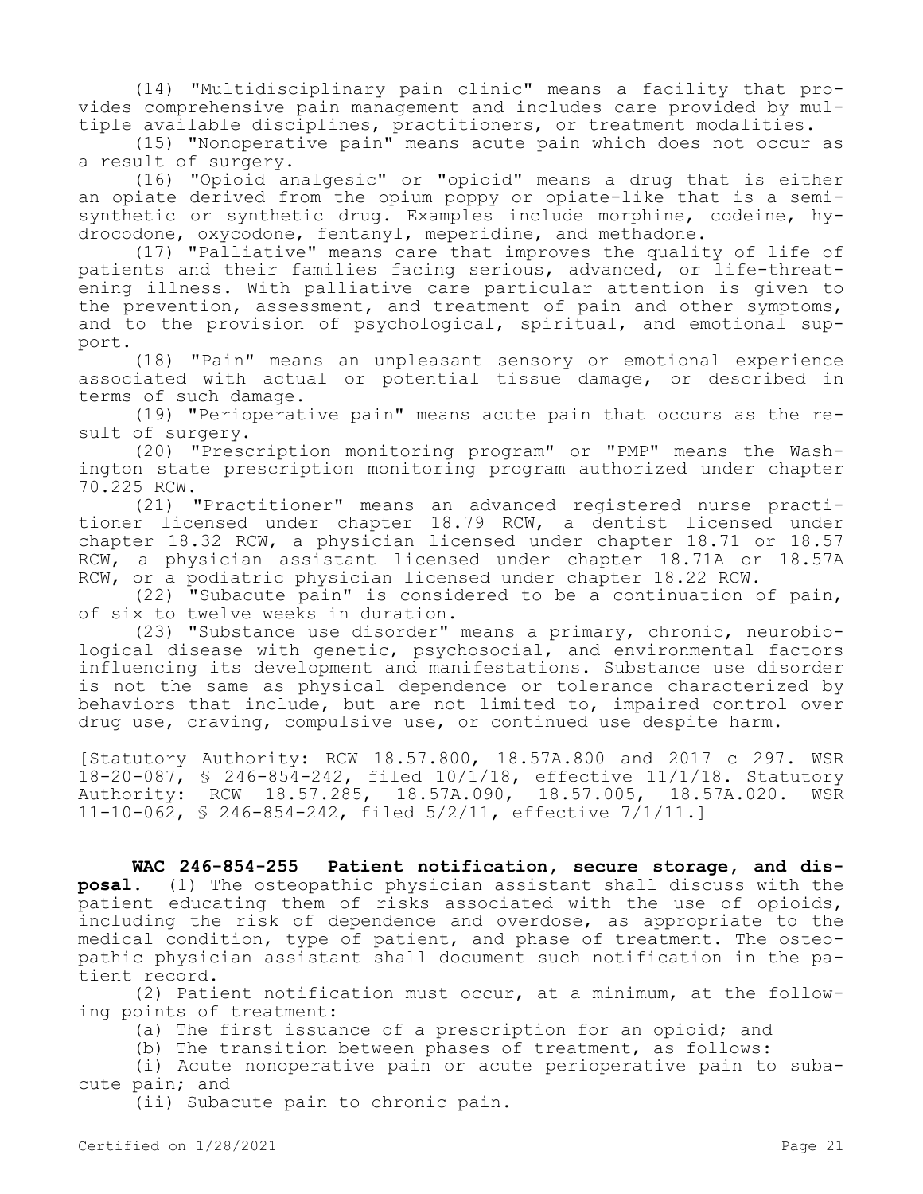(14) "Multidisciplinary pain clinic" means a facility that provides comprehensive pain management and includes care provided by multiple available disciplines, practitioners, or treatment modalities.

(15) "Nonoperative pain" means acute pain which does not occur as a result of surgery.

(16) "Opioid analgesic" or "opioid" means a drug that is either an opiate derived from the opium poppy or opiate-like that is a semisynthetic or synthetic drug. Examples include morphine, codeine, hydrocodone, oxycodone, fentanyl, meperidine, and methadone.

(17) "Palliative" means care that improves the quality of life of patients and their families facing serious, advanced, or life-threatening illness. With palliative care particular attention is given to the prevention, assessment, and treatment of pain and other symptoms, and to the provision of psychological, spiritual, and emotional support.

(18) "Pain" means an unpleasant sensory or emotional experience associated with actual or potential tissue damage, or described in terms of such damage.

(19) "Perioperative pain" means acute pain that occurs as the result of surgery.

(20) "Prescription monitoring program" or "PMP" means the Washington state prescription monitoring program authorized under chapter 70.225 RCW.

(21) "Practitioner" means an advanced registered nurse practitioner licensed under chapter 18.79 RCW, a dentist licensed under chapter 18.32 RCW, a physician licensed under chapter 18.71 or 18.57 RCW, a physician assistant licensed under chapter 18.71A or 18.57A RCW, or a podiatric physician licensed under chapter 18.22 RCW.

(22) "Subacute pain" is considered to be a continuation of pain, of six to twelve weeks in duration.

(23) "Substance use disorder" means a primary, chronic, neurobiological disease with genetic, psychosocial, and environmental factors influencing its development and manifestations. Substance use disorder is not the same as physical dependence or tolerance characterized by behaviors that include, but are not limited to, impaired control over drug use, craving, compulsive use, or continued use despite harm.

[Statutory Authority: RCW 18.57.800, 18.57A.800 and 2017 c 297. WSR 18-20-087, § 246-854-242, filed 10/1/18, effective 11/1/18. Statutory Authority: RCW 18.57.285, 18.57A.090, 18.57.005, 18.57A.020. WSR 11-10-062, § 246-854-242, filed 5/2/11, effective 7/1/11.]

**WAC 246-854-255 Patient notification, secure storage, and disposal.** (1) The osteopathic physician assistant shall discuss with the patient educating them of risks associated with the use of opioids, including the risk of dependence and overdose, as appropriate to the medical condition, type of patient, and phase of treatment. The osteopathic physician assistant shall document such notification in the patient record.

(2) Patient notification must occur, at a minimum, at the following points of treatment:

(a) The first issuance of a prescription for an opioid; and

(b) The transition between phases of treatment, as follows:

(i) Acute nonoperative pain or acute perioperative pain to subacute pain; and

(ii) Subacute pain to chronic pain.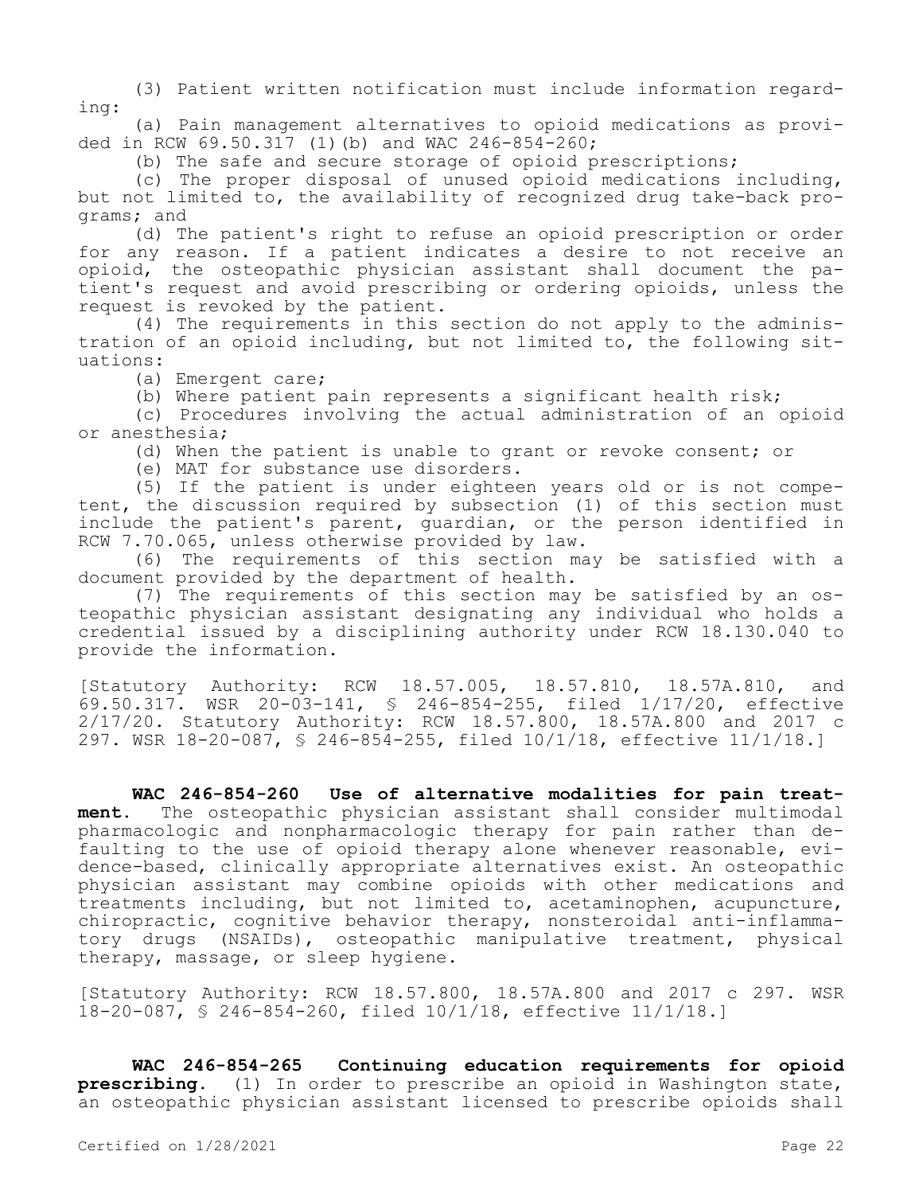(3) Patient written notification must include information regarding:

(a) Pain management alternatives to opioid medications as provided in RCW 69.50.317 (1)(b) and WAC 246-854-260;

(b) The safe and secure storage of opioid prescriptions;

(c) The proper disposal of unused opioid medications including, but not limited to, the availability of recognized drug take-back programs; and

(d) The patient's right to refuse an opioid prescription or order for any reason. If a patient indicates a desire to not receive an opioid, the osteopathic physician assistant shall document the patient's request and avoid prescribing or ordering opioids, unless the request is revoked by the patient.

(4) The requirements in this section do not apply to the administration of an opioid including, but not limited to, the following situations:

(a) Emergent care;

(b) Where patient pain represents a significant health risk;

(c) Procedures involving the actual administration of an opioid or anesthesia;

(d) When the patient is unable to grant or revoke consent; or

(e) MAT for substance use disorders.

(5) If the patient is under eighteen years old or is not competent, the discussion required by subsection (1) of this section must include the patient's parent, guardian, or the person identified in RCW 7.70.065, unless otherwise provided by law.

(6) The requirements of this section may be satisfied with a document provided by the department of health.

(7) The requirements of this section may be satisfied by an osteopathic physician assistant designating any individual who holds a credential issued by a disciplining authority under RCW 18.130.040 to provide the information.

[Statutory Authority: RCW 18.57.005, 18.57.810, 18.57A.810, and 69.50.317. WSR 20-03-141, § 246-854-255, filed 1/17/20, effective 2/17/20. Statutory Authority: RCW 18.57.800, 18.57A.800 and 2017 c 297. WSR 18-20-087, § 246-854-255, filed 10/1/18, effective 11/1/18.]

**WAC 246-854-260 Use of alternative modalities for pain treatment.** The osteopathic physician assistant shall consider multimodal pharmacologic and nonpharmacologic therapy for pain rather than defaulting to the use of opioid therapy alone whenever reasonable, evidence-based, clinically appropriate alternatives exist. An osteopathic physician assistant may combine opioids with other medications and treatments including, but not limited to, acetaminophen, acupuncture, chiropractic, cognitive behavior therapy, nonsteroidal anti-inflammatory drugs (NSAIDs), osteopathic manipulative treatment, physical therapy, massage, or sleep hygiene.

[Statutory Authority: RCW 18.57.800, 18.57A.800 and 2017 c 297. WSR 18-20-087, § 246-854-260, filed 10/1/18, effective 11/1/18.]

**WAC 246-854-265 Continuing education requirements for opioid prescribing.** (1) In order to prescribe an opioid in Washington state, an osteopathic physician assistant licensed to prescribe opioids shall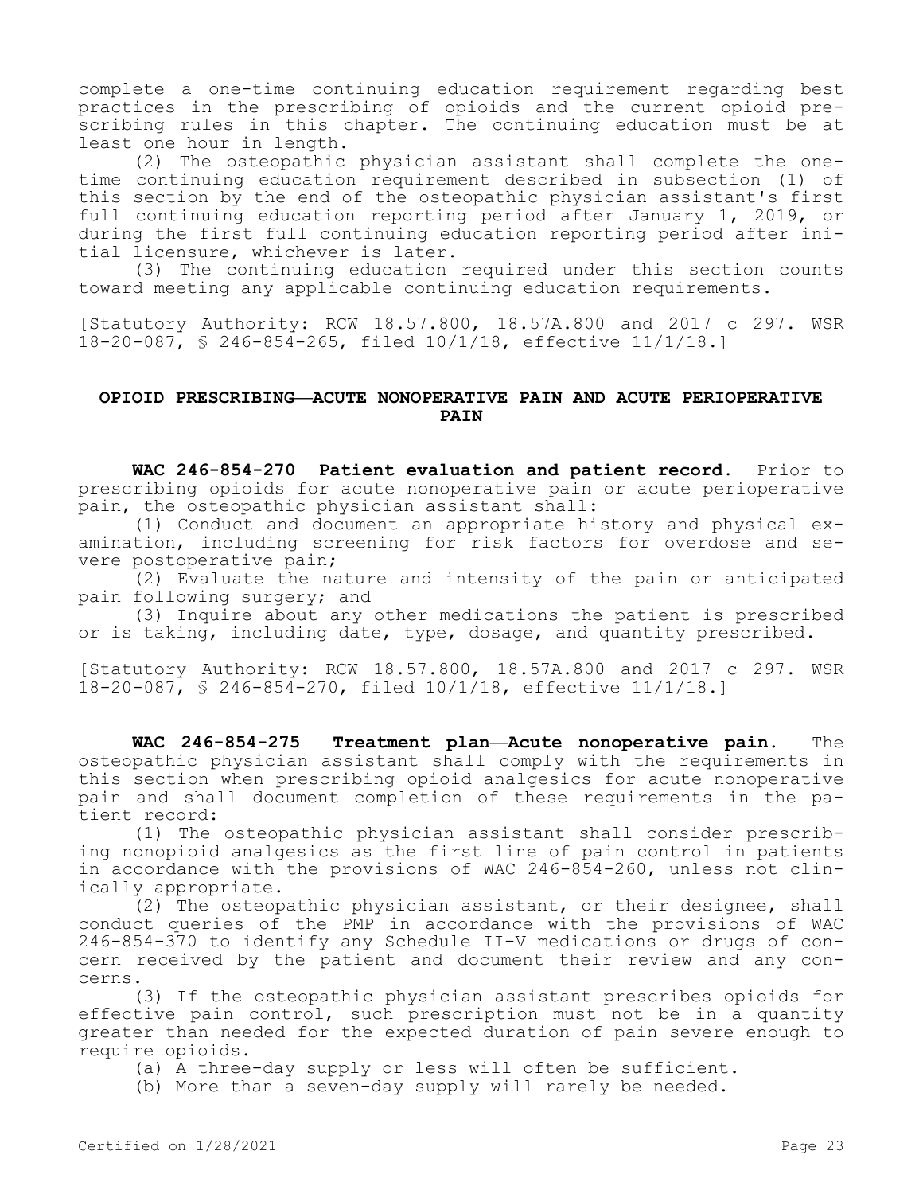complete a one-time continuing education requirement regarding best practices in the prescribing of opioids and the current opioid prescribing rules in this chapter. The continuing education must be at least one hour in length.

(2) The osteopathic physician assistant shall complete the onetime continuing education requirement described in subsection (1) of this section by the end of the osteopathic physician assistant's first full continuing education reporting period after January 1, 2019, or during the first full continuing education reporting period after initial licensure, whichever is later.

(3) The continuing education required under this section counts toward meeting any applicable continuing education requirements.

[Statutory Authority: RCW 18.57.800, 18.57A.800 and 2017 c 297. WSR 18-20-087, § 246-854-265, filed 10/1/18, effective 11/1/18.]

# **OPIOID PRESCRIBING—ACUTE NONOPERATIVE PAIN AND ACUTE PERIOPERATIVE PAIN**

**WAC 246-854-270 Patient evaluation and patient record.** Prior to prescribing opioids for acute nonoperative pain or acute perioperative pain, the osteopathic physician assistant shall:

(1) Conduct and document an appropriate history and physical examination, including screening for risk factors for overdose and severe postoperative pain;

(2) Evaluate the nature and intensity of the pain or anticipated pain following surgery; and

(3) Inquire about any other medications the patient is prescribed or is taking, including date, type, dosage, and quantity prescribed.

[Statutory Authority: RCW 18.57.800, 18.57A.800 and 2017 c 297. WSR 18-20-087, § 246-854-270, filed 10/1/18, effective 11/1/18.]

**WAC 246-854-275 Treatment plan—Acute nonoperative pain.** The osteopathic physician assistant shall comply with the requirements in this section when prescribing opioid analgesics for acute nonoperative pain and shall document completion of these requirements in the patient record:

(1) The osteopathic physician assistant shall consider prescribing nonopioid analgesics as the first line of pain control in patients in accordance with the provisions of WAC 246-854-260, unless not clinically appropriate.

(2) The osteopathic physician assistant, or their designee, shall conduct queries of the PMP in accordance with the provisions of WAC 246-854-370 to identify any Schedule II-V medications or drugs of concern received by the patient and document their review and any concerns.

(3) If the osteopathic physician assistant prescribes opioids for effective pain control, such prescription must not be in a quantity greater than needed for the expected duration of pain severe enough to require opioids.

(a) A three-day supply or less will often be sufficient.

(b) More than a seven-day supply will rarely be needed.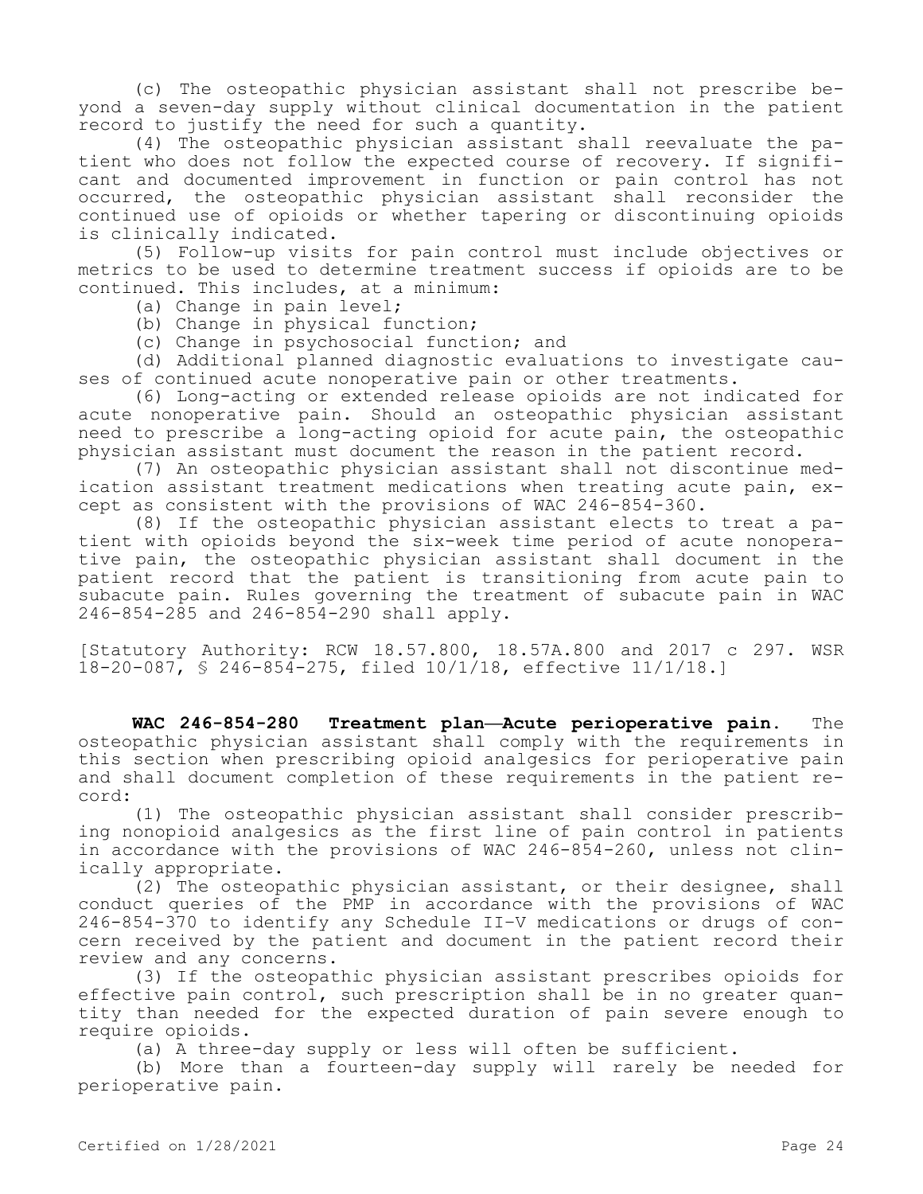(c) The osteopathic physician assistant shall not prescribe beyond a seven-day supply without clinical documentation in the patient record to justify the need for such a quantity.

(4) The osteopathic physician assistant shall reevaluate the patient who does not follow the expected course of recovery. If significant and documented improvement in function or pain control has not occurred, the osteopathic physician assistant shall reconsider the continued use of opioids or whether tapering or discontinuing opioids is clinically indicated.

(5) Follow-up visits for pain control must include objectives or metrics to be used to determine treatment success if opioids are to be continued. This includes, at a minimum:

(a) Change in pain level;

(b) Change in physical function;

(c) Change in psychosocial function; and

(d) Additional planned diagnostic evaluations to investigate causes of continued acute nonoperative pain or other treatments.

(6) Long-acting or extended release opioids are not indicated for acute nonoperative pain. Should an osteopathic physician assistant need to prescribe a long-acting opioid for acute pain, the osteopathic physician assistant must document the reason in the patient record.

(7) An osteopathic physician assistant shall not discontinue medication assistant treatment medications when treating acute pain, except as consistent with the provisions of WAC 246-854-360.

(8) If the osteopathic physician assistant elects to treat a patient with opioids beyond the six-week time period of acute nonoperative pain, the osteopathic physician assistant shall document in the patient record that the patient is transitioning from acute pain to subacute pain. Rules governing the treatment of subacute pain in WAC 246-854-285 and 246-854-290 shall apply.

[Statutory Authority: RCW 18.57.800, 18.57A.800 and 2017 c 297. WSR 18-20-087, § 246-854-275, filed 10/1/18, effective 11/1/18.]

**WAC 246-854-280 Treatment plan—Acute perioperative pain.** The osteopathic physician assistant shall comply with the requirements in this section when prescribing opioid analgesics for perioperative pain and shall document completion of these requirements in the patient record:

(1) The osteopathic physician assistant shall consider prescribing nonopioid analgesics as the first line of pain control in patients in accordance with the provisions of WAC 246-854-260, unless not clinically appropriate.

(2) The osteopathic physician assistant, or their designee, shall conduct queries of the PMP in accordance with the provisions of WAC 246-854-370 to identify any Schedule II–V medications or drugs of concern received by the patient and document in the patient record their review and any concerns.

(3) If the osteopathic physician assistant prescribes opioids for effective pain control, such prescription shall be in no greater quantity than needed for the expected duration of pain severe enough to require opioids.

(a) A three-day supply or less will often be sufficient.

(b) More than a fourteen-day supply will rarely be needed for perioperative pain.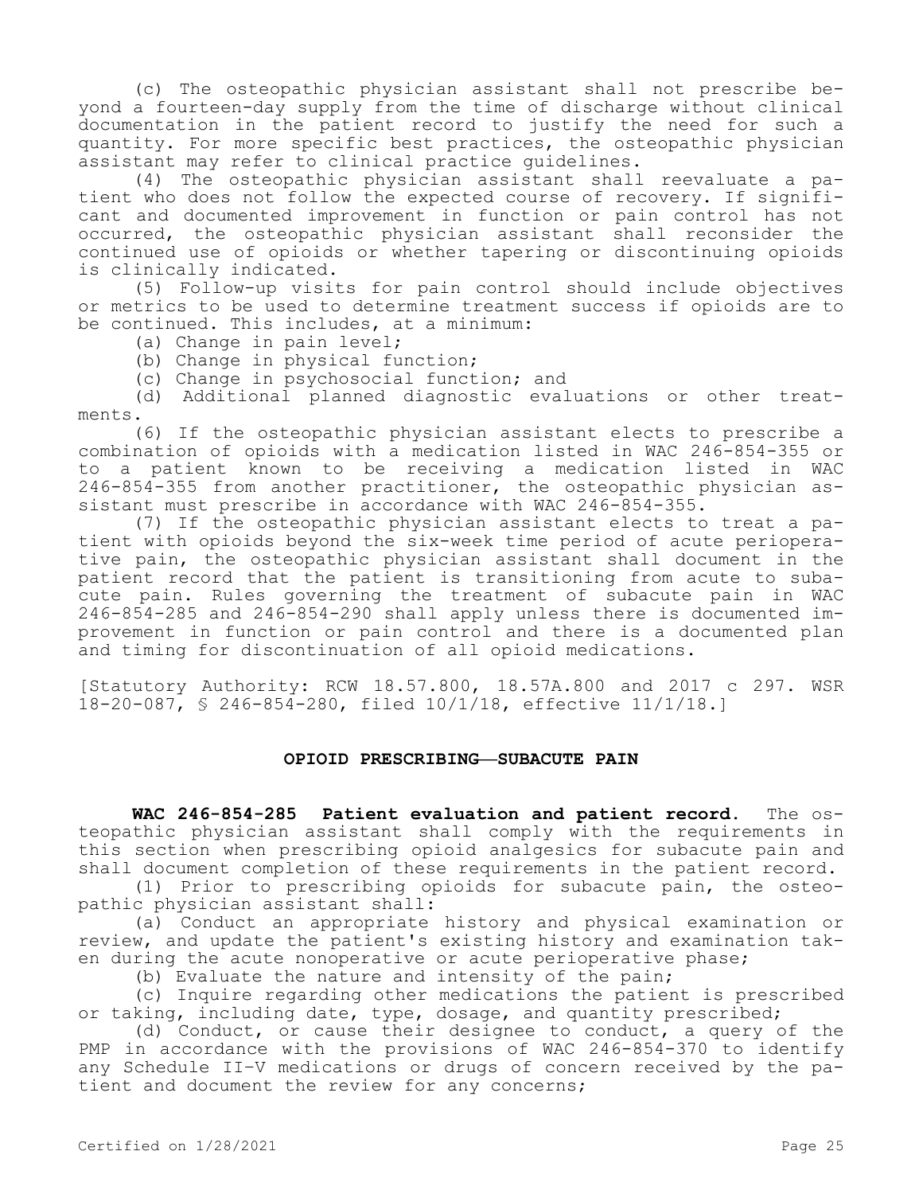(c) The osteopathic physician assistant shall not prescribe beyond a fourteen-day supply from the time of discharge without clinical documentation in the patient record to justify the need for such a quantity. For more specific best practices, the osteopathic physician assistant may refer to clinical practice guidelines.

(4) The osteopathic physician assistant shall reevaluate a patient who does not follow the expected course of recovery. If significant and documented improvement in function or pain control has not occurred, the osteopathic physician assistant shall reconsider the continued use of opioids or whether tapering or discontinuing opioids is clinically indicated.

(5) Follow-up visits for pain control should include objectives or metrics to be used to determine treatment success if opioids are to be continued. This includes, at a minimum:

- (a) Change in pain level;
- (b) Change in physical function;
- (c) Change in psychosocial function; and

(d) Additional planned diagnostic evaluations or other treatments.

(6) If the osteopathic physician assistant elects to prescribe a combination of opioids with a medication listed in WAC 246-854-355 or to a patient known to be receiving a medication listed in WAC 246-854-355 from another practitioner, the osteopathic physician assistant must prescribe in accordance with WAC 246-854-355.

(7) If the osteopathic physician assistant elects to treat a patient with opioids beyond the six-week time period of acute perioperative pain, the osteopathic physician assistant shall document in the patient record that the patient is transitioning from acute to subacute pain. Rules governing the treatment of subacute pain in WAC 246-854-285 and 246-854-290 shall apply unless there is documented improvement in function or pain control and there is a documented plan and timing for discontinuation of all opioid medications.

[Statutory Authority: RCW 18.57.800, 18.57A.800 and 2017 c 297. WSR 18-20-087, § 246-854-280, filed 10/1/18, effective 11/1/18.]

### **OPIOID PRESCRIBING—SUBACUTE PAIN**

**WAC 246-854-285 Patient evaluation and patient record.** The osteopathic physician assistant shall comply with the requirements in this section when prescribing opioid analgesics for subacute pain and shall document completion of these requirements in the patient record.

(1) Prior to prescribing opioids for subacute pain, the osteopathic physician assistant shall:

(a) Conduct an appropriate history and physical examination or review, and update the patient's existing history and examination taken during the acute nonoperative or acute perioperative phase;

(b) Evaluate the nature and intensity of the pain;

(c) Inquire regarding other medications the patient is prescribed or taking, including date, type, dosage, and quantity prescribed;

(d) Conduct, or cause their designee to conduct, a query of the PMP in accordance with the provisions of WAC 246-854-370 to identify any Schedule II–V medications or drugs of concern received by the patient and document the review for any concerns;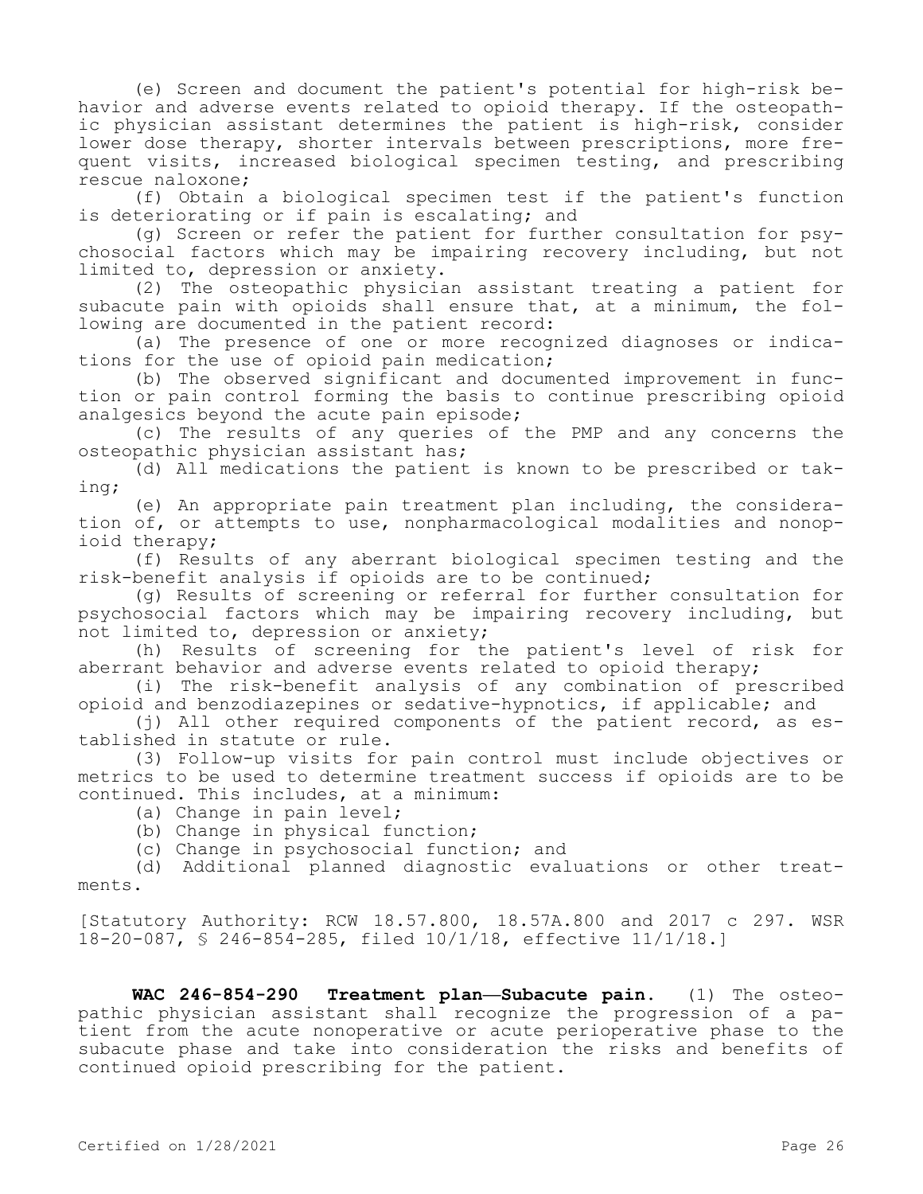(e) Screen and document the patient's potential for high-risk behavior and adverse events related to opioid therapy. If the osteopathic physician assistant determines the patient is high-risk, consider lower dose therapy, shorter intervals between prescriptions, more frequent visits, increased biological specimen testing, and prescribing rescue naloxone;

(f) Obtain a biological specimen test if the patient's function is deteriorating or if pain is escalating; and

(g) Screen or refer the patient for further consultation for psychosocial factors which may be impairing recovery including, but not limited to, depression or anxiety.

(2) The osteopathic physician assistant treating a patient for subacute pain with opioids shall ensure that, at a minimum, the following are documented in the patient record:

(a) The presence of one or more recognized diagnoses or indications for the use of opioid pain medication;

(b) The observed significant and documented improvement in function or pain control forming the basis to continue prescribing opioid analgesics beyond the acute pain episode;

(c) The results of any queries of the PMP and any concerns the osteopathic physician assistant has;

(d) All medications the patient is known to be prescribed or taking;

(e) An appropriate pain treatment plan including, the consideration of, or attempts to use, nonpharmacological modalities and nonopioid therapy;

(f) Results of any aberrant biological specimen testing and the risk-benefit analysis if opioids are to be continued;

(g) Results of screening or referral for further consultation for psychosocial factors which may be impairing recovery including, but not limited to, depression or anxiety;

(h) Results of screening for the patient's level of risk for aberrant behavior and adverse events related to opioid therapy;

(i) The risk-benefit analysis of any combination of prescribed opioid and benzodiazepines or sedative-hypnotics, if applicable; and

(j) All other required components of the patient record, as established in statute or rule.

(3) Follow-up visits for pain control must include objectives or metrics to be used to determine treatment success if opioids are to be continued. This includes, at a minimum:

(a) Change in pain level;

(b) Change in physical function;

(c) Change in psychosocial function; and

(d) Additional planned diagnostic evaluations or other treatments.

[Statutory Authority: RCW 18.57.800, 18.57A.800 and 2017 c 297. WSR 18-20-087, § 246-854-285, filed 10/1/18, effective 11/1/18.]

**WAC 246-854-290 Treatment plan—Subacute pain.** (1) The osteopathic physician assistant shall recognize the progression of a patient from the acute nonoperative or acute perioperative phase to the subacute phase and take into consideration the risks and benefits of continued opioid prescribing for the patient.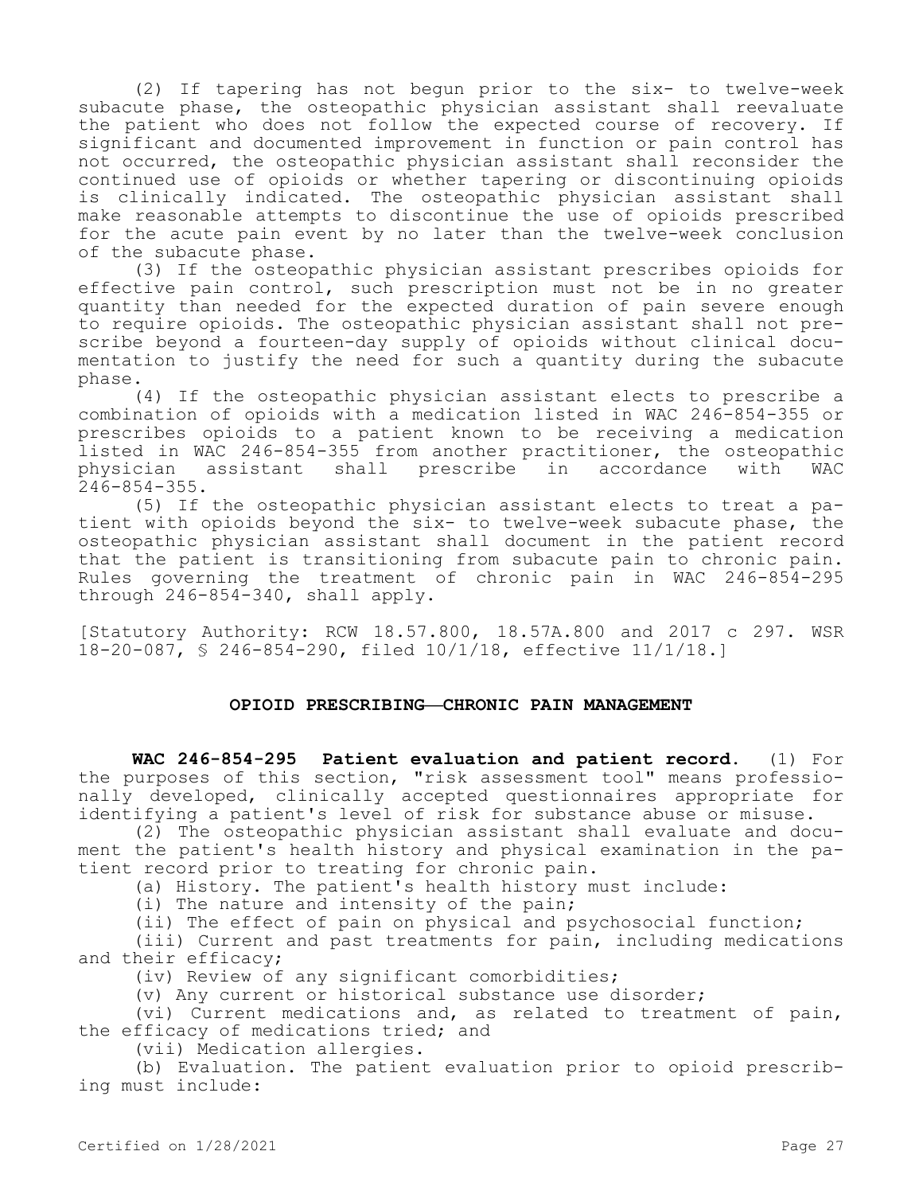(2) If tapering has not begun prior to the six- to twelve-week subacute phase, the osteopathic physician assistant shall reevaluate the patient who does not follow the expected course of recovery. If significant and documented improvement in function or pain control has not occurred, the osteopathic physician assistant shall reconsider the continued use of opioids or whether tapering or discontinuing opioids is clinically indicated. The osteopathic physician assistant shall make reasonable attempts to discontinue the use of opioids prescribed for the acute pain event by no later than the twelve-week conclusion of the subacute phase.

(3) If the osteopathic physician assistant prescribes opioids for effective pain control, such prescription must not be in no greater quantity than needed for the expected duration of pain severe enough to require opioids. The osteopathic physician assistant shall not prescribe beyond a fourteen-day supply of opioids without clinical documentation to justify the need for such a quantity during the subacute phase.

(4) If the osteopathic physician assistant elects to prescribe a combination of opioids with a medication listed in WAC 246-854-355 or prescribes opioids to a patient known to be receiving a medication listed in WAC 246-854-355 from another practitioner, the osteopathic physician assistant shall prescribe in accordance with WAC 246-854-355.

(5) If the osteopathic physician assistant elects to treat a patient with opioids beyond the six- to twelve-week subacute phase, the osteopathic physician assistant shall document in the patient record that the patient is transitioning from subacute pain to chronic pain. Rules governing the treatment of chronic pain in WAC 246-854-295 through 246-854-340, shall apply.

[Statutory Authority: RCW 18.57.800, 18.57A.800 and 2017 c 297. WSR 18-20-087, § 246-854-290, filed 10/1/18, effective 11/1/18.]

# **OPIOID PRESCRIBING—CHRONIC PAIN MANAGEMENT**

**WAC 246-854-295 Patient evaluation and patient record.** (1) For the purposes of this section, "risk assessment tool" means professionally developed, clinically accepted questionnaires appropriate for identifying a patient's level of risk for substance abuse or misuse.

(2) The osteopathic physician assistant shall evaluate and document the patient's health history and physical examination in the patient record prior to treating for chronic pain.

(a) History. The patient's health history must include:

(i) The nature and intensity of the pain;

(ii) The effect of pain on physical and psychosocial function;

(iii) Current and past treatments for pain, including medications and their efficacy;

(iv) Review of any significant comorbidities;

(v) Any current or historical substance use disorder;

(vi) Current medications and, as related to treatment of pain, the efficacy of medications tried; and

(vii) Medication allergies.

(b) Evaluation. The patient evaluation prior to opioid prescribing must include: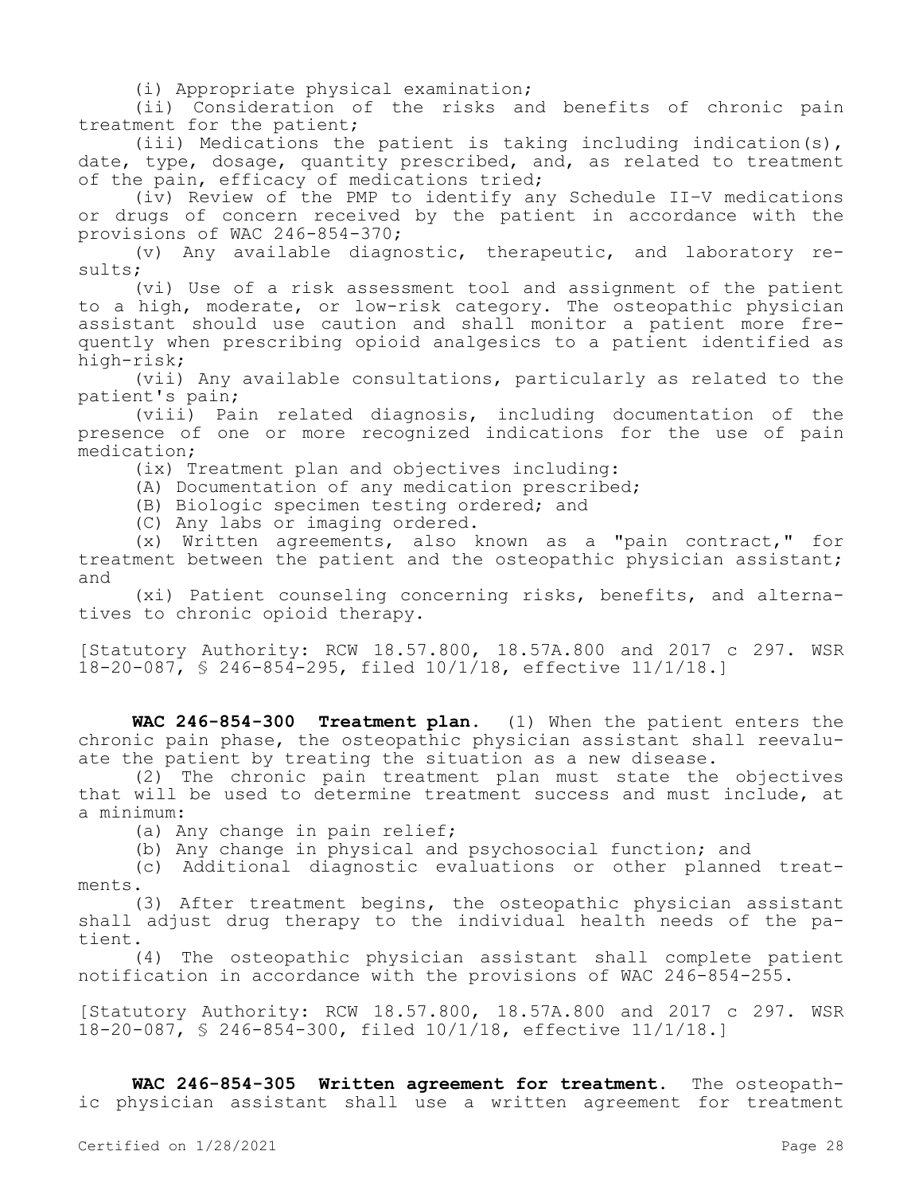(i) Appropriate physical examination;

(ii) Consideration of the risks and benefits of chronic pain treatment for the patient;

(iii) Medications the patient is taking including indication(s), date, type, dosage, quantity prescribed, and, as related to treatment of the pain, efficacy of medications tried;

(iv) Review of the PMP to identify any Schedule II–V medications or drugs of concern received by the patient in accordance with the provisions of WAC 246-854-370;

(v) Any available diagnostic, therapeutic, and laboratory results;

(vi) Use of a risk assessment tool and assignment of the patient to a high, moderate, or low-risk category. The osteopathic physician assistant should use caution and shall monitor a patient more frequently when prescribing opioid analgesics to a patient identified as high-risk;

(vii) Any available consultations, particularly as related to the patient's pain;

(viii) Pain related diagnosis, including documentation of the presence of one or more recognized indications for the use of pain medication;

(ix) Treatment plan and objectives including:

(A) Documentation of any medication prescribed;

(B) Biologic specimen testing ordered; and

(C) Any labs or imaging ordered.

(x) Written agreements, also known as a "pain contract," for treatment between the patient and the osteopathic physician assistant; and

(xi) Patient counseling concerning risks, benefits, and alternatives to chronic opioid therapy.

[Statutory Authority: RCW 18.57.800, 18.57A.800 and 2017 c 297. WSR 18-20-087, § 246-854-295, filed 10/1/18, effective 11/1/18.]

**WAC 246-854-300 Treatment plan.** (1) When the patient enters the chronic pain phase, the osteopathic physician assistant shall reevaluate the patient by treating the situation as a new disease.

(2) The chronic pain treatment plan must state the objectives that will be used to determine treatment success and must include, at a minimum:

(a) Any change in pain relief;

(b) Any change in physical and psychosocial function; and

(c) Additional diagnostic evaluations or other planned treatments.

(3) After treatment begins, the osteopathic physician assistant shall adjust drug therapy to the individual health needs of the patient.

(4) The osteopathic physician assistant shall complete patient notification in accordance with the provisions of WAC 246-854-255.

[Statutory Authority: RCW 18.57.800, 18.57A.800 and 2017 c 297. WSR 18-20-087, § 246-854-300, filed 10/1/18, effective 11/1/18.]

**WAC 246-854-305 Written agreement for treatment.** The osteopathic physician assistant shall use a written agreement for treatment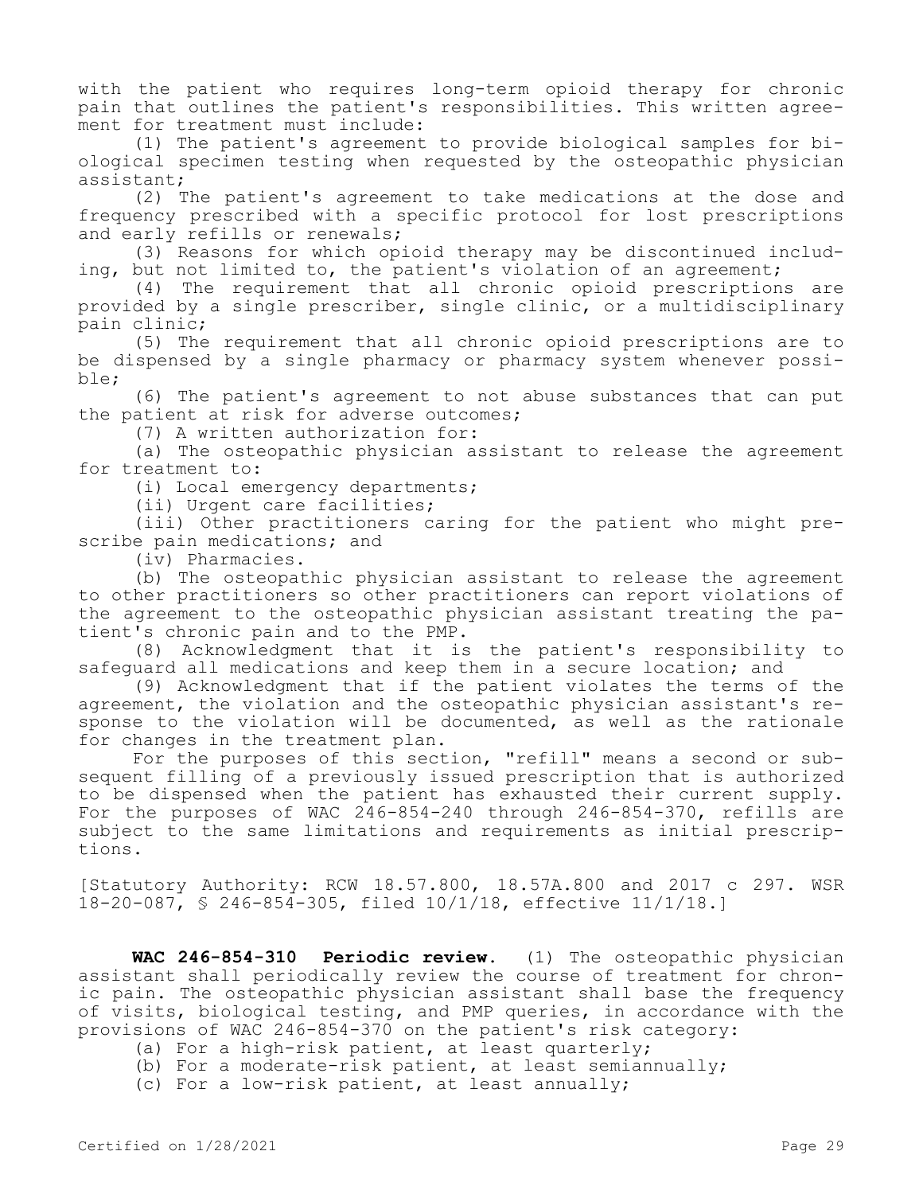with the patient who requires long-term opioid therapy for chronic pain that outlines the patient's responsibilities. This written agreement for treatment must include:

(1) The patient's agreement to provide biological samples for biological specimen testing when requested by the osteopathic physician assistant;

(2) The patient's agreement to take medications at the dose and frequency prescribed with a specific protocol for lost prescriptions and early refills or renewals;

(3) Reasons for which opioid therapy may be discontinued including, but not limited to, the patient's violation of an agreement;

(4) The requirement that all chronic opioid prescriptions are provided by a single prescriber, single clinic, or a multidisciplinary pain clinic;

(5) The requirement that all chronic opioid prescriptions are to be dispensed by a single pharmacy or pharmacy system whenever possible;

(6) The patient's agreement to not abuse substances that can put the patient at risk for adverse outcomes;

(7) A written authorization for:

(a) The osteopathic physician assistant to release the agreement for treatment to:

(i) Local emergency departments;

(ii) Urgent care facilities;

(iii) Other practitioners caring for the patient who might prescribe pain medications; and

(iv) Pharmacies.

(b) The osteopathic physician assistant to release the agreement to other practitioners so other practitioners can report violations of the agreement to the osteopathic physician assistant treating the patient's chronic pain and to the PMP.

(8) Acknowledgment that it is the patient's responsibility to safeguard all medications and keep them in a secure location; and

(9) Acknowledgment that if the patient violates the terms of the agreement, the violation and the osteopathic physician assistant's response to the violation will be documented, as well as the rationale for changes in the treatment plan.

For the purposes of this section, "refill" means a second or subsequent filling of a previously issued prescription that is authorized to be dispensed when the patient has exhausted their current supply. For the purposes of WAC 246-854-240 through 246-854-370, refills are subject to the same limitations and requirements as initial prescriptions.

[Statutory Authority: RCW 18.57.800, 18.57A.800 and 2017 c 297. WSR 18-20-087, § 246-854-305, filed 10/1/18, effective 11/1/18.]

**WAC 246-854-310 Periodic review.** (1) The osteopathic physician assistant shall periodically review the course of treatment for chronic pain. The osteopathic physician assistant shall base the frequency of visits, biological testing, and PMP queries, in accordance with the provisions of WAC 246-854-370 on the patient's risk category:

(a) For a high-risk patient, at least quarterly;

(b) For a moderate-risk patient, at least semiannually;

(c) For a low-risk patient, at least annually;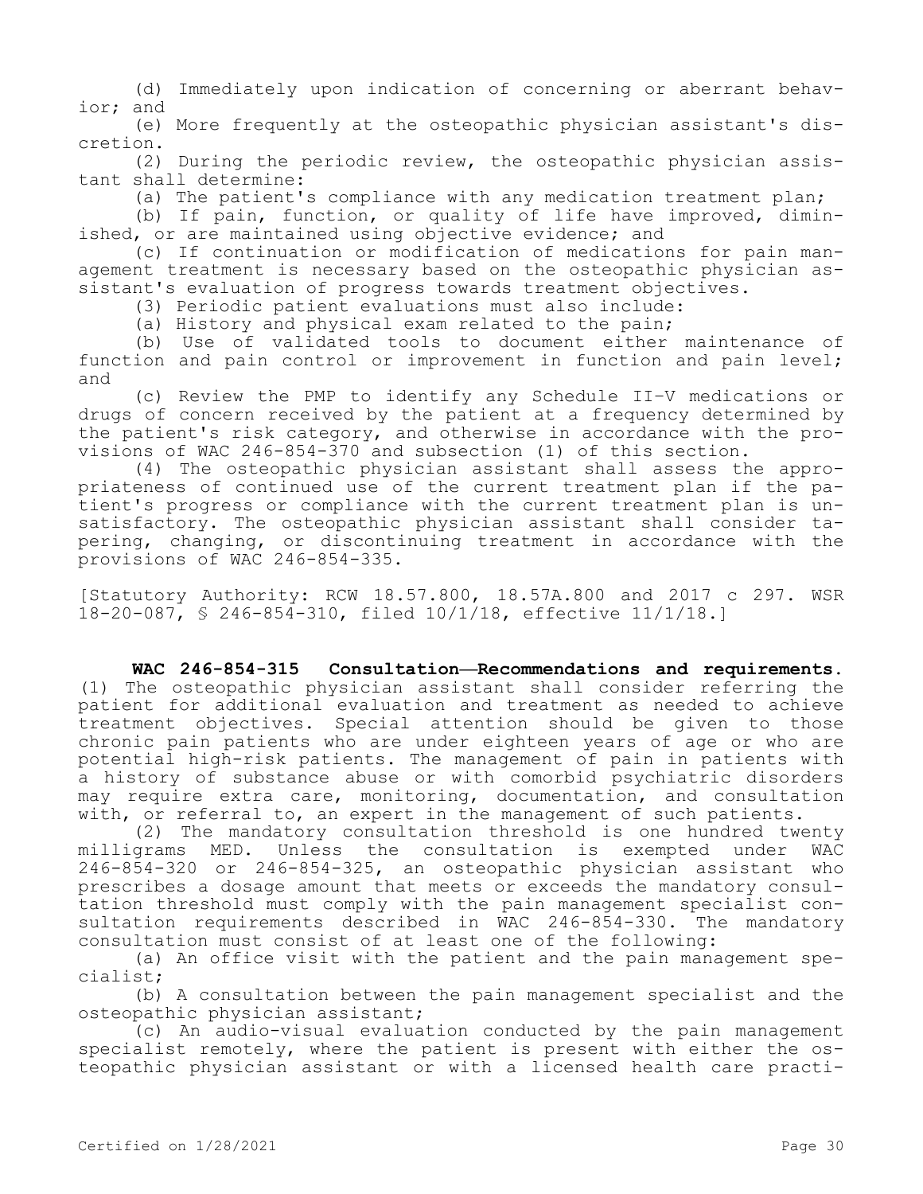(d) Immediately upon indication of concerning or aberrant behavior; and

(e) More frequently at the osteopathic physician assistant's discretion.

(2) During the periodic review, the osteopathic physician assistant shall determine:

(a) The patient's compliance with any medication treatment plan;

(b) If pain, function, or quality of life have improved, diminished, or are maintained using objective evidence; and

(c) If continuation or modification of medications for pain management treatment is necessary based on the osteopathic physician assistant's evaluation of progress towards treatment objectives.

(3) Periodic patient evaluations must also include:

(a) History and physical exam related to the pain;

(b) Use of validated tools to document either maintenance of function and pain control or improvement in function and pain level; and

(c) Review the PMP to identify any Schedule II–V medications or drugs of concern received by the patient at a frequency determined by the patient's risk category, and otherwise in accordance with the provisions of WAC 246-854-370 and subsection (1) of this section.

(4) The osteopathic physician assistant shall assess the appropriateness of continued use of the current treatment plan if the patient's progress or compliance with the current treatment plan is unsatisfactory. The osteopathic physician assistant shall consider tapering, changing, or discontinuing treatment in accordance with the provisions of WAC 246-854-335.

[Statutory Authority: RCW 18.57.800, 18.57A.800 and 2017 c 297. WSR 18-20-087, § 246-854-310, filed 10/1/18, effective 11/1/18.]

**WAC 246-854-315 Consultation—Recommendations and requirements.**  (1) The osteopathic physician assistant shall consider referring the patient for additional evaluation and treatment as needed to achieve treatment objectives. Special attention should be given to those chronic pain patients who are under eighteen years of age or who are potential high-risk patients. The management of pain in patients with a history of substance abuse or with comorbid psychiatric disorders may require extra care, monitoring, documentation, and consultation

with, or referral to, an expert in the management of such patients. (2) The mandatory consultation threshold is one hundred twenty milligrams MED. Unless the consultation is exempted under WAC 246-854-320 or 246-854-325, an osteopathic physician assistant who prescribes a dosage amount that meets or exceeds the mandatory consultation threshold must comply with the pain management specialist consultation requirements described in WAC 246-854-330. The mandatory consultation must consist of at least one of the following:

(a) An office visit with the patient and the pain management specialist;

(b) A consultation between the pain management specialist and the osteopathic physician assistant;

(c) An audio-visual evaluation conducted by the pain management specialist remotely, where the patient is present with either the osteopathic physician assistant or with a licensed health care practi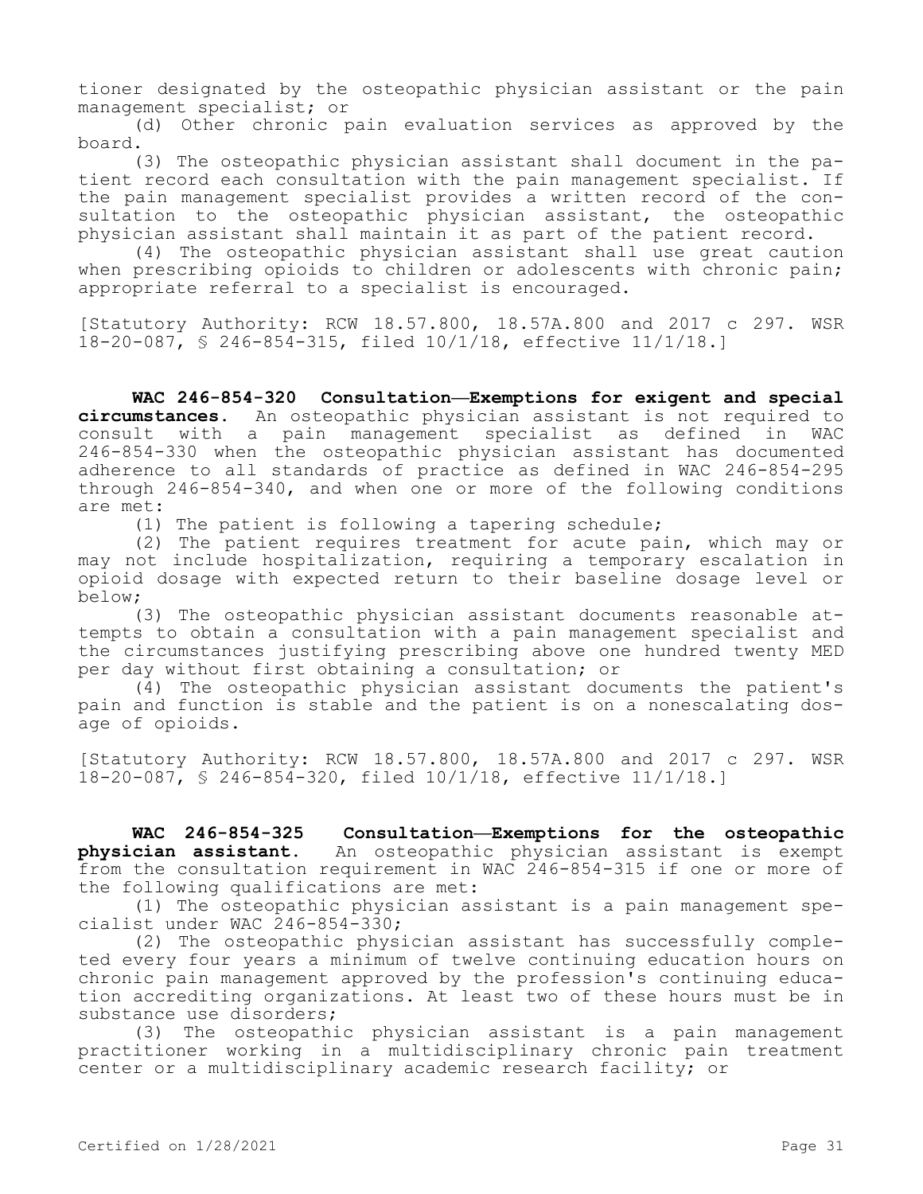tioner designated by the osteopathic physician assistant or the pain management specialist; or

(d) Other chronic pain evaluation services as approved by the board.

(3) The osteopathic physician assistant shall document in the patient record each consultation with the pain management specialist. If the pain management specialist provides a written record of the consultation to the osteopathic physician assistant, the osteopathic physician assistant shall maintain it as part of the patient record.

(4) The osteopathic physician assistant shall use great caution when prescribing opioids to children or adolescents with chronic pain; appropriate referral to a specialist is encouraged.

[Statutory Authority: RCW 18.57.800, 18.57A.800 and 2017 c 297. WSR 18-20-087, § 246-854-315, filed 10/1/18, effective 11/1/18.]

**WAC 246-854-320 Consultation—Exemptions for exigent and special circumstances.** An osteopathic physician assistant is not required to consult with a pain management specialist as defined in WAC 246-854-330 when the osteopathic physician assistant has documented adherence to all standards of practice as defined in WAC 246-854-295 through 246-854-340, and when one or more of the following conditions are met:

(1) The patient is following a tapering schedule;

(2) The patient requires treatment for acute pain, which may or may not include hospitalization, requiring a temporary escalation in opioid dosage with expected return to their baseline dosage level or below;

(3) The osteopathic physician assistant documents reasonable attempts to obtain a consultation with a pain management specialist and the circumstances justifying prescribing above one hundred twenty MED per day without first obtaining a consultation; or

(4) The osteopathic physician assistant documents the patient's pain and function is stable and the patient is on a nonescalating dosage of opioids.

[Statutory Authority: RCW 18.57.800, 18.57A.800 and 2017 c 297. WSR 18-20-087, § 246-854-320, filed 10/1/18, effective 11/1/18.]

**WAC 246-854-325 Consultation—Exemptions for the osteopathic physician assistant.** An osteopathic physician assistant is exempt from the consultation requirement in WAC 246-854-315 if one or more of the following qualifications are met:

(1) The osteopathic physician assistant is a pain management specialist under WAC 246-854-330;

(2) The osteopathic physician assistant has successfully completed every four years a minimum of twelve continuing education hours on chronic pain management approved by the profession's continuing education accrediting organizations. At least two of these hours must be in substance use disorders;

(3) The osteopathic physician assistant is a pain management practitioner working in a multidisciplinary chronic pain treatment center or a multidisciplinary academic research facility; or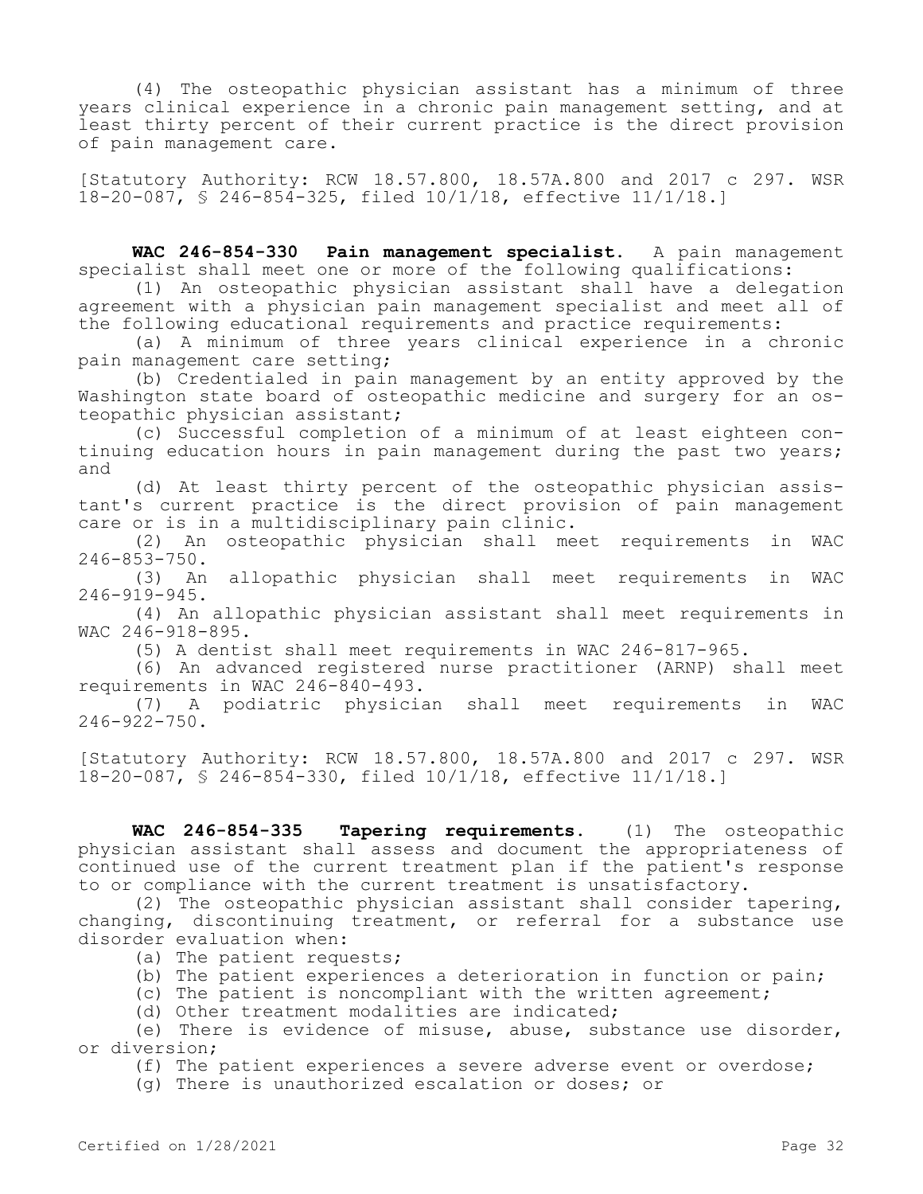(4) The osteopathic physician assistant has a minimum of three years clinical experience in a chronic pain management setting, and at least thirty percent of their current practice is the direct provision of pain management care.

[Statutory Authority: RCW 18.57.800, 18.57A.800 and 2017 c 297. WSR 18-20-087, § 246-854-325, filed 10/1/18, effective 11/1/18.]

**WAC 246-854-330 Pain management specialist.** A pain management specialist shall meet one or more of the following qualifications:

(1) An osteopathic physician assistant shall have a delegation agreement with a physician pain management specialist and meet all of the following educational requirements and practice requirements:

(a) A minimum of three years clinical experience in a chronic pain management care setting;

(b) Credentialed in pain management by an entity approved by the Washington state board of osteopathic medicine and surgery for an osteopathic physician assistant;

(c) Successful completion of a minimum of at least eighteen continuing education hours in pain management during the past two years; and

(d) At least thirty percent of the osteopathic physician assistant's current practice is the direct provision of pain management care or is in a multidisciplinary pain clinic.

(2) An osteopathic physician shall meet requirements in WAC 246-853-750.

(3) An allopathic physician shall meet requirements in WAC 246-919-945.

(4) An allopathic physician assistant shall meet requirements in WAC 246-918-895.

(5) A dentist shall meet requirements in WAC 246-817-965.

(6) An advanced registered nurse practitioner (ARNP) shall meet requirements in WAC 246-840-493.

(7) A podiatric physician shall meet requirements in WAC  $246 - 922 - 750$ .

[Statutory Authority: RCW 18.57.800, 18.57A.800 and 2017 c 297. WSR 18-20-087, § 246-854-330, filed 10/1/18, effective 11/1/18.]

**WAC 246-854-335 Tapering requirements.** (1) The osteopathic physician assistant shall assess and document the appropriateness of continued use of the current treatment plan if the patient's response to or compliance with the current treatment is unsatisfactory.

(2) The osteopathic physician assistant shall consider tapering, changing, discontinuing treatment, or referral for a substance use disorder evaluation when:

- (a) The patient requests;
- (b) The patient experiences a deterioration in function or pain;
- (c) The patient is noncompliant with the written agreement;
- (d) Other treatment modalities are indicated;

(e) There is evidence of misuse, abuse, substance use disorder, or diversion;

(f) The patient experiences a severe adverse event or overdose;

(g) There is unauthorized escalation or doses; or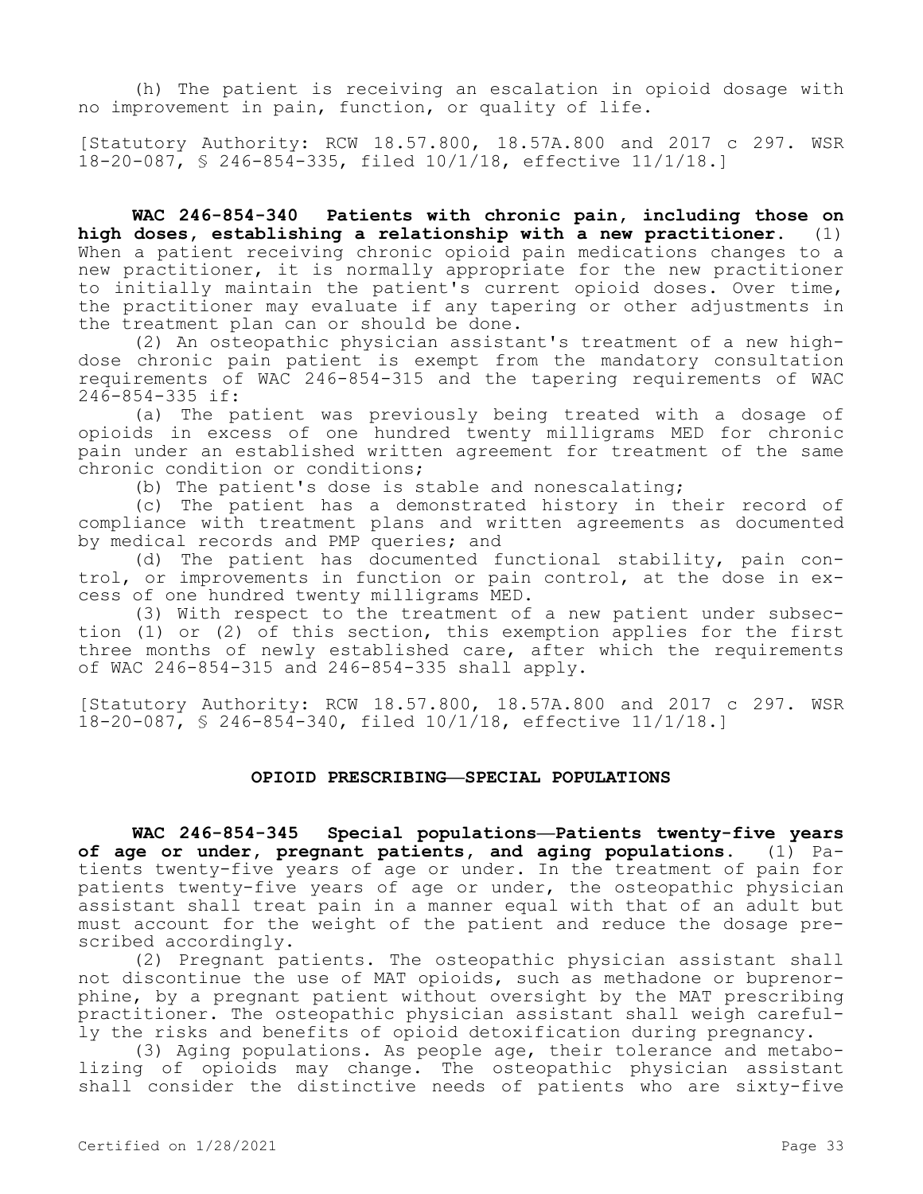(h) The patient is receiving an escalation in opioid dosage with no improvement in pain, function, or quality of life.

[Statutory Authority: RCW 18.57.800, 18.57A.800 and 2017 c 297. WSR 18-20-087, § 246-854-335, filed 10/1/18, effective 11/1/18.]

**WAC 246-854-340 Patients with chronic pain, including those on high doses, establishing a relationship with a new practitioner.** (1) When a patient receiving chronic opioid pain medications changes to a new practitioner, it is normally appropriate for the new practitioner to initially maintain the patient's current opioid doses. Over time, the practitioner may evaluate if any tapering or other adjustments in the treatment plan can or should be done.

(2) An osteopathic physician assistant's treatment of a new highdose chronic pain patient is exempt from the mandatory consultation requirements of WAC 246-854-315 and the tapering requirements of WAC 246-854-335 if:

(a) The patient was previously being treated with a dosage of opioids in excess of one hundred twenty milligrams MED for chronic pain under an established written agreement for treatment of the same chronic condition or conditions;

(b) The patient's dose is stable and nonescalating;

(c) The patient has a demonstrated history in their record of compliance with treatment plans and written agreements as documented by medical records and PMP queries; and

(d) The patient has documented functional stability, pain control, or improvements in function or pain control, at the dose in excess of one hundred twenty milligrams MED.

(3) With respect to the treatment of a new patient under subsection (1) or (2) of this section, this exemption applies for the first three months of newly established care, after which the requirements of WAC 246-854-315 and 246-854-335 shall apply.

[Statutory Authority: RCW 18.57.800, 18.57A.800 and 2017 c 297. WSR 18-20-087, § 246-854-340, filed 10/1/18, effective 11/1/18.]

### **OPIOID PRESCRIBING—SPECIAL POPULATIONS**

**WAC 246-854-345 Special populations—Patients twenty-five years of age or under, pregnant patients, and aging populations.** (1) Patients twenty-five years of age or under. In the treatment of pain for patients twenty-five years of age or under, the osteopathic physician assistant shall treat pain in a manner equal with that of an adult but must account for the weight of the patient and reduce the dosage prescribed accordingly.

(2) Pregnant patients. The osteopathic physician assistant shall not discontinue the use of MAT opioids, such as methadone or buprenorphine, by a pregnant patient without oversight by the MAT prescribing practitioner. The osteopathic physician assistant shall weigh carefully the risks and benefits of opioid detoxification during pregnancy.

(3) Aging populations. As people age, their tolerance and metabolizing of opioids may change. The osteopathic physician assistant shall consider the distinctive needs of patients who are sixty-five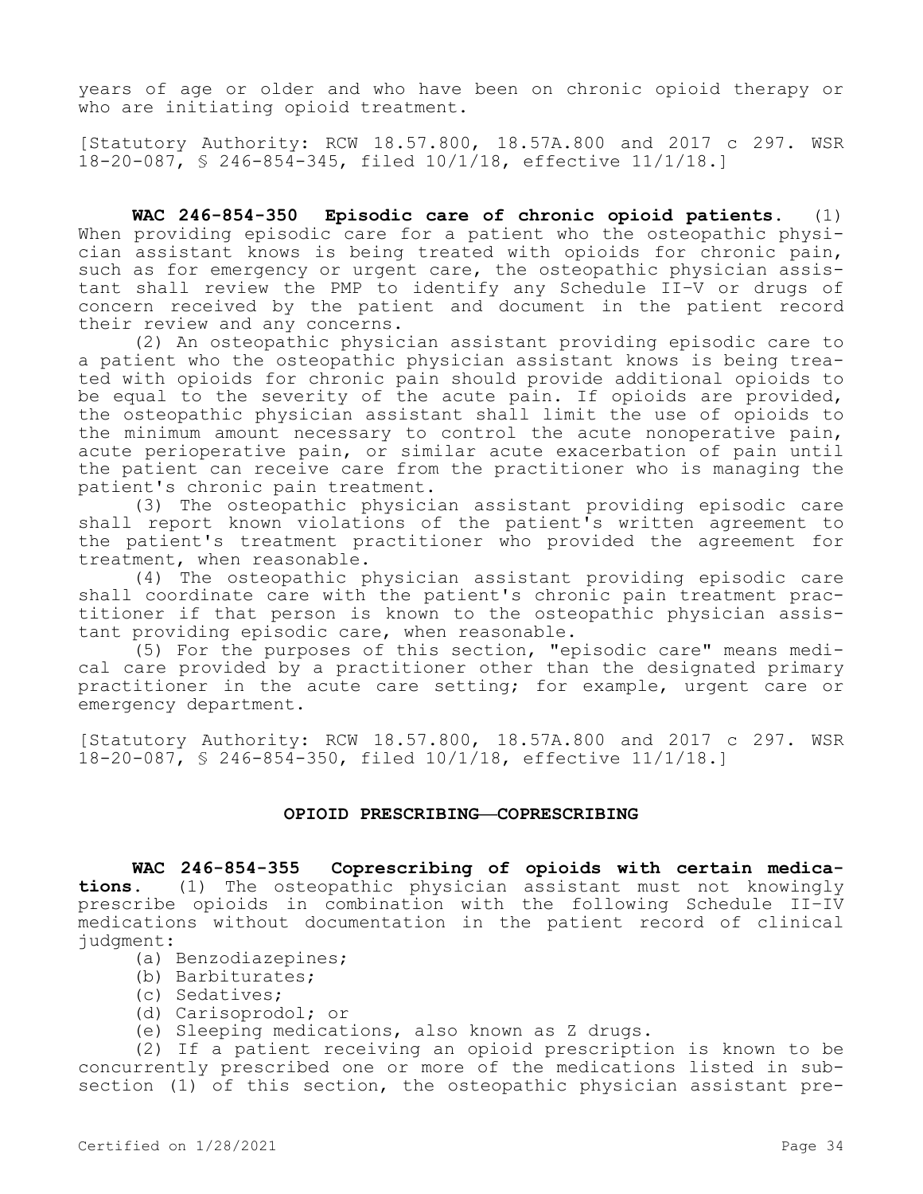years of age or older and who have been on chronic opioid therapy or who are initiating opioid treatment.

[Statutory Authority: RCW 18.57.800, 18.57A.800 and 2017 c 297. WSR 18-20-087, § 246-854-345, filed 10/1/18, effective 11/1/18.]

**WAC 246-854-350 Episodic care of chronic opioid patients.** (1) When providing episodic care for a patient who the osteopathic physician assistant knows is being treated with opioids for chronic pain, such as for emergency or urgent care, the osteopathic physician assistant shall review the PMP to identify any Schedule II–V or drugs of concern received by the patient and document in the patient record their review and any concerns.

(2) An osteopathic physician assistant providing episodic care to a patient who the osteopathic physician assistant knows is being treated with opioids for chronic pain should provide additional opioids to be equal to the severity of the acute pain. If opioids are provided, the osteopathic physician assistant shall limit the use of opioids to the minimum amount necessary to control the acute nonoperative pain, acute perioperative pain, or similar acute exacerbation of pain until the patient can receive care from the practitioner who is managing the patient's chronic pain treatment.

(3) The osteopathic physician assistant providing episodic care shall report known violations of the patient's written agreement to the patient's treatment practitioner who provided the agreement for treatment, when reasonable.

(4) The osteopathic physician assistant providing episodic care shall coordinate care with the patient's chronic pain treatment practitioner if that person is known to the osteopathic physician assistant providing episodic care, when reasonable.

(5) For the purposes of this section, "episodic care" means medical care provided by a practitioner other than the designated primary practitioner in the acute care setting; for example, urgent care or emergency department.

[Statutory Authority: RCW 18.57.800, 18.57A.800 and 2017 c 297. WSR 18-20-087, § 246-854-350, filed 10/1/18, effective 11/1/18.]

# **OPIOID PRESCRIBING—COPRESCRIBING**

**WAC 246-854-355 Coprescribing of opioids with certain medications.** (1) The osteopathic physician assistant must not knowingly prescribe opioids in combination with the following Schedule II–IV medications without documentation in the patient record of clinical judgment:

- (a) Benzodiazepines;
- (b) Barbiturates;
- (c) Sedatives;
- (d) Carisoprodol; or
- (e) Sleeping medications, also known as Z drugs.

(2) If a patient receiving an opioid prescription is known to be concurrently prescribed one or more of the medications listed in subsection (1) of this section, the osteopathic physician assistant pre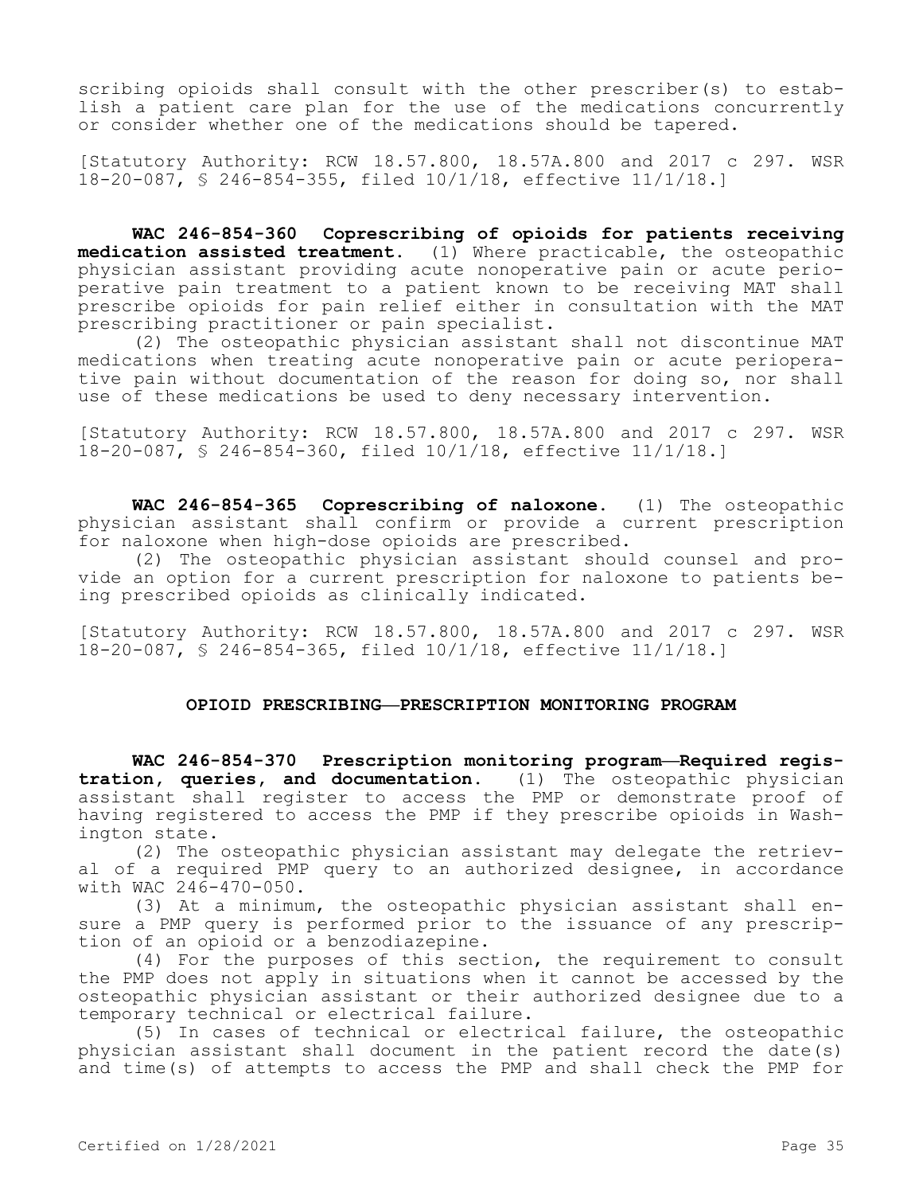scribing opioids shall consult with the other prescriber(s) to establish a patient care plan for the use of the medications concurrently or consider whether one of the medications should be tapered.

[Statutory Authority: RCW 18.57.800, 18.57A.800 and 2017 c 297. WSR 18-20-087, § 246-854-355, filed 10/1/18, effective 11/1/18.]

**WAC 246-854-360 Coprescribing of opioids for patients receiving medication assisted treatment.** (1) Where practicable, the osteopathic physician assistant providing acute nonoperative pain or acute perioperative pain treatment to a patient known to be receiving MAT shall prescribe opioids for pain relief either in consultation with the MAT prescribing practitioner or pain specialist.

(2) The osteopathic physician assistant shall not discontinue MAT medications when treating acute nonoperative pain or acute perioperative pain without documentation of the reason for doing so, nor shall use of these medications be used to deny necessary intervention.

[Statutory Authority: RCW 18.57.800, 18.57A.800 and 2017 c 297. WSR 18-20-087, § 246-854-360, filed 10/1/18, effective 11/1/18.]

**WAC 246-854-365 Coprescribing of naloxone.** (1) The osteopathic physician assistant shall confirm or provide a current prescription for naloxone when high-dose opioids are prescribed.

(2) The osteopathic physician assistant should counsel and provide an option for a current prescription for naloxone to patients being prescribed opioids as clinically indicated.

[Statutory Authority: RCW 18.57.800, 18.57A.800 and 2017 c 297. WSR 18-20-087, § 246-854-365, filed 10/1/18, effective 11/1/18.]

### **OPIOID PRESCRIBING—PRESCRIPTION MONITORING PROGRAM**

**WAC 246-854-370 Prescription monitoring program—Required registration, queries, and documentation.** (1) The osteopathic physician assistant shall register to access the PMP or demonstrate proof of having registered to access the PMP if they prescribe opioids in Washington state.

(2) The osteopathic physician assistant may delegate the retrieval of a required PMP query to an authorized designee, in accordance with WAC 246-470-050.

(3) At a minimum, the osteopathic physician assistant shall ensure a PMP query is performed prior to the issuance of any prescription of an opioid or a benzodiazepine.

(4) For the purposes of this section, the requirement to consult the PMP does not apply in situations when it cannot be accessed by the osteopathic physician assistant or their authorized designee due to a temporary technical or electrical failure.

(5) In cases of technical or electrical failure, the osteopathic physician assistant shall document in the patient record the date(s) and time(s) of attempts to access the PMP and shall check the PMP for